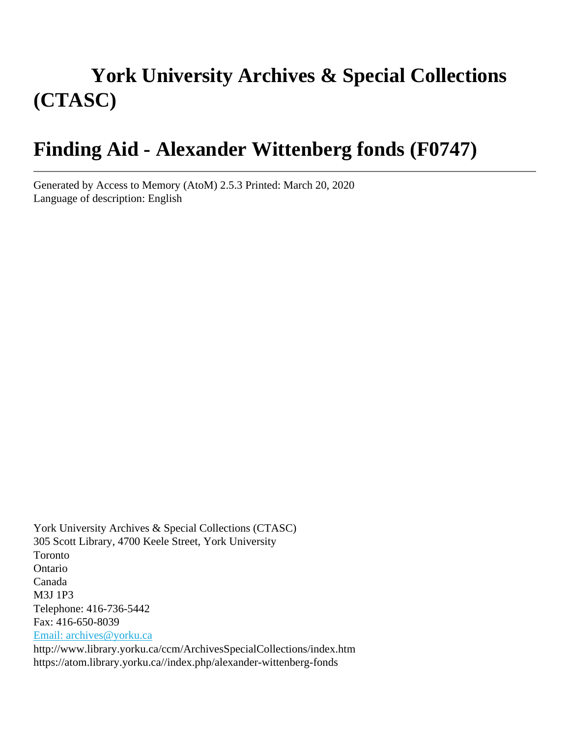# **York University Archives & Special Collections (CTASC)**

# **Finding Aid - Alexander Wittenberg fonds (F0747)**

Generated by Access to Memory (AtoM) 2.5.3 Printed: March 20, 2020 Language of description: English

York University Archives & Special Collections (CTASC) 305 Scott Library, 4700 Keele Street, York University Toronto Ontario Canada M3J 1P3 Telephone: 416-736-5442 Fax: 416-650-8039 [Email: archives@yorku.ca](mailto:Email: archives@yorku.ca) http://www.library.yorku.ca/ccm/ArchivesSpecialCollections/index.htm https://atom.library.yorku.ca//index.php/alexander-wittenberg-fonds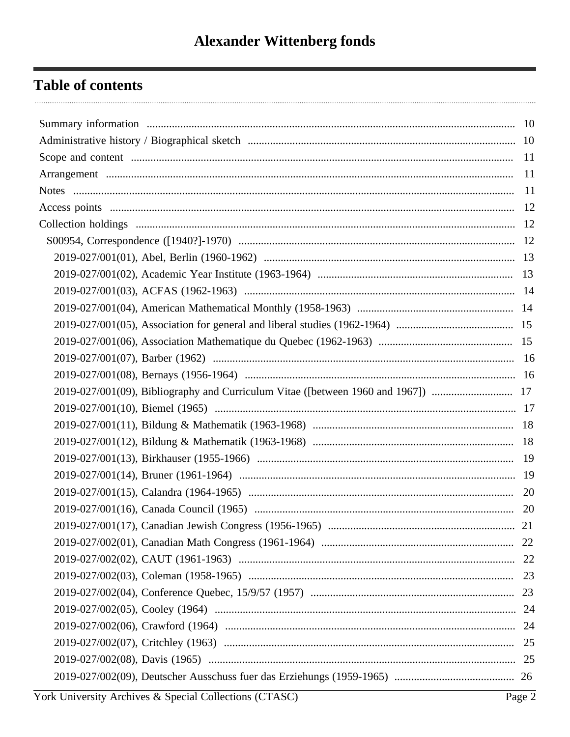## **Table of contents**

|  | - 20 |  |
|--|------|--|
|  |      |  |
|  |      |  |
|  |      |  |
|  |      |  |
|  |      |  |
|  |      |  |
|  |      |  |
|  |      |  |
|  |      |  |
|  |      |  |
|  |      |  |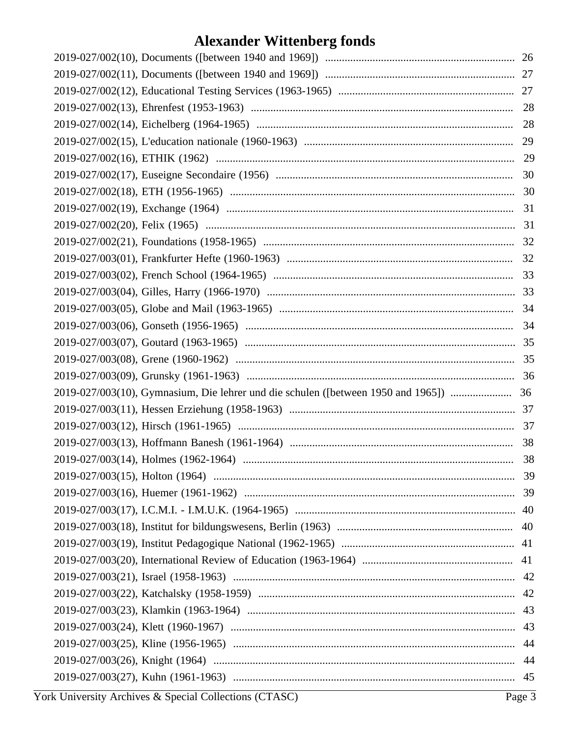| 30 |    |
|----|----|
|    |    |
|    |    |
|    |    |
|    |    |
|    |    |
|    |    |
|    |    |
|    |    |
|    |    |
|    |    |
|    |    |
|    |    |
|    |    |
|    |    |
|    |    |
|    | 38 |
|    |    |
|    |    |
|    |    |
|    |    |
|    |    |
|    |    |
|    |    |
|    |    |
|    |    |
|    |    |
|    |    |
|    |    |
|    |    |
|    |    |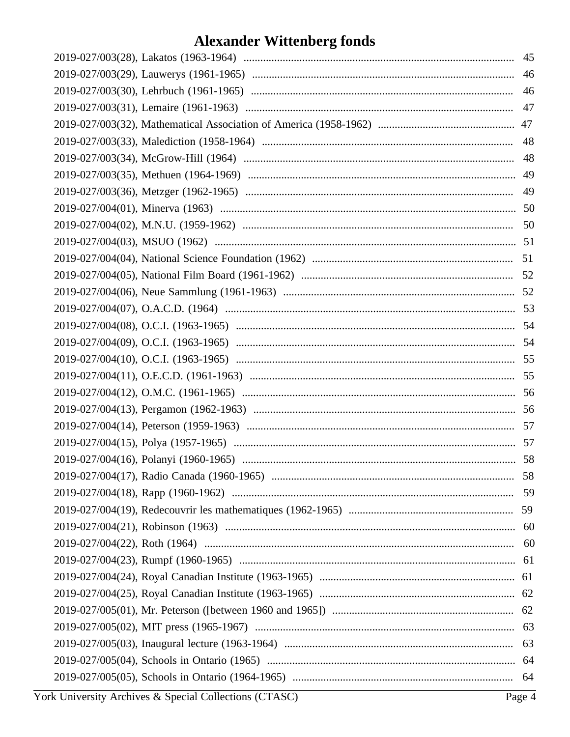| 46 |     |
|----|-----|
|    | 46  |
|    | 47  |
|    | 47  |
|    | 48  |
|    | 48  |
|    | 49  |
|    | 49  |
|    |     |
|    | 50  |
|    |     |
|    | 51  |
|    |     |
|    |     |
|    |     |
|    |     |
|    | 54  |
|    |     |
|    |     |
|    |     |
|    |     |
|    | -57 |
|    |     |
|    |     |
|    |     |
|    |     |
|    |     |
|    |     |
|    |     |
|    |     |
|    |     |
|    |     |
|    |     |
|    |     |
|    |     |
|    |     |
|    |     |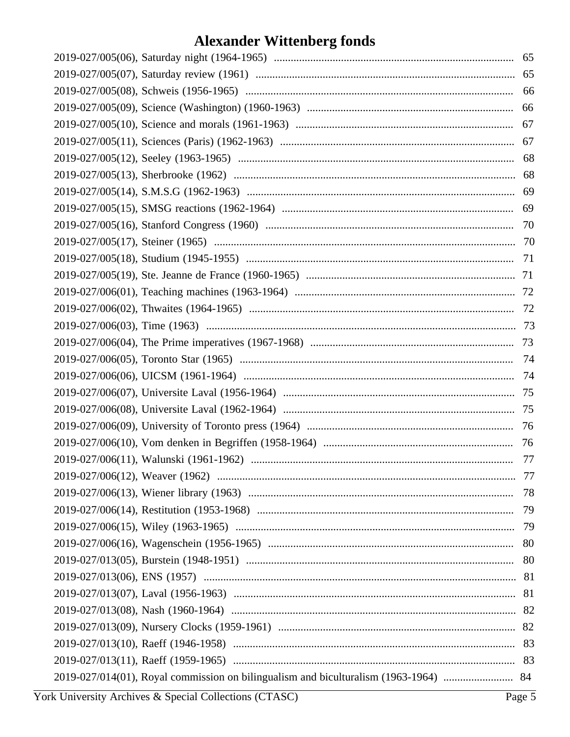| 66 |
|----|
| 67 |
| 67 |
| 68 |
| 68 |
|    |
| 69 |
|    |
|    |
|    |
|    |
|    |
|    |
|    |
|    |
|    |
|    |
|    |
|    |
| 76 |
|    |
|    |
|    |
|    |
| 79 |
|    |
| 80 |
|    |
|    |
|    |
|    |
|    |
| 83 |
|    |
|    |
|    |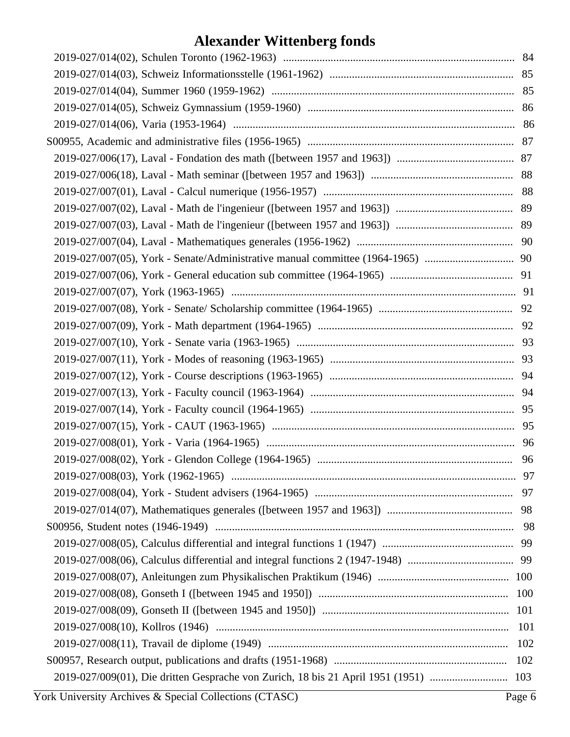| 101 |
|-----|
| 102 |
| 102 |
|     |
|     |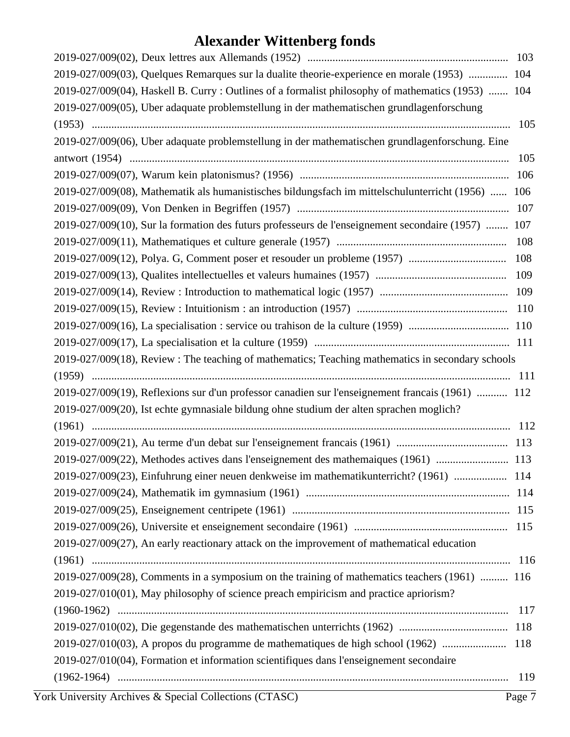| 2019-027/009(03), Quelques Remarques sur la dualite theorie-experience en morale (1953)  104       |     |
|----------------------------------------------------------------------------------------------------|-----|
| 2019-027/009(04), Haskell B. Curry : Outlines of a formalist philosophy of mathematics (1953)  104 |     |
| 2019-027/009(05), Uber adaquate problemstellung in der mathematischen grundlagenforschung          |     |
|                                                                                                    | 105 |
| 2019-027/009(06), Uber adaquate problemstellung in der mathematischen grundlagenforschung. Eine    |     |
|                                                                                                    | 105 |
|                                                                                                    | 106 |
| 2019-027/009(08), Mathematik als humanistisches bildungsfach im mittelschulunterricht (1956)  106  |     |
|                                                                                                    | 107 |
| 2019-027/009(10), Sur la formation des futurs professeurs de l'enseignement secondaire (1957)  107 |     |
|                                                                                                    |     |
|                                                                                                    |     |
|                                                                                                    |     |
|                                                                                                    |     |
|                                                                                                    |     |
|                                                                                                    |     |
|                                                                                                    |     |
| 2019-027/009(18), Review: The teaching of mathematics; Teaching mathematics in secondary schools   |     |
|                                                                                                    |     |
| 2019-027/009(19), Reflexions sur d'un professor canadien sur l'enseignement francais (1961)  112   |     |
| 2019-027/009(20), Ist echte gymnasiale bildung ohne studium der alten sprachen moglich?            |     |
|                                                                                                    |     |
|                                                                                                    |     |
| 2019-027/009(22), Methodes actives dans l'enseignement des mathemaiques (1961)  113                |     |
| 2019-027/009(23), Einfuhrung einer neuen denkweise im mathematikunterricht? (1961)  114            |     |
|                                                                                                    |     |
|                                                                                                    |     |
|                                                                                                    |     |
| 2019-027/009(27), An early reactionary attack on the improvement of mathematical education         |     |
|                                                                                                    |     |
| 2019-027/009(28), Comments in a symposium on the training of mathematics teachers (1961)  116      |     |
| 2019-027/010(01), May philosophy of science preach empiricism and practice apriorism?              |     |
|                                                                                                    |     |
|                                                                                                    |     |
| 2019-027/010(03), A propos du programme de mathematiques de high school (1962)  118                |     |
| 2019-027/010(04), Formation et information scientifiques dans l'enseignement secondaire            |     |
|                                                                                                    | 119 |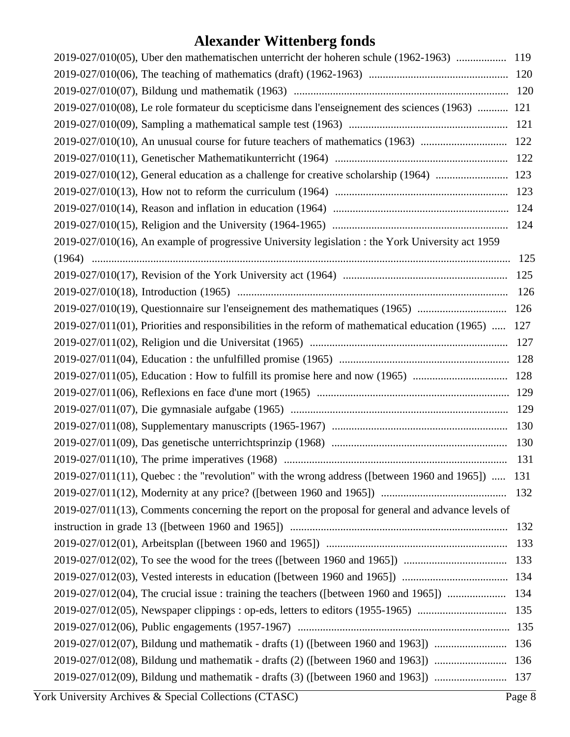| 2019-027/010(05), Uber den mathematischen unterricht der hoheren schule (1962-1963)  119              |     |  |
|-------------------------------------------------------------------------------------------------------|-----|--|
|                                                                                                       |     |  |
|                                                                                                       |     |  |
| 2019-027/010(08), Le role formateur du scepticisme dans l'enseignement des sciences (1963)  121       |     |  |
|                                                                                                       |     |  |
|                                                                                                       |     |  |
|                                                                                                       |     |  |
| 2019-027/010(12), General education as a challenge for creative scholarship (1964)  123               |     |  |
|                                                                                                       |     |  |
|                                                                                                       |     |  |
|                                                                                                       |     |  |
| 2019-027/010(16), An example of progressive University legislation : the York University act 1959     |     |  |
|                                                                                                       | 125 |  |
|                                                                                                       | 125 |  |
|                                                                                                       | 126 |  |
| 2019-027/010(19), Questionnaire sur l'enseignement des mathematiques (1965)  126                      |     |  |
| 2019-027/011(01), Priorities and responsibilities in the reform of mathematical education (1965)  127 |     |  |
|                                                                                                       | 127 |  |
|                                                                                                       |     |  |
|                                                                                                       |     |  |
|                                                                                                       |     |  |
|                                                                                                       |     |  |
|                                                                                                       |     |  |
|                                                                                                       | 130 |  |
|                                                                                                       | 131 |  |
| $2019-027/011(11)$ , Quebec : the "revolution" with the wrong address ([between 1960 and 1965])  131  |     |  |
|                                                                                                       | 132 |  |
| 2019-027/011(13), Comments concerning the report on the proposal for general and advance levels of    |     |  |
|                                                                                                       | 132 |  |
|                                                                                                       | 133 |  |
|                                                                                                       | 133 |  |
|                                                                                                       |     |  |
| 2019-027/012(04), The crucial issue : training the teachers ([between 1960 and 1965])                 | 134 |  |
| 2019-027/012(05), Newspaper clippings : op-eds, letters to editors (1955-1965)                        | 135 |  |
|                                                                                                       |     |  |
|                                                                                                       |     |  |
| 2019-027/012(08), Bildung und mathematik - drafts (2) ([between 1960 and 1963])                       | 136 |  |
| 2019-027/012(09), Bildung und mathematik - drafts (3) ([between 1960 and 1963])  137                  |     |  |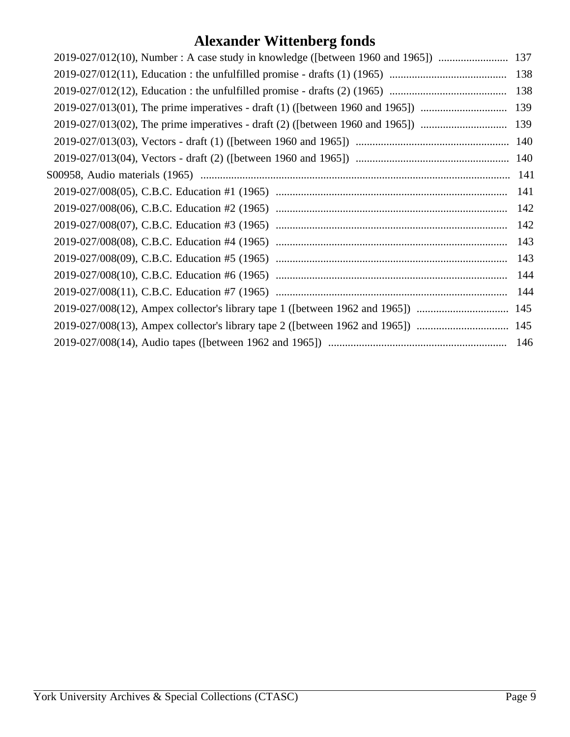| 2019-027/012(10), Number: A case study in knowledge ([between 1960 and 1965]) | 137 |
|-------------------------------------------------------------------------------|-----|
|                                                                               | 138 |
|                                                                               |     |
|                                                                               |     |
|                                                                               |     |
|                                                                               |     |
|                                                                               |     |
|                                                                               |     |
|                                                                               |     |
|                                                                               |     |
|                                                                               |     |
|                                                                               | 143 |
|                                                                               | 143 |
|                                                                               |     |
|                                                                               |     |
|                                                                               |     |
|                                                                               |     |
|                                                                               |     |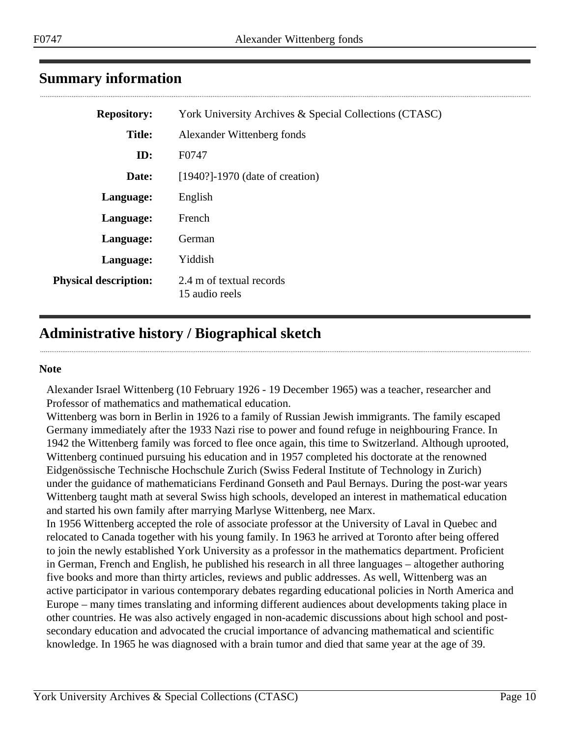## <span id="page-9-0"></span>**Summary information**

| <b>Repository:</b>           | York University Archives & Special Collections (CTASC) |
|------------------------------|--------------------------------------------------------|
| <b>Title:</b>                | Alexander Wittenberg fonds                             |
| ID:                          | F0747                                                  |
| Date:                        | $[1940?]$ -1970 (date of creation)                     |
| Language:                    | English                                                |
| Language:                    | French                                                 |
| Language:                    | German                                                 |
| Language:                    | Yiddish                                                |
| <b>Physical description:</b> | 2.4 m of textual records<br>15 audio reels             |

## <span id="page-9-1"></span>**Administrative history / Biographical sketch**

#### **Note**

Alexander Israel Wittenberg (10 February 1926 - 19 December 1965) was a teacher, researcher and Professor of mathematics and mathematical education.

Wittenberg was born in Berlin in 1926 to a family of Russian Jewish immigrants. The family escaped Germany immediately after the 1933 Nazi rise to power and found refuge in neighbouring France. In 1942 the Wittenberg family was forced to flee once again, this time to Switzerland. Although uprooted, Wittenberg continued pursuing his education and in 1957 completed his doctorate at the renowned Eidgenössische Technische Hochschule Zurich (Swiss Federal Institute of Technology in Zurich) under the guidance of mathematicians Ferdinand Gonseth and Paul Bernays. During the post-war years Wittenberg taught math at several Swiss high schools, developed an interest in mathematical education and started his own family after marrying Marlyse Wittenberg, nee Marx.

In 1956 Wittenberg accepted the role of associate professor at the University of Laval in Quebec and relocated to Canada together with his young family. In 1963 he arrived at Toronto after being offered to join the newly established York University as a professor in the mathematics department. Proficient in German, French and English, he published his research in all three languages – altogether authoring five books and more than thirty articles, reviews and public addresses. As well, Wittenberg was an active participator in various contemporary debates regarding educational policies in North America and Europe – many times translating and informing different audiences about developments taking place in other countries. He was also actively engaged in non-academic discussions about high school and postsecondary education and advocated the crucial importance of advancing mathematical and scientific knowledge. In 1965 he was diagnosed with a brain tumor and died that same year at the age of 39.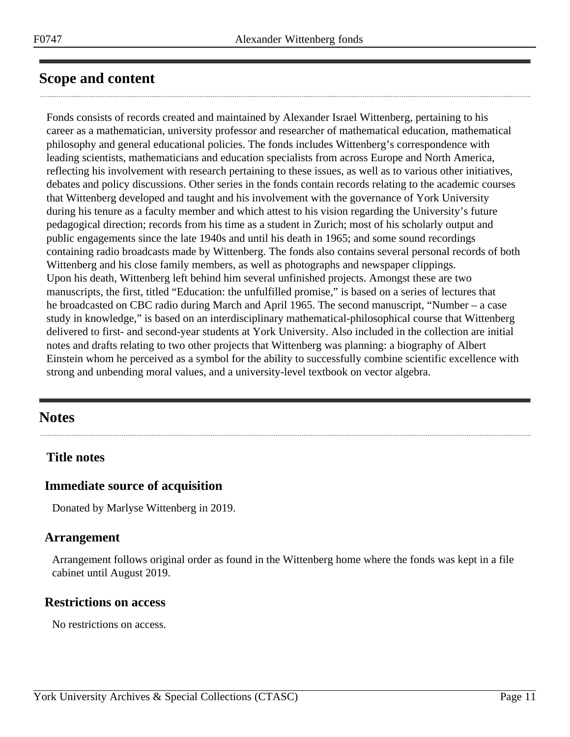## <span id="page-10-0"></span>**Scope and content**

Fonds consists of records created and maintained by Alexander Israel Wittenberg, pertaining to his career as a mathematician, university professor and researcher of mathematical education, mathematical philosophy and general educational policies. The fonds includes Wittenberg's correspondence with leading scientists, mathematicians and education specialists from across Europe and North America, reflecting his involvement with research pertaining to these issues, as well as to various other initiatives, debates and policy discussions. Other series in the fonds contain records relating to the academic courses that Wittenberg developed and taught and his involvement with the governance of York University during his tenure as a faculty member and which attest to his vision regarding the University's future pedagogical direction; records from his time as a student in Zurich; most of his scholarly output and public engagements since the late 1940s and until his death in 1965; and some sound recordings containing radio broadcasts made by Wittenberg. The fonds also contains several personal records of both Wittenberg and his close family members, as well as photographs and newspaper clippings. Upon his death, Wittenberg left behind him several unfinished projects. Amongst these are two manuscripts, the first, titled "Education: the unfulfilled promise," is based on a series of lectures that he broadcasted on CBC radio during March and April 1965. The second manuscript, "Number – a case study in knowledge," is based on an interdisciplinary mathematical-philosophical course that Wittenberg delivered to first- and second-year students at York University. Also included in the collection are initial notes and drafts relating to two other projects that Wittenberg was planning: a biography of Albert Einstein whom he perceived as a symbol for the ability to successfully combine scientific excellence with strong and unbending moral values, and a university-level textbook on vector algebra.

## <span id="page-10-2"></span>**Notes**

## **Title notes**

## **Immediate source of acquisition**

Donated by Marlyse Wittenberg in 2019.

### <span id="page-10-1"></span>**Arrangement**

Arrangement follows original order as found in the Wittenberg home where the fonds was kept in a file cabinet until August 2019.

### **Restrictions on access**

No restrictions on access.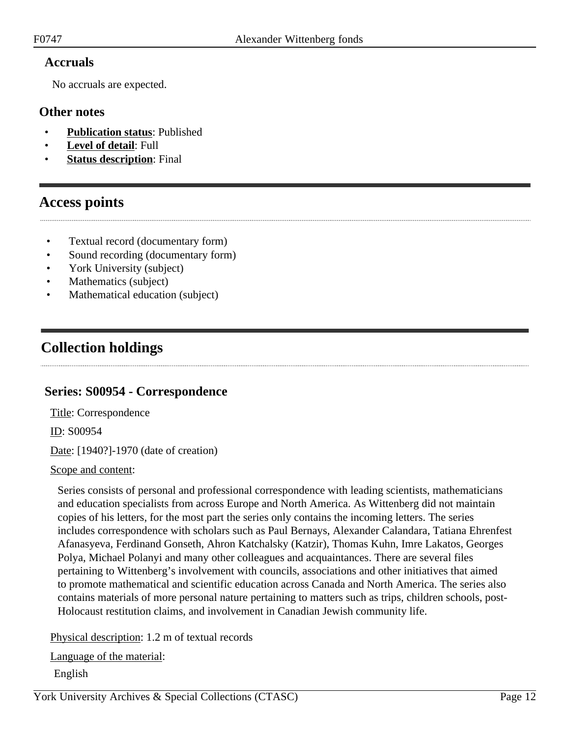## **Accruals**

No accruals are expected.

### **Other notes**

- **Publication status**: Published
- Level of detail: Full
- **Status description**: Final

## <span id="page-11-0"></span>**Access points**

- Textual record (documentary form)
- Sound recording (documentary form)
- York University (subject)
- Mathematics (subject)
- Mathematical education (subject)

## <span id="page-11-1"></span>**Collection holdings**

## <span id="page-11-2"></span>**Series: S00954 - Correspondence**

Title: Correspondence

ID: S00954

Date: [1940?]-1970 (date of creation)

#### Scope and content:

Series consists of personal and professional correspondence with leading scientists, mathematicians and education specialists from across Europe and North America. As Wittenberg did not maintain copies of his letters, for the most part the series only contains the incoming letters. The series includes correspondence with scholars such as Paul Bernays, Alexander Calandara, Tatiana Ehrenfest Afanasyeva, Ferdinand Gonseth, Ahron Katchalsky (Katzir), Thomas Kuhn, Imre Lakatos, Georges Polya, Michael Polanyi and many other colleagues and acquaintances. There are several files pertaining to Wittenberg's involvement with councils, associations and other initiatives that aimed to promote mathematical and scientific education across Canada and North America. The series also contains materials of more personal nature pertaining to matters such as trips, children schools, post-Holocaust restitution claims, and involvement in Canadian Jewish community life.

Physical description: 1.2 m of textual records

Language of the material:

English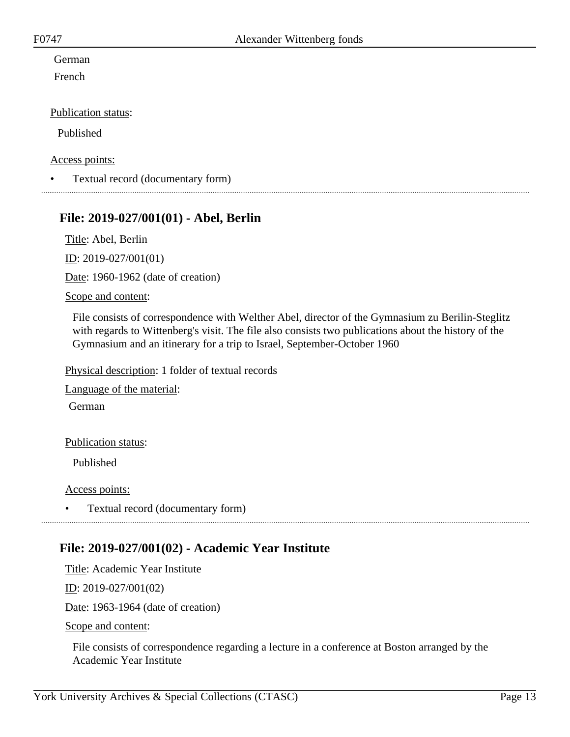## German

French

#### Publication status:

Published

#### Access points:

• Textual record (documentary form)

## <span id="page-12-0"></span>**File: 2019-027/001(01) - Abel, Berlin**

Title: Abel, Berlin

ID: 2019-027/001(01)

Date: 1960-1962 (date of creation)

#### Scope and content:

File consists of correspondence with Welther Abel, director of the Gymnasium zu Berilin-Steglitz with regards to Wittenberg's visit. The file also consists two publications about the history of the Gymnasium and an itinerary for a trip to Israel, September-October 1960

Physical description: 1 folder of textual records

Language of the material:

German

#### Publication status:

Published

Access points:

• Textual record (documentary form)

## <span id="page-12-1"></span>**File: 2019-027/001(02) - Academic Year Institute**

Title: Academic Year Institute

ID: 2019-027/001(02)

Date: 1963-1964 (date of creation)

Scope and content:

File consists of correspondence regarding a lecture in a conference at Boston arranged by the Academic Year Institute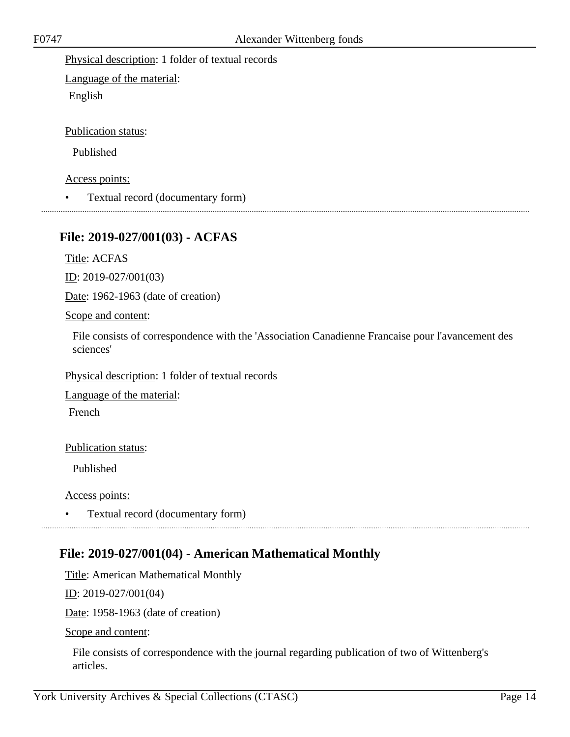Physical description: 1 folder of textual records

Language of the material: English

Publication status:

Published

Access points:

• Textual record (documentary form)

## <span id="page-13-0"></span>**File: 2019-027/001(03) - ACFAS**

Title: ACFAS

ID: 2019-027/001(03)

Date: 1962-1963 (date of creation)

#### Scope and content:

File consists of correspondence with the 'Association Canadienne Francaise pour l'avancement des sciences'

Physical description: 1 folder of textual records

Language of the material:

French

Publication status:

Published

Access points:

• Textual record (documentary form)

## <span id="page-13-1"></span>**File: 2019-027/001(04) - American Mathematical Monthly**

Title: American Mathematical Monthly

ID: 2019-027/001(04)

Date: 1958-1963 (date of creation)

Scope and content:

File consists of correspondence with the journal regarding publication of two of Wittenberg's articles.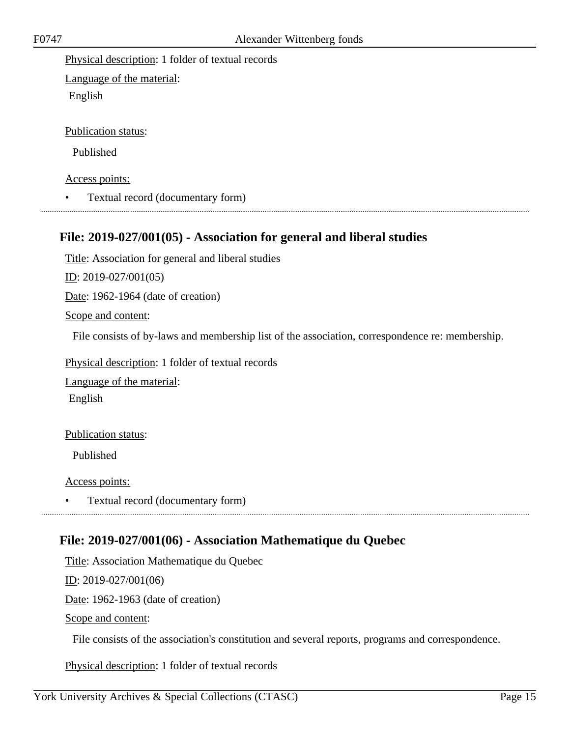Physical description: 1 folder of textual records

Language of the material: English

Publication status:

Published

Access points:

• Textual record (documentary form)

## <span id="page-14-0"></span>**File: 2019-027/001(05) - Association for general and liberal studies**

Title: Association for general and liberal studies

ID: 2019-027/001(05)

Date: 1962-1964 (date of creation)

Scope and content:

File consists of by-laws and membership list of the association, correspondence re: membership.

Physical description: 1 folder of textual records

Language of the material:

English

Publication status:

Published

Access points:

• Textual record (documentary form)

## <span id="page-14-1"></span>**File: 2019-027/001(06) - Association Mathematique du Quebec**

Title: Association Mathematique du Quebec

ID: 2019-027/001(06)

Date: 1962-1963 (date of creation)

Scope and content:

File consists of the association's constitution and several reports, programs and correspondence.

Physical description: 1 folder of textual records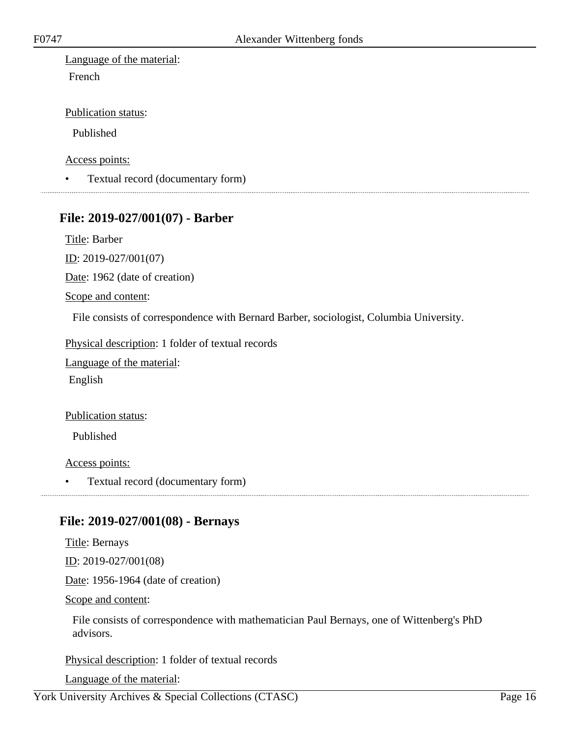Language of the material: French

Publication status:

Published

Access points:

• Textual record (documentary form)

### <span id="page-15-0"></span>**File: 2019-027/001(07) - Barber**

Title: Barber

ID: 2019-027/001(07)

Date: 1962 (date of creation)

Scope and content:

File consists of correspondence with Bernard Barber, sociologist, Columbia University.

Physical description: 1 folder of textual records

Language of the material:

English

#### Publication status:

Published

Access points:

• Textual record (documentary form)

## <span id="page-15-1"></span>**File: 2019-027/001(08) - Bernays**

Title: Bernays

ID: 2019-027/001(08)

Date: 1956-1964 (date of creation)

Scope and content:

File consists of correspondence with mathematician Paul Bernays, one of Wittenberg's PhD advisors.

Physical description: 1 folder of textual records

Language of the material: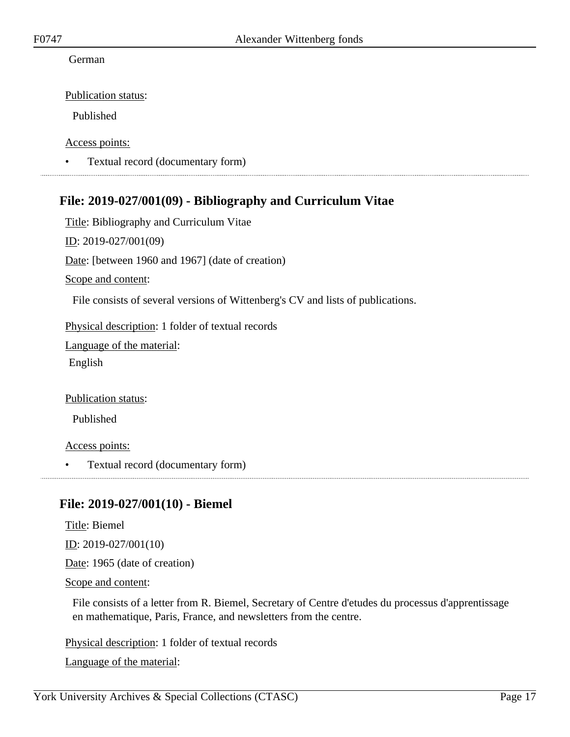#### German

Publication status:

Published

Access points:

• Textual record (documentary form)

## <span id="page-16-0"></span>**File: 2019-027/001(09) - Bibliography and Curriculum Vitae**

Title: Bibliography and Curriculum Vitae ID: 2019-027/001(09) Date: [between 1960 and 1967] (date of creation) Scope and content: File consists of several versions of Wittenberg's CV and lists of publications.

Physical description: 1 folder of textual records

Language of the material:

English

Publication status:

Published

Access points:

• Textual record (documentary form)

## <span id="page-16-1"></span>**File: 2019-027/001(10) - Biemel**

Title: Biemel ID: 2019-027/001(10)

Date: 1965 (date of creation)

Scope and content:

File consists of a letter from R. Biemel, Secretary of Centre d'etudes du processus d'apprentissage en mathematique, Paris, France, and newsletters from the centre.

Physical description: 1 folder of textual records

Language of the material: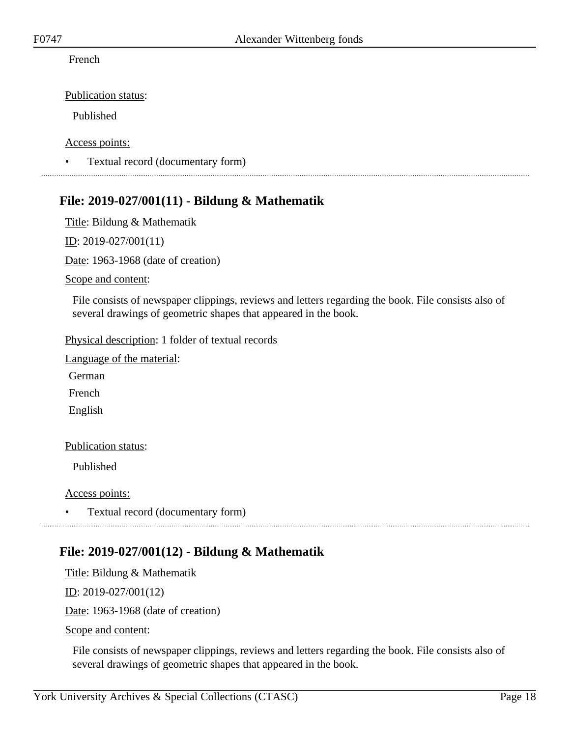French

Publication status:

Published

Access points:

• Textual record (documentary form)

## <span id="page-17-0"></span>**File: 2019-027/001(11) - Bildung & Mathematik**

Title: Bildung & Mathematik

ID: 2019-027/001(11)

Date: 1963-1968 (date of creation)

Scope and content:

File consists of newspaper clippings, reviews and letters regarding the book. File consists also of several drawings of geometric shapes that appeared in the book.

Physical description: 1 folder of textual records

Language of the material:

German

French

English

#### Publication status:

Published

Access points:

• Textual record (documentary form)

## <span id="page-17-1"></span>**File: 2019-027/001(12) - Bildung & Mathematik**

Title: Bildung & Mathematik

ID: 2019-027/001(12)

Date: 1963-1968 (date of creation)

Scope and content:

File consists of newspaper clippings, reviews and letters regarding the book. File consists also of several drawings of geometric shapes that appeared in the book.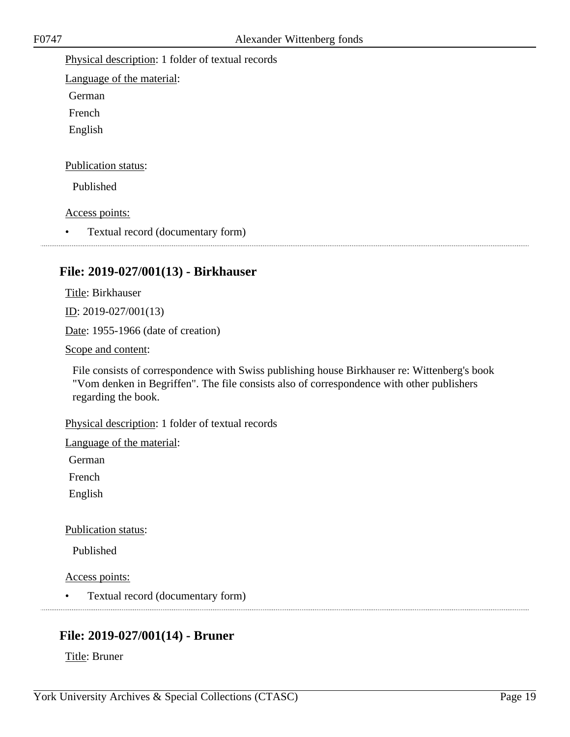Physical description: 1 folder of textual records

Language of the material:

German

French

English

Publication status:

Published

Access points:

• Textual record (documentary form)

## <span id="page-18-0"></span>**File: 2019-027/001(13) - Birkhauser**

Title: Birkhauser

ID: 2019-027/001(13)

Date: 1955-1966 (date of creation)

Scope and content:

File consists of correspondence with Swiss publishing house Birkhauser re: Wittenberg's book "Vom denken in Begriffen". The file consists also of correspondence with other publishers regarding the book.

Physical description: 1 folder of textual records

Language of the material:

German

French

English

Publication status:

Published

Access points:

• Textual record (documentary form)

## <span id="page-18-1"></span>**File: 2019-027/001(14) - Bruner**

Title: Bruner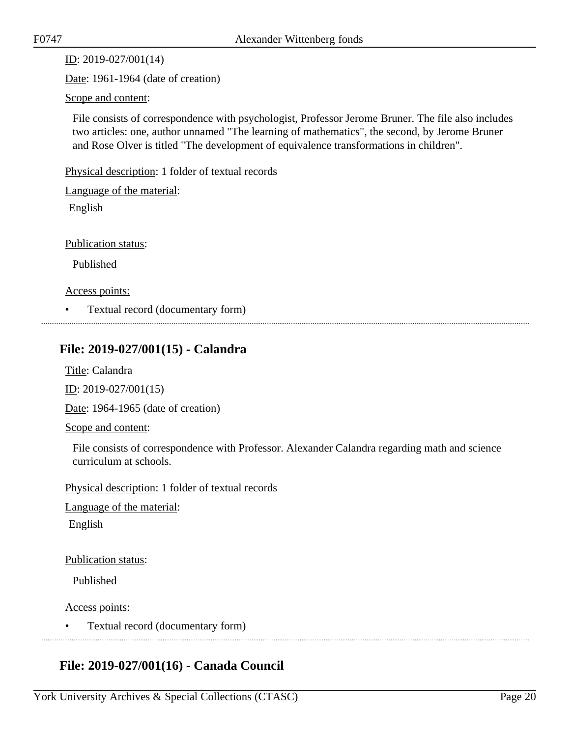ID: 2019-027/001(14)

Date: 1961-1964 (date of creation)

Scope and content:

File consists of correspondence with psychologist, Professor Jerome Bruner. The file also includes two articles: one, author unnamed "The learning of mathematics", the second, by Jerome Bruner and Rose Olver is titled "The development of equivalence transformations in children".

Physical description: 1 folder of textual records

Language of the material:

English

Publication status:

Published

Access points:

• Textual record (documentary form)

## <span id="page-19-0"></span>**File: 2019-027/001(15) - Calandra**

Title: Calandra

ID: 2019-027/001(15)

Date: 1964-1965 (date of creation)

Scope and content:

File consists of correspondence with Professor. Alexander Calandra regarding math and science curriculum at schools.

Physical description: 1 folder of textual records

Language of the material:

English

Publication status:

Published

Access points:

• Textual record (documentary form)

## <span id="page-19-1"></span>**File: 2019-027/001(16) - Canada Council**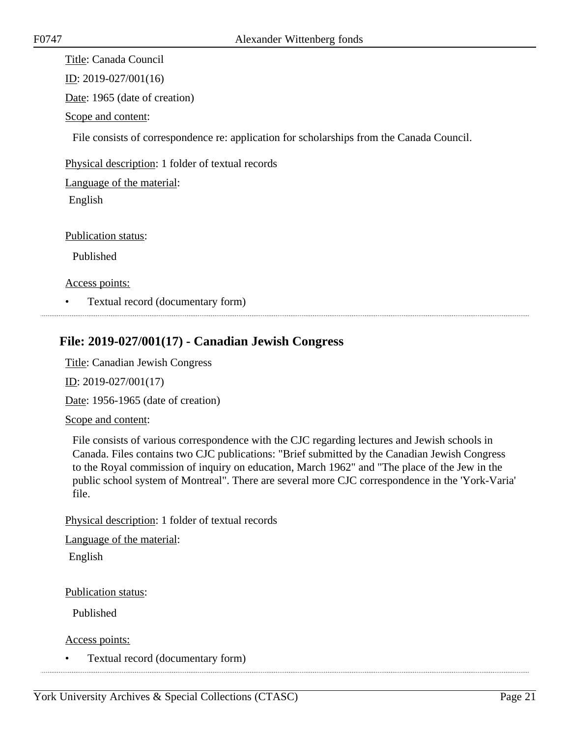Title: Canada Council

ID: 2019-027/001(16)

Date: 1965 (date of creation)

Scope and content:

File consists of correspondence re: application for scholarships from the Canada Council.

Physical description: 1 folder of textual records

Language of the material:

English

Publication status:

Published

Access points:

• Textual record (documentary form)

## <span id="page-20-0"></span>**File: 2019-027/001(17) - Canadian Jewish Congress**

Title: Canadian Jewish Congress

ID: 2019-027/001(17)

Date: 1956-1965 (date of creation)

#### Scope and content:

File consists of various correspondence with the CJC regarding lectures and Jewish schools in Canada. Files contains two CJC publications: "Brief submitted by the Canadian Jewish Congress to the Royal commission of inquiry on education, March 1962" and "The place of the Jew in the public school system of Montreal". There are several more CJC correspondence in the 'York-Varia' file.

Physical description: 1 folder of textual records

Language of the material:

English

Publication status:

Published

Access points:

• Textual record (documentary form)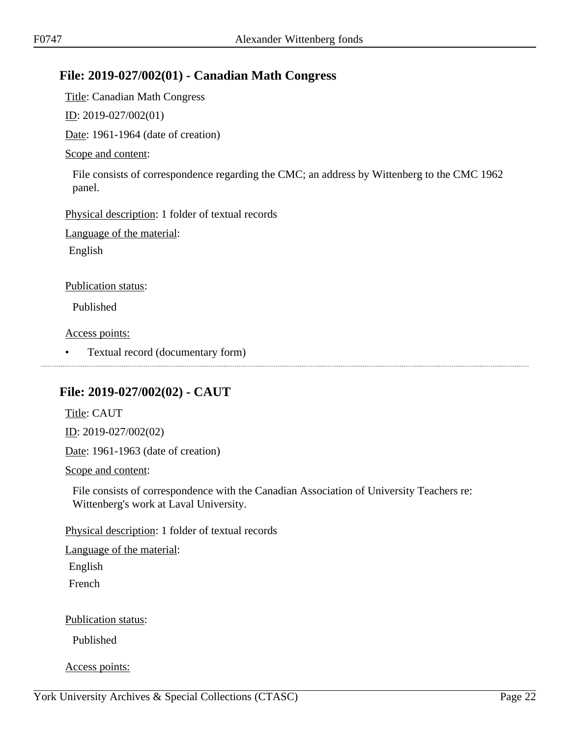## <span id="page-21-0"></span>**File: 2019-027/002(01) - Canadian Math Congress**

Title: Canadian Math Congress

ID: 2019-027/002(01)

Date: 1961-1964 (date of creation)

#### Scope and content:

File consists of correspondence regarding the CMC; an address by Wittenberg to the CMC 1962 panel.

Physical description: 1 folder of textual records

Language of the material:

English

Publication status:

Published

Access points:

• Textual record (documentary form) 

## <span id="page-21-1"></span>**File: 2019-027/002(02) - CAUT**

Title: CAUT ID: 2019-027/002(02)

Date: 1961-1963 (date of creation)

Scope and content:

File consists of correspondence with the Canadian Association of University Teachers re: Wittenberg's work at Laval University.

Physical description: 1 folder of textual records

Language of the material:

English

French

Publication status:

Published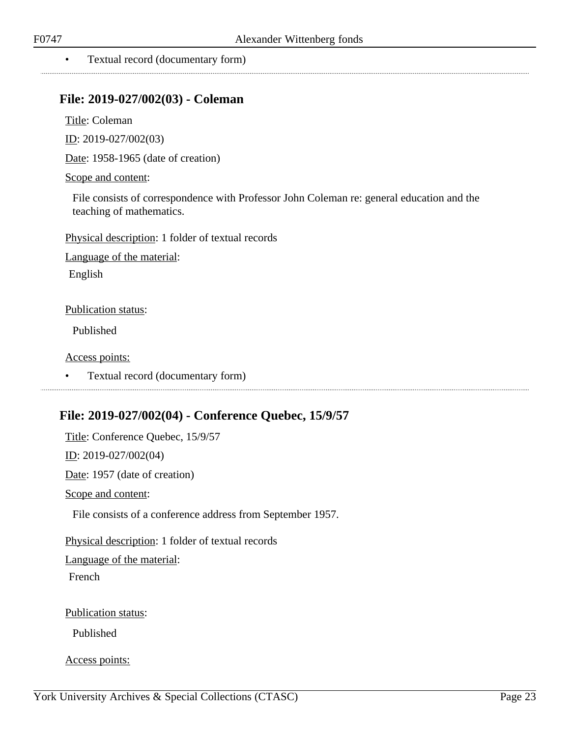#### • Textual record (documentary form)

## <span id="page-22-0"></span>**File: 2019-027/002(03) - Coleman**

Title: Coleman

ID: 2019-027/002(03)

Date: 1958-1965 (date of creation)

Scope and content:

File consists of correspondence with Professor John Coleman re: general education and the teaching of mathematics.

Physical description: 1 folder of textual records

Language of the material:

English

#### Publication status:

Published

Access points:

• Textual record (documentary form)

## <span id="page-22-1"></span>**File: 2019-027/002(04) - Conference Quebec, 15/9/57**

Title: Conference Quebec, 15/9/57 ID: 2019-027/002(04) Date: 1957 (date of creation) Scope and content: File consists of a conference address from September 1957. Physical description: 1 folder of textual records Language of the material: French Publication status: Published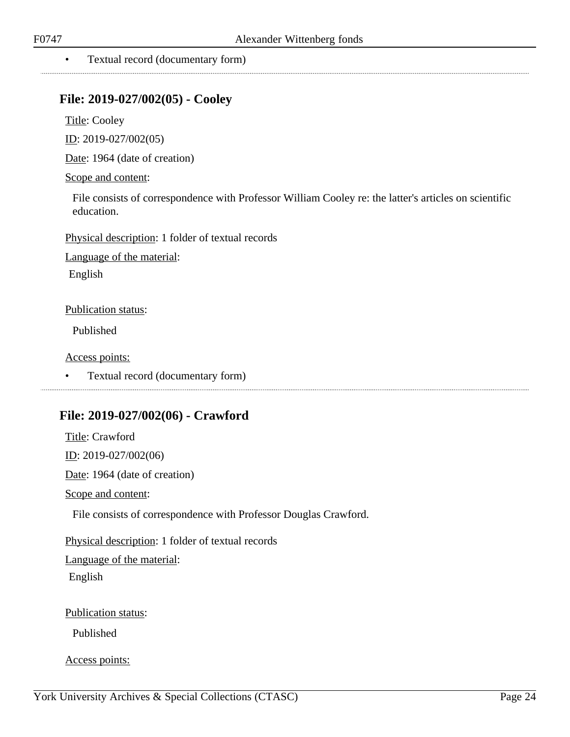#### • Textual record (documentary form)

### <span id="page-23-0"></span>**File: 2019-027/002(05) - Cooley**

Title: Cooley

ID: 2019-027/002(05)

Date: 1964 (date of creation)

#### Scope and content:

File consists of correspondence with Professor William Cooley re: the latter's articles on scientific education.

Physical description: 1 folder of textual records

Language of the material:

English

#### Publication status:

Published

Access points:

• Textual record (documentary form) 

## <span id="page-23-1"></span>**File: 2019-027/002(06) - Crawford**

Title: Crawford ID: 2019-027/002(06) Date: 1964 (date of creation) Scope and content: File consists of correspondence with Professor Douglas Crawford. Physical description: 1 folder of textual records Language of the material: English Publication status:

Published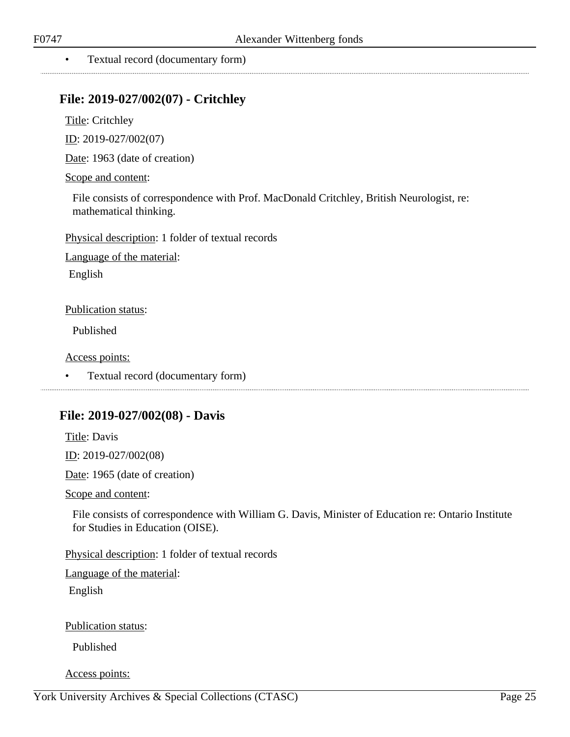## <span id="page-24-0"></span>**File: 2019-027/002(07) - Critchley**

Title: Critchley

ID: 2019-027/002(07)

Date: 1963 (date of creation)

Scope and content:

File consists of correspondence with Prof. MacDonald Critchley, British Neurologist, re: mathematical thinking.

Physical description: 1 folder of textual records

Language of the material:

English

Publication status:

Published

Access points:

• Textual record (documentary form)

### <span id="page-24-1"></span>**File: 2019-027/002(08) - Davis**

Title: Davis ID: 2019-027/002(08) Date: 1965 (date of creation)

Scope and content:

File consists of correspondence with William G. Davis, Minister of Education re: Ontario Institute for Studies in Education (OISE).

Physical description: 1 folder of textual records

Language of the material:

English

Publication status:

Published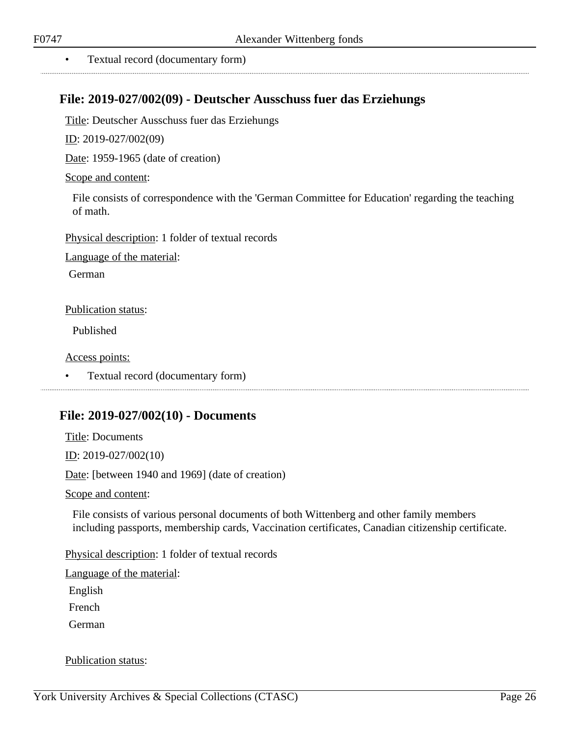## <span id="page-25-0"></span>**File: 2019-027/002(09) - Deutscher Ausschuss fuer das Erziehungs**

Title: Deutscher Ausschuss fuer das Erziehungs

ID: 2019-027/002(09)

Date: 1959-1965 (date of creation)

Scope and content:

File consists of correspondence with the 'German Committee for Education' regarding the teaching of math.

Physical description: 1 folder of textual records

Language of the material:

German

Publication status:

Published

Access points:

• Textual record (documentary form)

### <span id="page-25-1"></span>**File: 2019-027/002(10) - Documents**

Title: Documents ID: 2019-027/002(10) Date: [between 1940 and 1969] (date of creation) Scope and content:

File consists of various personal documents of both Wittenberg and other family members including passports, membership cards, Vaccination certificates, Canadian citizenship certificate.

Physical description: 1 folder of textual records

Language of the material:

English

French

German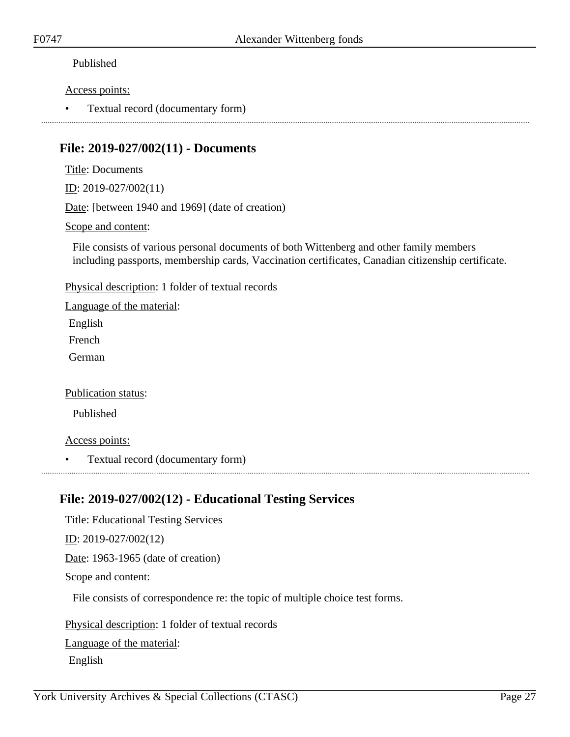#### Access points:

• Textual record (documentary form)

## <span id="page-26-0"></span>**File: 2019-027/002(11) - Documents**

Title: Documents

ID: 2019-027/002(11)

Date: [between 1940 and 1969] (date of creation)

#### Scope and content:

File consists of various personal documents of both Wittenberg and other family members including passports, membership cards, Vaccination certificates, Canadian citizenship certificate.

Physical description: 1 folder of textual records

Language of the material: English

French

German

#### Publication status:

Published

#### Access points:

• Textual record (documentary form)

## <span id="page-26-1"></span>**File: 2019-027/002(12) - Educational Testing Services**

Title: Educational Testing Services ID: 2019-027/002(12) Date: 1963-1965 (date of creation) Scope and content:

File consists of correspondence re: the topic of multiple choice test forms.

Physical description: 1 folder of textual records Language of the material:

English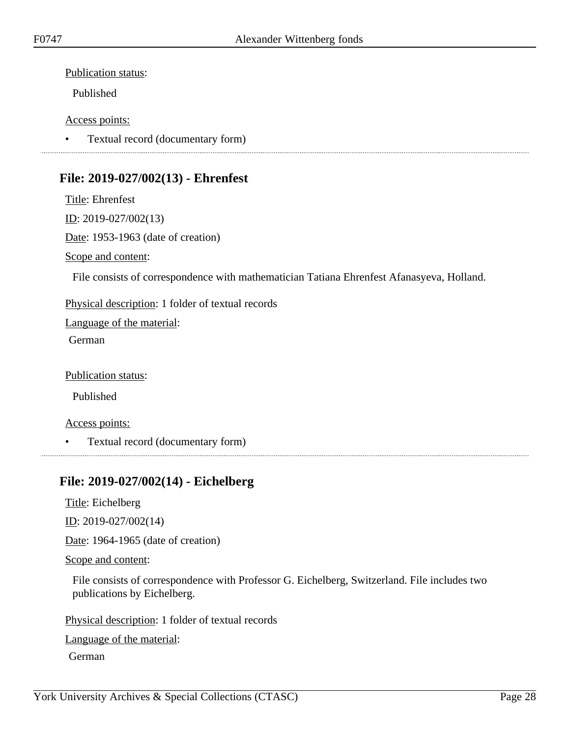Published

#### Access points:

• Textual record (documentary form)

## <span id="page-27-0"></span>**File: 2019-027/002(13) - Ehrenfest**

Title: Ehrenfest ID: 2019-027/002(13) Date: 1953-1963 (date of creation) Scope and content:

File consists of correspondence with mathematician Tatiana Ehrenfest Afanasyeva, Holland.

Physical description: 1 folder of textual records

Language of the material:

German

Publication status:

Published

Access points:

• Textual record (documentary form)

## <span id="page-27-1"></span>**File: 2019-027/002(14) - Eichelberg**

Title: Eichelberg

ID: 2019-027/002(14)

Date: 1964-1965 (date of creation)

Scope and content:

File consists of correspondence with Professor G. Eichelberg, Switzerland. File includes two publications by Eichelberg.

Physical description: 1 folder of textual records

Language of the material:

German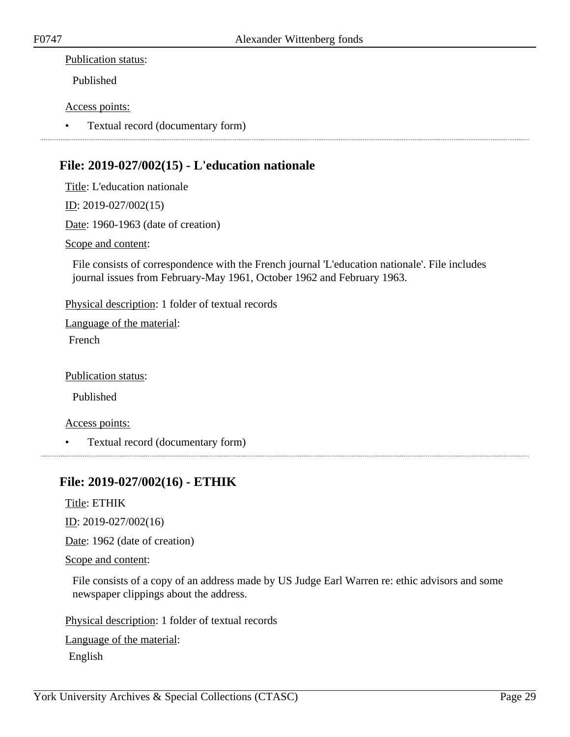Published

#### Access points:

• Textual record (documentary form)

## <span id="page-28-0"></span>**File: 2019-027/002(15) - L'education nationale**

Title: L'education nationale

ID: 2019-027/002(15)

Date: 1960-1963 (date of creation)

Scope and content:

File consists of correspondence with the French journal 'L'education nationale'. File includes journal issues from February-May 1961, October 1962 and February 1963.

Physical description: 1 folder of textual records

Language of the material:

French

Publication status:

Published

Access points:

• Textual record (documentary form)

## <span id="page-28-1"></span>**File: 2019-027/002(16) - ETHIK**

Title: ETHIK

ID: 2019-027/002(16)

Date: 1962 (date of creation)

Scope and content:

File consists of a copy of an address made by US Judge Earl Warren re: ethic advisors and some newspaper clippings about the address.

Physical description: 1 folder of textual records

Language of the material: English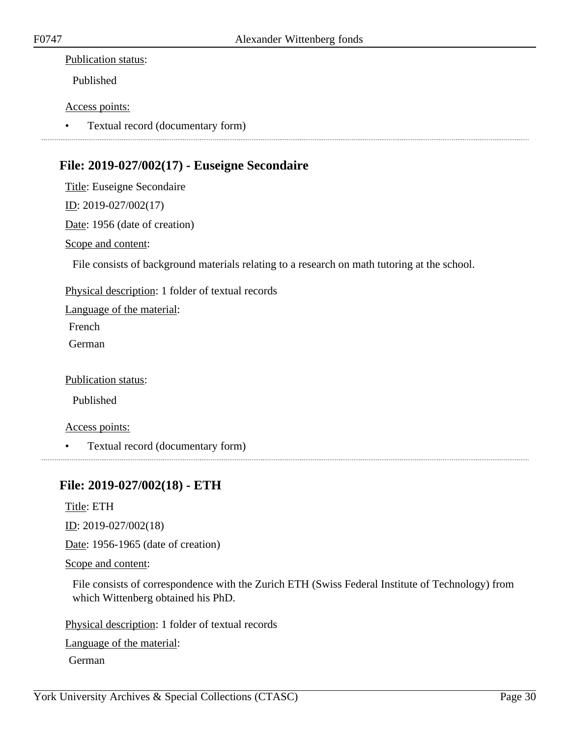Published

#### Access points:

• Textual record (documentary form) 

## <span id="page-29-0"></span>**File: 2019-027/002(17) - Euseigne Secondaire**

Title: Euseigne Secondaire ID: 2019-027/002(17)

Date: 1956 (date of creation)

Scope and content:

File consists of background materials relating to a research on math tutoring at the school.

Physical description: 1 folder of textual records

Language of the material:

French

German

Publication status:

Published

Access points:

• Textual record (documentary form)

## <span id="page-29-1"></span>**File: 2019-027/002(18) - ETH**

Title: ETH

ID: 2019-027/002(18)

Date: 1956-1965 (date of creation)

Scope and content:

File consists of correspondence with the Zurich ETH (Swiss Federal Institute of Technology) from which Wittenberg obtained his PhD.

Physical description: 1 folder of textual records

Language of the material:

German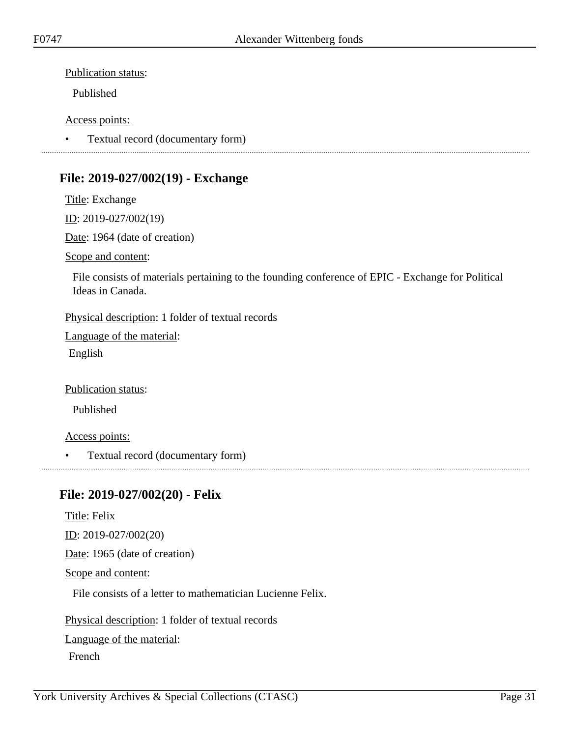Published

#### Access points:

• Textual record (documentary form)

## <span id="page-30-0"></span>**File: 2019-027/002(19) - Exchange**

Title: Exchange ID: 2019-027/002(19) Date: 1964 (date of creation)

Scope and content:

File consists of materials pertaining to the founding conference of EPIC - Exchange for Political Ideas in Canada.

Physical description: 1 folder of textual records

Language of the material: English

Publication status:

Published

Access points:

• Textual record (documentary form)

## <span id="page-30-1"></span>**File: 2019-027/002(20) - Felix**

Title: Felix  $ID: 2019-027/002(20)$ 

Date: 1965 (date of creation)

Scope and content:

File consists of a letter to mathematician Lucienne Felix.

Physical description: 1 folder of textual records

Language of the material:

French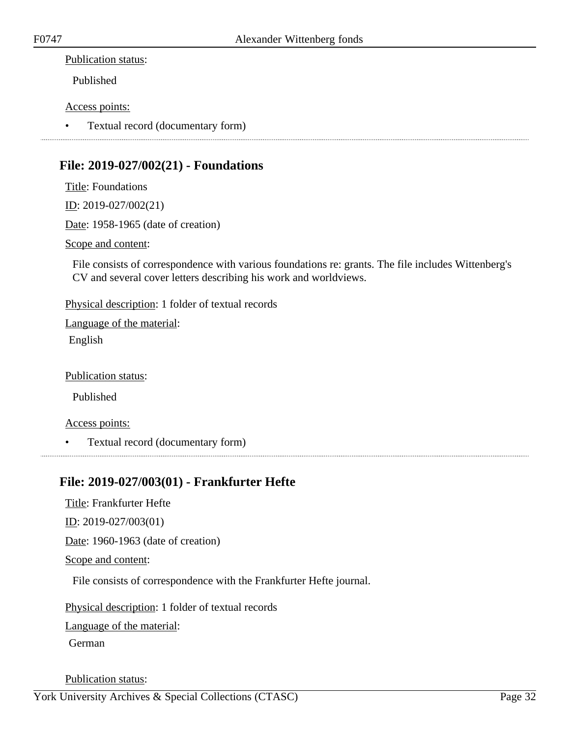Published

#### Access points:

• Textual record (documentary form)

## <span id="page-31-0"></span>**File: 2019-027/002(21) - Foundations**

Title: Foundations ID: 2019-027/002(21) Date: 1958-1965 (date of creation) Scope and content: File consists of correspondence with various foundations re: grants. The file includes Wittenberg's CV and several cover letters describing his work and worldviews.

Physical description: 1 folder of textual records

Language of the material:

English

Publication status:

Published

Access points:

• Textual record (documentary form)

## <span id="page-31-1"></span>**File: 2019-027/003(01) - Frankfurter Hefte**

Title: Frankfurter Hefte

ID: 2019-027/003(01)

Date: 1960-1963 (date of creation)

Scope and content:

File consists of correspondence with the Frankfurter Hefte journal.

Physical description: 1 folder of textual records

Language of the material:

German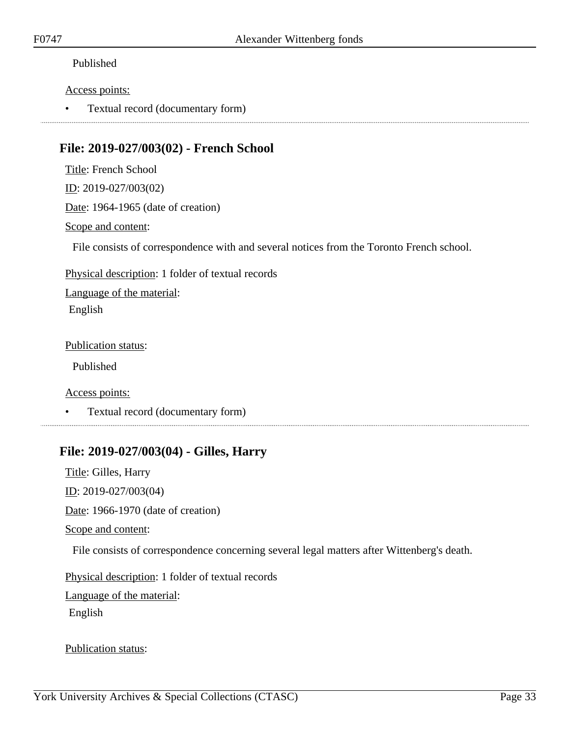#### Access points:

• Textual record (documentary form)

## <span id="page-32-0"></span>**File: 2019-027/003(02) - French School**

Title: French School ID: 2019-027/003(02) Date: 1964-1965 (date of creation) Scope and content:

File consists of correspondence with and several notices from the Toronto French school.

Physical description: 1 folder of textual records

Language of the material: English

Publication status:

Published

Access points:

• Textual record (documentary form)

## <span id="page-32-1"></span>**File: 2019-027/003(04) - Gilles, Harry**

Title: Gilles, Harry ID: 2019-027/003(04) Date: 1966-1970 (date of creation) Scope and content: File consists of correspondence concerning several legal matters after Wittenberg's death. Physical description: 1 folder of textual records Language of the material: English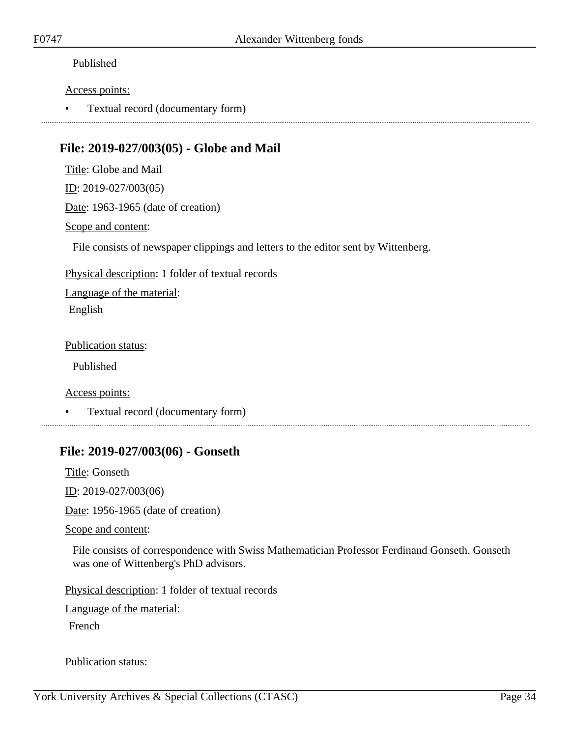#### Access points:

• Textual record (documentary form)

## <span id="page-33-0"></span>**File: 2019-027/003(05) - Globe and Mail**

Title: Globe and Mail

ID: 2019-027/003(05)

Date: 1963-1965 (date of creation)

#### Scope and content:

File consists of newspaper clippings and letters to the editor sent by Wittenberg.

Physical description: 1 folder of textual records

Language of the material: English

Publication status:

Published

Access points:

• Textual record (documentary form)

## <span id="page-33-1"></span>**File: 2019-027/003(06) - Gonseth**

Title: Gonseth ID: 2019-027/003(06)

Date: 1956-1965 (date of creation)

Scope and content:

File consists of correspondence with Swiss Mathematician Professor Ferdinand Gonseth. Gonseth was one of Wittenberg's PhD advisors.

Physical description: 1 folder of textual records

Language of the material:

French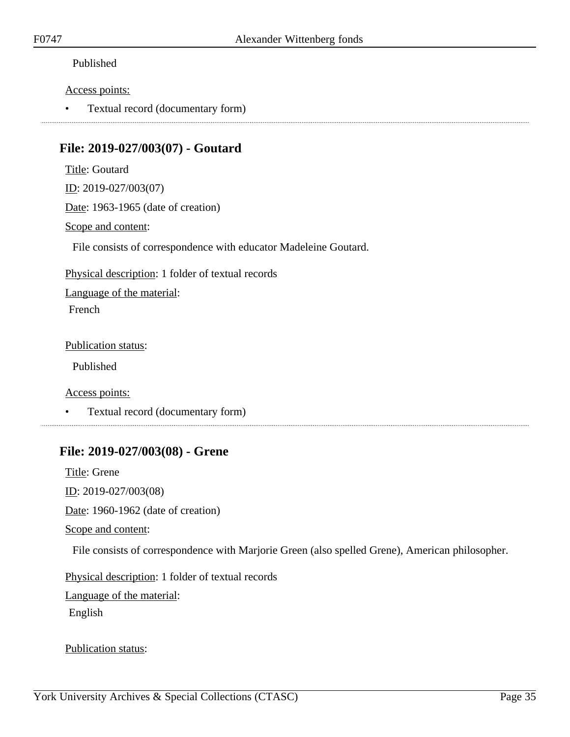#### Access points:

• Textual record (documentary form)

## <span id="page-34-0"></span>**File: 2019-027/003(07) - Goutard**

Title: Goutard ID: 2019-027/003(07)

Date: 1963-1965 (date of creation)

#### Scope and content:

File consists of correspondence with educator Madeleine Goutard.

Physical description: 1 folder of textual records

Language of the material:

French

Publication status:

Published

Access points:

• Textual record (documentary form)

## <span id="page-34-1"></span>**File: 2019-027/003(08) - Grene**

Title: Grene ID: 2019-027/003(08) Date: 1960-1962 (date of creation) Scope and content: File consists of correspondence with Marjorie Green (also spelled Grene), American philosopher. Physical description: 1 folder of textual records Language of the material: English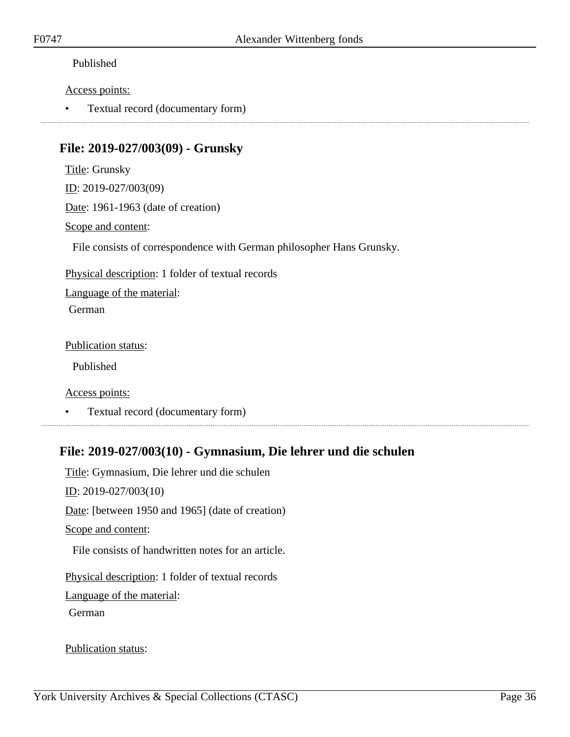#### Access points:

• Textual record (documentary form)

## <span id="page-35-0"></span>**File: 2019-027/003(09) - Grunsky**

Title: Grunsky ID: 2019-027/003(09) Date: 1961-1963 (date of creation)

Scope and content:

File consists of correspondence with German philosopher Hans Grunsky.

Physical description: 1 folder of textual records

Language of the material:

German

Publication status:

Published

Access points:

• Textual record (documentary form)

## <span id="page-35-1"></span>**File: 2019-027/003(10) - Gymnasium, Die lehrer und die schulen**

Title: Gymnasium, Die lehrer und die schulen ID: 2019-027/003(10) Date: [between 1950 and 1965] (date of creation) Scope and content: File consists of handwritten notes for an article. Physical description: 1 folder of textual records Language of the material: German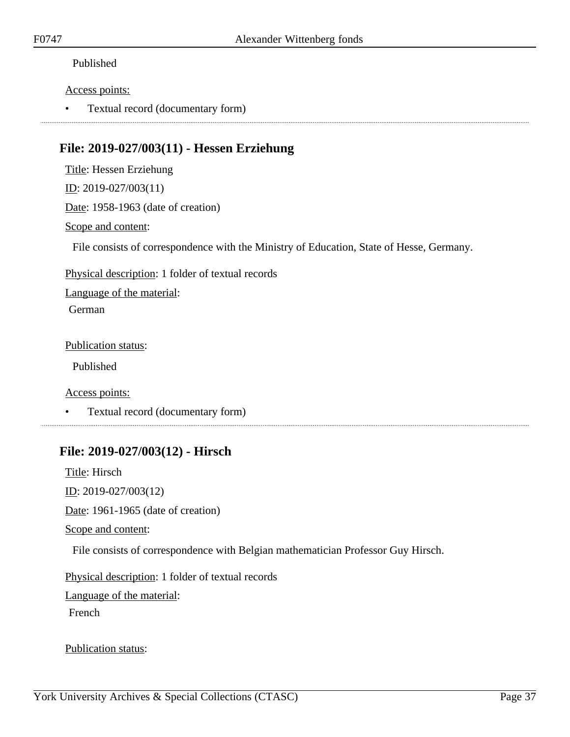#### Access points:

• Textual record (documentary form)

# **File: 2019-027/003(11) - Hessen Erziehung**

Title: Hessen Erziehung

ID: 2019-027/003(11)

Date: 1958-1963 (date of creation)

#### Scope and content:

File consists of correspondence with the Ministry of Education, State of Hesse, Germany.

Physical description: 1 folder of textual records

Language of the material:

German

Publication status:

Published

Access points:

• Textual record (documentary form)

# **File: 2019-027/003(12) - Hirsch**

Title: Hirsch ID: 2019-027/003(12) Date: 1961-1965 (date of creation) Scope and content: File consists of correspondence with Belgian mathematician Professor Guy Hirsch. Physical description: 1 folder of textual records Language of the material: French

Publication status: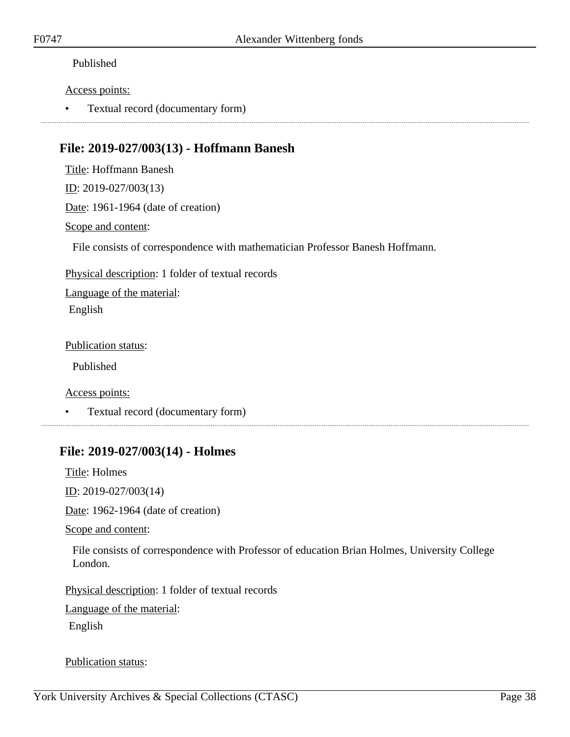#### Access points:

• Textual record (documentary form)

# **File: 2019-027/003(13) - Hoffmann Banesh**

Title: Hoffmann Banesh

ID: 2019-027/003(13)

Date: 1961-1964 (date of creation)

#### Scope and content:

File consists of correspondence with mathematician Professor Banesh Hoffmann.

Physical description: 1 folder of textual records

Language of the material: English

Publication status:

Published

Access points:

• Textual record (documentary form)

### **File: 2019-027/003(14) - Holmes**

Title: Holmes

ID: 2019-027/003(14)

Date: 1962-1964 (date of creation)

Scope and content:

File consists of correspondence with Professor of education Brian Holmes, University College London.

Physical description: 1 folder of textual records

Language of the material:

English

Publication status: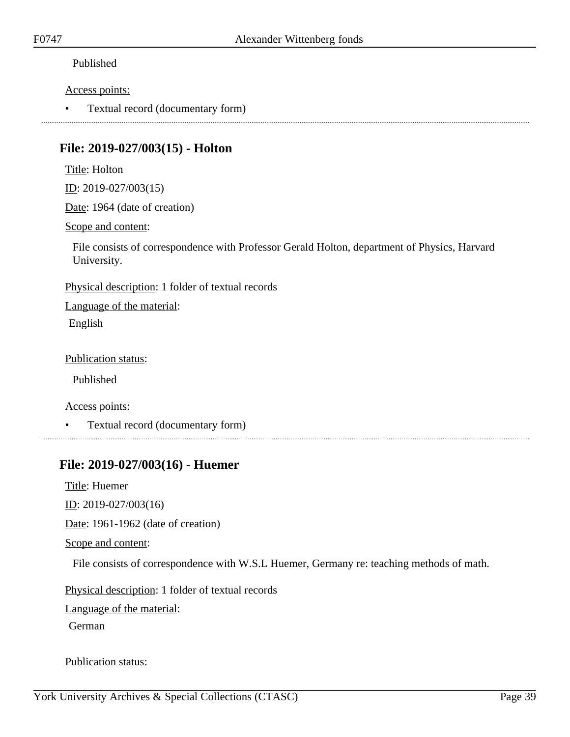#### Access points:

• Textual record (documentary form)

## **File: 2019-027/003(15) - Holton**

Title: Holton

ID: 2019-027/003(15)

Date: 1964 (date of creation)

Scope and content:

File consists of correspondence with Professor Gerald Holton, department of Physics, Harvard University.

Physical description: 1 folder of textual records

Language of the material: English

Publication status:

Published

Access points:

• Textual record (documentary form)

# **File: 2019-027/003(16) - Huemer**

Title: Huemer

ID: 2019-027/003(16)

Date: 1961-1962 (date of creation)

Scope and content:

File consists of correspondence with W.S.L Huemer, Germany re: teaching methods of math.

Physical description: 1 folder of textual records

Language of the material:

German

Publication status: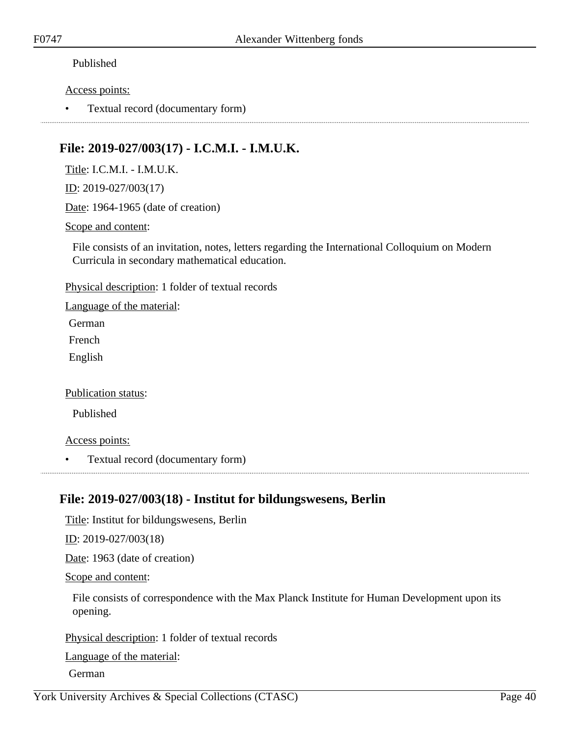#### Access points:

• Textual record (documentary form)

# **File: 2019-027/003(17) - I.C.M.I. - I.M.U.K.**

Title: I.C.M.I. - I.M.U.K.

ID: 2019-027/003(17)

Date: 1964-1965 (date of creation)

#### Scope and content:

File consists of an invitation, notes, letters regarding the International Colloquium on Modern Curricula in secondary mathematical education.

Physical description: 1 folder of textual records

Language of the material:

German

French

English

#### Publication status:

Published

#### Access points:

• Textual record (documentary form)

### **File: 2019-027/003(18) - Institut for bildungswesens, Berlin**

Title: Institut for bildungswesens, Berlin

ID: 2019-027/003(18)

Date: 1963 (date of creation)

Scope and content:

File consists of correspondence with the Max Planck Institute for Human Development upon its opening.

Physical description: 1 folder of textual records

Language of the material:

German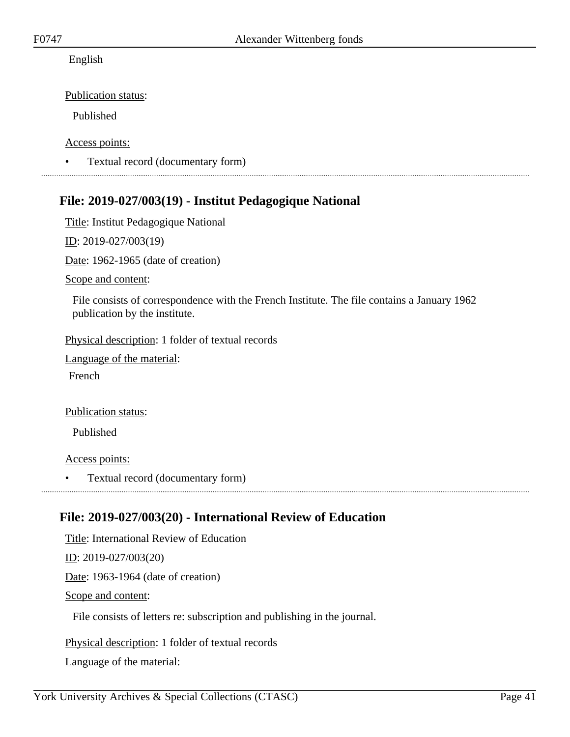#### English

Publication status:

Published

Access points:

• Textual record (documentary form)

# **File: 2019-027/003(19) - Institut Pedagogique National**

Title: Institut Pedagogique National

ID: 2019-027/003(19)

Date: 1962-1965 (date of creation)

Scope and content:

File consists of correspondence with the French Institute. The file contains a January 1962 publication by the institute.

Physical description: 1 folder of textual records

Language of the material:

French

Publication status:

Published

Access points:

• Textual record (documentary form)

# **File: 2019-027/003(20) - International Review of Education**

Title: International Review of Education ID: 2019-027/003(20) Date: 1963-1964 (date of creation) Scope and content: File consists of letters re: subscription and publishing in the journal. Physical description: 1 folder of textual records

Language of the material: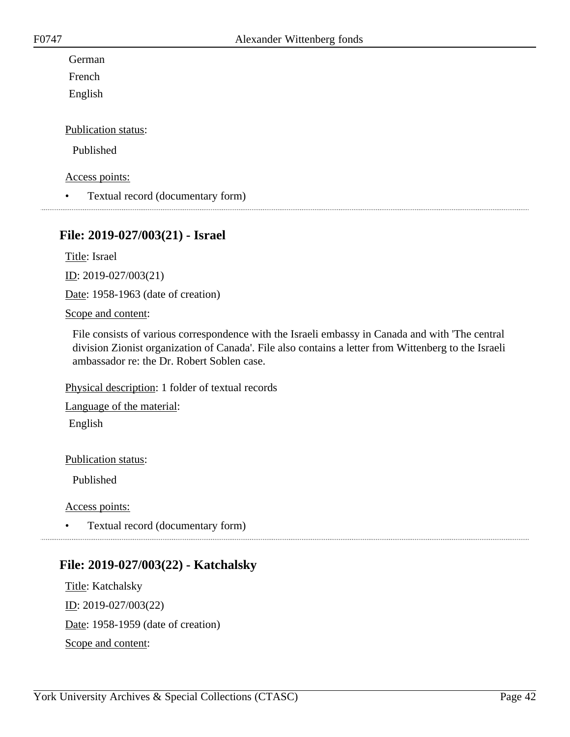German

French

English

Publication status:

Published

Access points:

• Textual record (documentary form)

### **File: 2019-027/003(21) - Israel**

Title: Israel

ID: 2019-027/003(21)

Date: 1958-1963 (date of creation)

#### Scope and content:

File consists of various correspondence with the Israeli embassy in Canada and with 'The central division Zionist organization of Canada'. File also contains a letter from Wittenberg to the Israeli ambassador re: the Dr. Robert Soblen case.

Physical description: 1 folder of textual records

Language of the material: English

Publication status:

Published

Access points:

• Textual record (documentary form)

# **File: 2019-027/003(22) - Katchalsky**

Title: Katchalsky ID: 2019-027/003(22) Date: 1958-1959 (date of creation) Scope and content: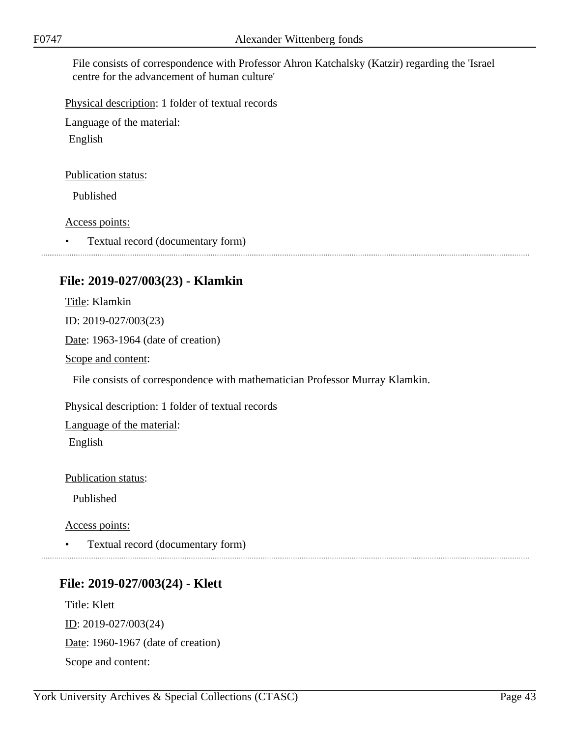File consists of correspondence with Professor Ahron Katchalsky (Katzir) regarding the 'Israel centre for the advancement of human culture'

Physical description: 1 folder of textual records

Language of the material:

English

Publication status:

Published

Access points:

• Textual record (documentary form)

# **File: 2019-027/003(23) - Klamkin**

Title: Klamkin ID: 2019-027/003(23) Date: 1963-1964 (date of creation) Scope and content: File consists of correspondence with mathematician Professor Murray Klamkin.

Physical description: 1 folder of textual records

Language of the material:

English

Publication status:

Published

Access points:

• Textual record (documentary form)

### **File: 2019-027/003(24) - Klett**

Title: Klett ID: 2019-027/003(24) Date: 1960-1967 (date of creation) Scope and content: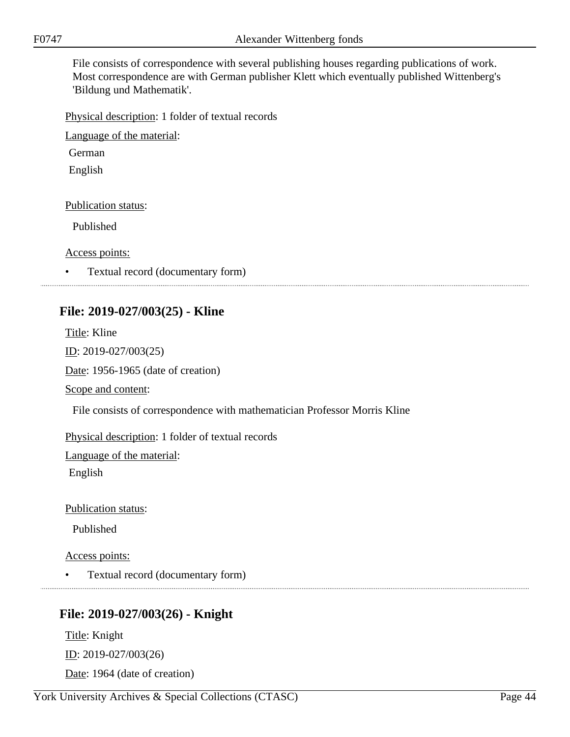File consists of correspondence with several publishing houses regarding publications of work. Most correspondence are with German publisher Klett which eventually published Wittenberg's 'Bildung und Mathematik'.

Physical description: 1 folder of textual records

Language of the material:

German

English

Publication status:

Published

Access points:

• Textual record (documentary form)

# **File: 2019-027/003(25) - Kline**

Title: Kline ID: 2019-027/003(25) Date: 1956-1965 (date of creation) Scope and content: File consists of correspondence with mathematician Professor Morris Kline Physical description: 1 folder of textual records Language of the material:

English

Publication status:

Published

Access points:

• Textual record (documentary form)

# **File: 2019-027/003(26) - Knight**

Title: Knight ID: 2019-027/003(26) Date: 1964 (date of creation)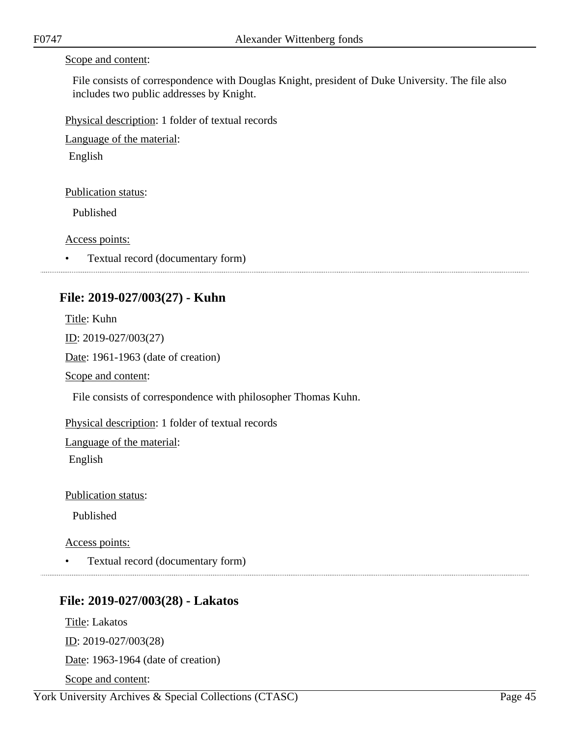#### Scope and content:

File consists of correspondence with Douglas Knight, president of Duke University. The file also includes two public addresses by Knight.

Physical description: 1 folder of textual records

Language of the material:

English

#### Publication status:

Published

Access points:

• Textual record (documentary form)

### **File: 2019-027/003(27) - Kuhn**

Title: Kuhn ID: 2019-027/003(27) Date: 1961-1963 (date of creation) Scope and content: File consists of correspondence with philosopher Thomas Kuhn. Physical description: 1 folder of textual records Language of the material: English

Publication status:

Published

Access points:

• Textual record (documentary form)

### **File: 2019-027/003(28) - Lakatos**

Title: Lakatos ID: 2019-027/003(28) Date: 1963-1964 (date of creation) Scope and content: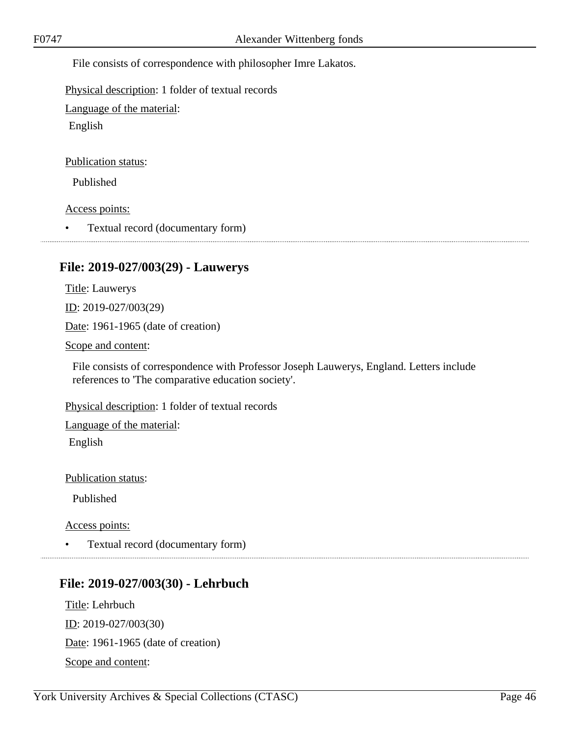File consists of correspondence with philosopher Imre Lakatos.

Physical description: 1 folder of textual records

Language of the material:

English

Publication status:

Published

Access points:

• Textual record (documentary form)

# **File: 2019-027/003(29) - Lauwerys**

Title: Lauwerys ID: 2019-027/003(29) Date: 1961-1965 (date of creation)

Scope and content:

File consists of correspondence with Professor Joseph Lauwerys, England. Letters include references to 'The comparative education society'.

Physical description: 1 folder of textual records

Language of the material:

English

Publication status:

Published

Access points:

• Textual record (documentary form)

# **File: 2019-027/003(30) - Lehrbuch**

Title: Lehrbuch ID: 2019-027/003(30) Date: 1961-1965 (date of creation) Scope and content: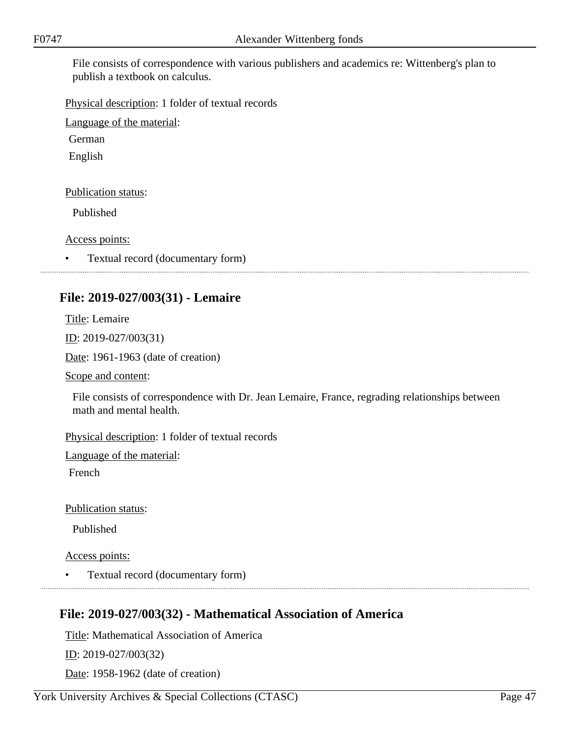File consists of correspondence with various publishers and academics re: Wittenberg's plan to publish a textbook on calculus.

Physical description: 1 folder of textual records

Language of the material:

German

English

#### Publication status:

Published

Access points:

• Textual record (documentary form)

### **File: 2019-027/003(31) - Lemaire**

Title: Lemaire

ID: 2019-027/003(31)

Date: 1961-1963 (date of creation)

Scope and content:

File consists of correspondence with Dr. Jean Lemaire, France, regrading relationships between math and mental health.

Physical description: 1 folder of textual records

Language of the material:

French

Publication status:

Published

Access points:

• Textual record (documentary form)

### **File: 2019-027/003(32) - Mathematical Association of America**

Title: Mathematical Association of America ID: 2019-027/003(32) Date: 1958-1962 (date of creation)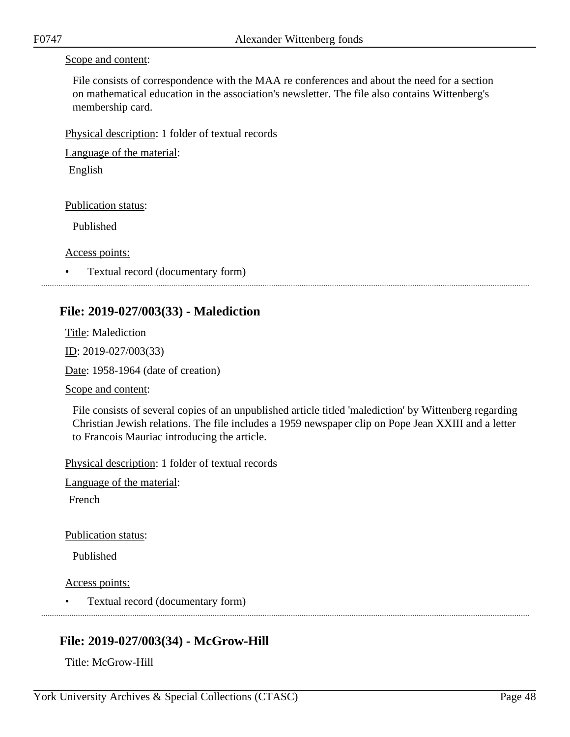#### Scope and content:

File consists of correspondence with the MAA re conferences and about the need for a section on mathematical education in the association's newsletter. The file also contains Wittenberg's membership card.

Physical description: 1 folder of textual records

Language of the material:

English

Publication status:

Published

Access points:

• Textual record (documentary form)

# **File: 2019-027/003(33) - Malediction**

Title: Malediction ID: 2019-027/003(33)

Date: 1958-1964 (date of creation)

Scope and content:

File consists of several copies of an unpublished article titled 'malediction' by Wittenberg regarding Christian Jewish relations. The file includes a 1959 newspaper clip on Pope Jean XXIII and a letter to Francois Mauriac introducing the article.

Physical description: 1 folder of textual records

Language of the material:

French

Publication status:

Published

Access points:

• Textual record (documentary form)

# **File: 2019-027/003(34) - McGrow-Hill**

Title: McGrow-Hill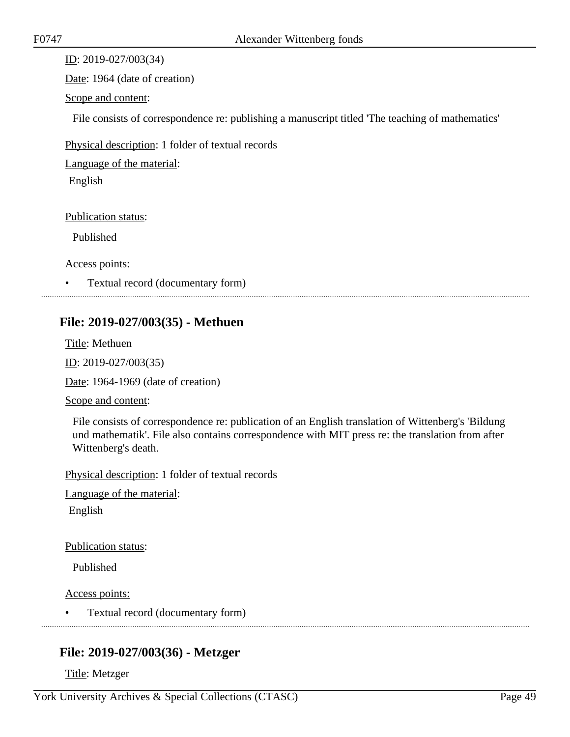ID: 2019-027/003(34)

Date: 1964 (date of creation)

Scope and content:

File consists of correspondence re: publishing a manuscript titled 'The teaching of mathematics'

Physical description: 1 folder of textual records

Language of the material:

English

Publication status:

Published

Access points:

• Textual record (documentary form)

# **File: 2019-027/003(35) - Methuen**

Title: Methuen ID: 2019-027/003(35)

Date: 1964-1969 (date of creation)

Scope and content:

File consists of correspondence re: publication of an English translation of Wittenberg's 'Bildung und mathematik'. File also contains correspondence with MIT press re: the translation from after Wittenberg's death.

Physical description: 1 folder of textual records

Language of the material:

English

Publication status:

Published

Access points:

• Textual record (documentary form)

# **File: 2019-027/003(36) - Metzger**

Title: Metzger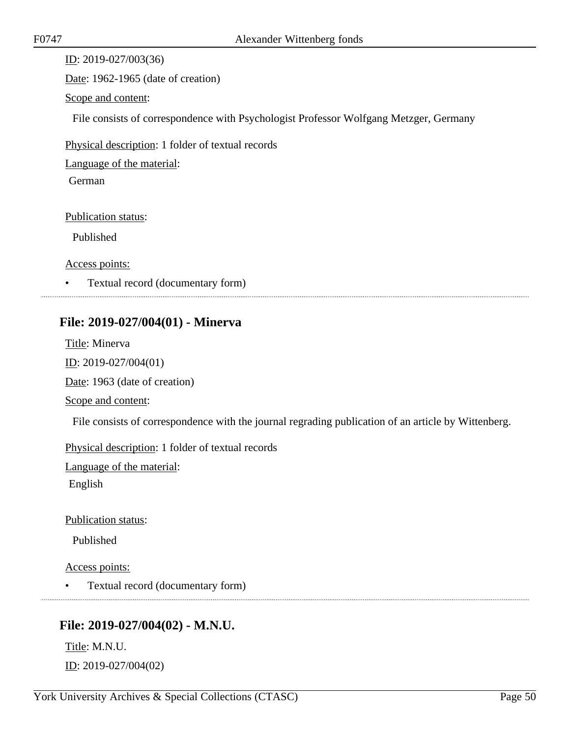ID: 2019-027/003(36) Date: 1962-1965 (date of creation) Scope and content: File consists of correspondence with Psychologist Professor Wolfgang Metzger, Germany Physical description: 1 folder of textual records Language of the material: German Publication status: Published Access points:

• Textual record (documentary form)

### **File: 2019-027/004(01) - Minerva**

Title: Minerva ID: 2019-027/004(01) Date: 1963 (date of creation) Scope and content: File consists of correspondence with the journal regrading publication of an article by Wittenberg. Physical description: 1 folder of textual records Language of the material:

English

Publication status:

Published

Access points:

• Textual record (documentary form)

### **File: 2019-027/004(02) - M.N.U.**

Title: M.N.U. ID: 2019-027/004(02)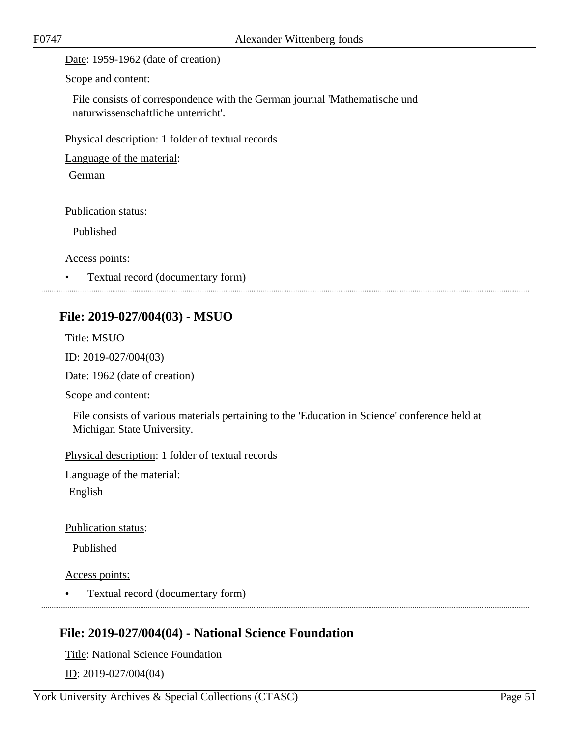Date: 1959-1962 (date of creation)

Scope and content:

File consists of correspondence with the German journal 'Mathematische und naturwissenschaftliche unterricht'.

Physical description: 1 folder of textual records

Language of the material:

German

Publication status:

Published

Access points:

• Textual record (documentary form) 

# **File: 2019-027/004(03) - MSUO**

Title: MSUO

ID: 2019-027/004(03)

Date: 1962 (date of creation)

Scope and content:

File consists of various materials pertaining to the 'Education in Science' conference held at Michigan State University.

Physical description: 1 folder of textual records

Language of the material:

English

Publication status:

Published

Access points:

• Textual record (documentary form)

# **File: 2019-027/004(04) - National Science Foundation**

Title: National Science Foundation ID: 2019-027/004(04)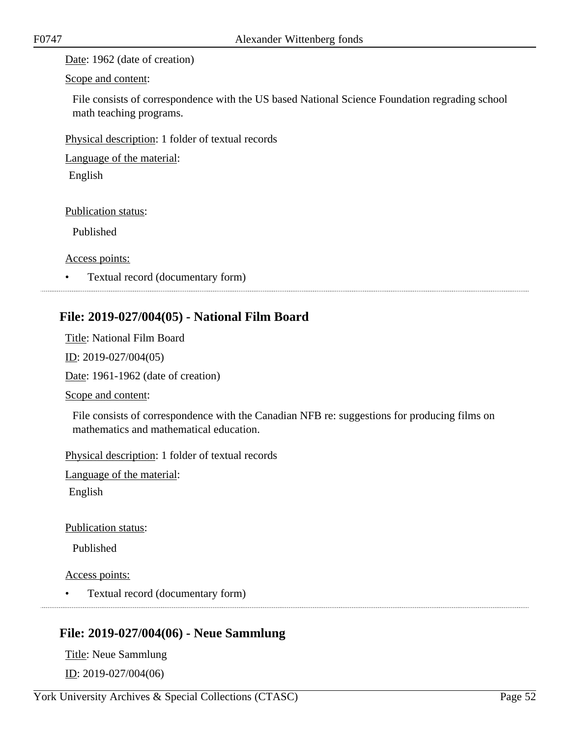Date: 1962 (date of creation)

Scope and content:

File consists of correspondence with the US based National Science Foundation regrading school math teaching programs.

Physical description: 1 folder of textual records

Language of the material:

English

Publication status:

Published

Access points:

• Textual record (documentary form)

# **File: 2019-027/004(05) - National Film Board**

Title: National Film Board ID: 2019-027/004(05) Date: 1961-1962 (date of creation) Scope and content:

File consists of correspondence with the Canadian NFB re: suggestions for producing films on mathematics and mathematical education.

Physical description: 1 folder of textual records

Language of the material:

English

Publication status:

Published

Access points:

• Textual record (documentary form)

# **File: 2019-027/004(06) - Neue Sammlung**

Title: Neue Sammlung ID: 2019-027/004(06)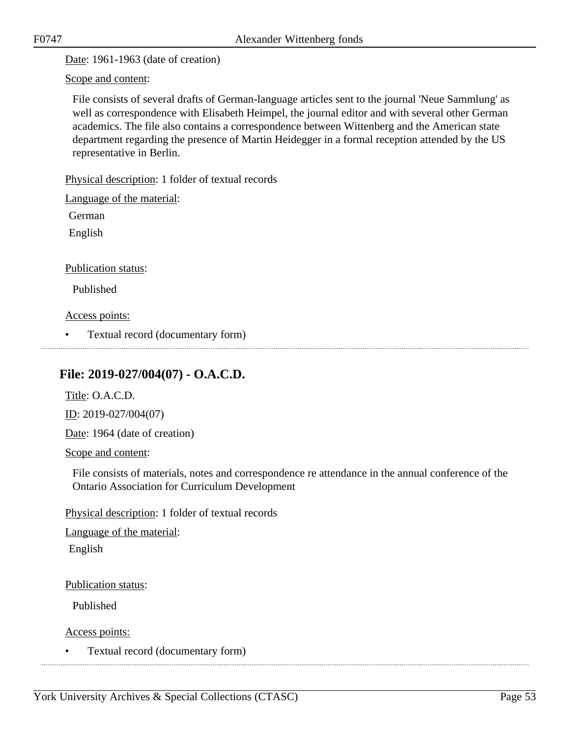Date: 1961-1963 (date of creation)

Scope and content:

File consists of several drafts of German-language articles sent to the journal 'Neue Sammlung' as well as correspondence with Elisabeth Heimpel, the journal editor and with several other German academics. The file also contains a correspondence between Wittenberg and the American state department regarding the presence of Martin Heidegger in a formal reception attended by the US representative in Berlin.

Physical description: 1 folder of textual records

Language of the material:

German

English

Publication status:

Published

Access points:

• Textual record (documentary form)

## **File: 2019-027/004(07) - O.A.C.D.**

Title: O.A.C.D.

ID: 2019-027/004(07)

Date: 1964 (date of creation)

Scope and content:

File consists of materials, notes and correspondence re attendance in the annual conference of the Ontario Association for Curriculum Development

Physical description: 1 folder of textual records

Language of the material:

English

Publication status:

Published

Access points:

• Textual record (documentary form)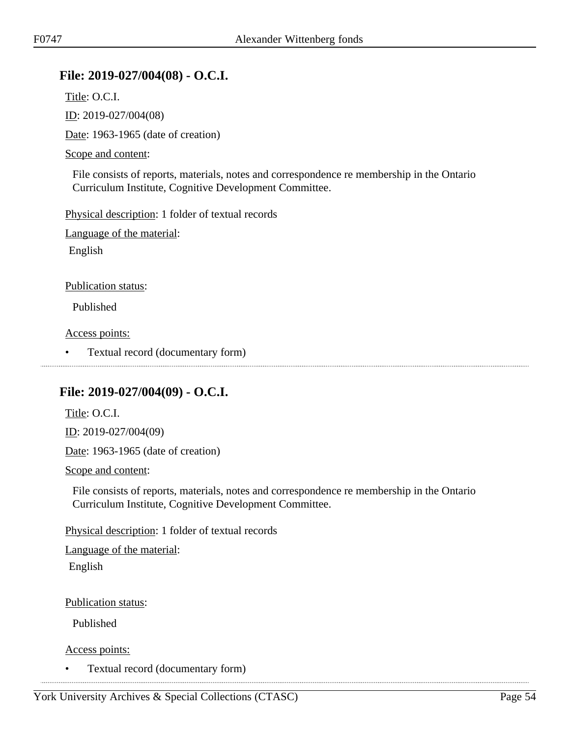### **File: 2019-027/004(08) - O.C.I.**

Title: O.C.I.

ID: 2019-027/004(08)

Date: 1963-1965 (date of creation)

#### Scope and content:

File consists of reports, materials, notes and correspondence re membership in the Ontario Curriculum Institute, Cognitive Development Committee.

Physical description: 1 folder of textual records

Language of the material:

English

#### Publication status:

Published

Access points:

• Textual record (documentary form) 

### **File: 2019-027/004(09) - O.C.I.**

Title: O.C.I. ID: 2019-027/004(09)

Date: 1963-1965 (date of creation)

Scope and content:

File consists of reports, materials, notes and correspondence re membership in the Ontario Curriculum Institute, Cognitive Development Committee.

Physical description: 1 folder of textual records

Language of the material: English

Publication status:

Published

Access points:

• Textual record (documentary form)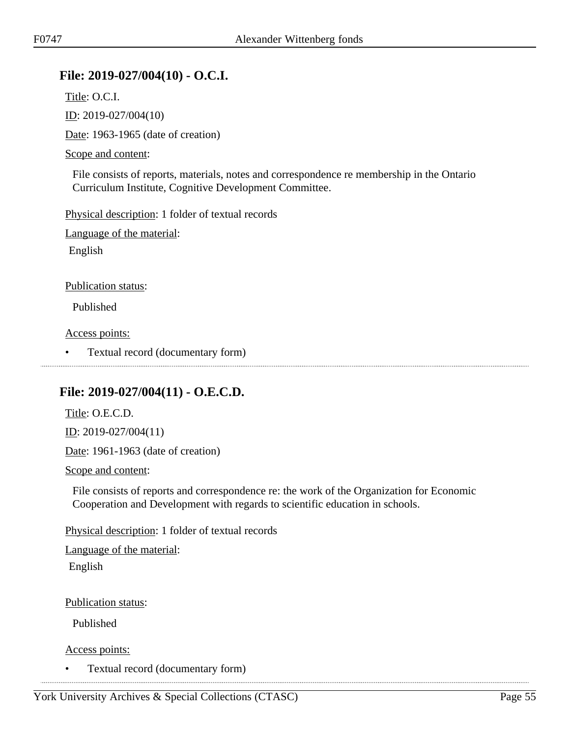## **File: 2019-027/004(10) - O.C.I.**

Title: O.C.I.

ID: 2019-027/004(10)

Date: 1963-1965 (date of creation)

#### Scope and content:

File consists of reports, materials, notes and correspondence re membership in the Ontario Curriculum Institute, Cognitive Development Committee.

Physical description: 1 folder of textual records

Language of the material:

English

#### Publication status:

Published

Access points:

• Textual record (documentary form)

### **File: 2019-027/004(11) - O.E.C.D.**

Title: O.E.C.D.

ID: 2019-027/004(11)

Date: 1961-1963 (date of creation)

Scope and content:

File consists of reports and correspondence re: the work of the Organization for Economic Cooperation and Development with regards to scientific education in schools.

Physical description: 1 folder of textual records

Language of the material:

English

Publication status:

Published

Access points:

• Textual record (documentary form)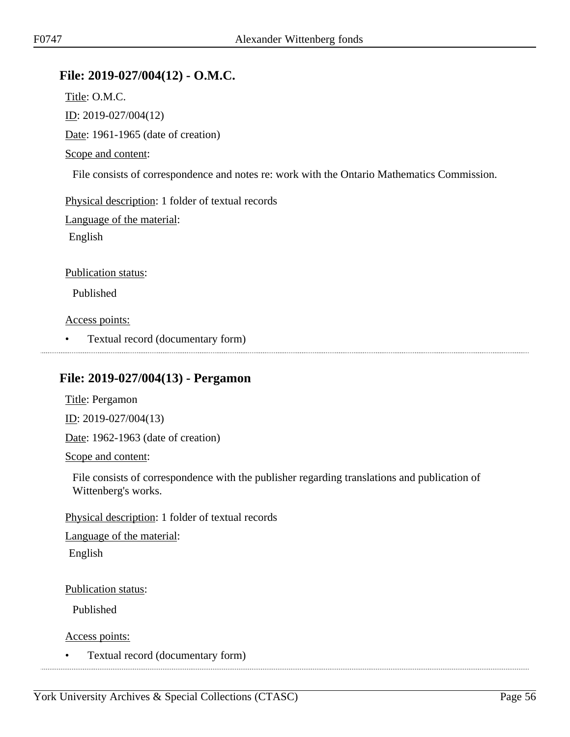# **File: 2019-027/004(12) - O.M.C.**

Title: O.M.C. ID: 2019-027/004(12) Date: 1961-1965 (date of creation) Scope and content:

File consists of correspondence and notes re: work with the Ontario Mathematics Commission.

Physical description: 1 folder of textual records

Language of the material:

English

Publication status:

Published

Access points:

• Textual record (documentary form)

### **File: 2019-027/004(13) - Pergamon**

Title: Pergamon

ID: 2019-027/004(13)

Date: 1962-1963 (date of creation)

Scope and content:

File consists of correspondence with the publisher regarding translations and publication of Wittenberg's works.

Physical description: 1 folder of textual records

Language of the material: English

Publication status:

Published

Access points:

• Textual record (documentary form)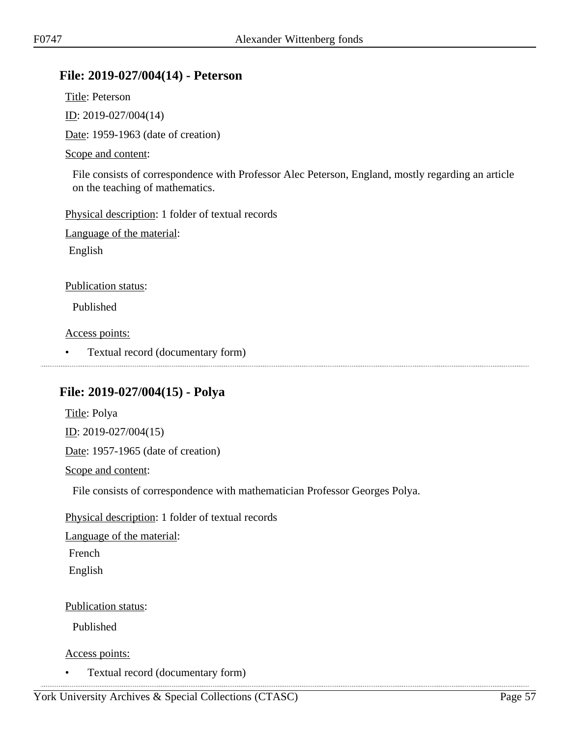### **File: 2019-027/004(14) - Peterson**

Title: Peterson ID: 2019-027/004(14)

Date: 1959-1963 (date of creation)

#### Scope and content:

File consists of correspondence with Professor Alec Peterson, England, mostly regarding an article on the teaching of mathematics.

Physical description: 1 folder of textual records

Language of the material:

English

#### Publication status:

Published

Access points:

• Textual record (documentary form)

### **File: 2019-027/004(15) - Polya**

Title: Polya ID: 2019-027/004(15) Date: 1957-1965 (date of creation) Scope and content:

File consists of correspondence with mathematician Professor Georges Polya.

Physical description: 1 folder of textual records

Language of the material:

French

English

Publication status:

Published

#### Access points:

• Textual record (documentary form)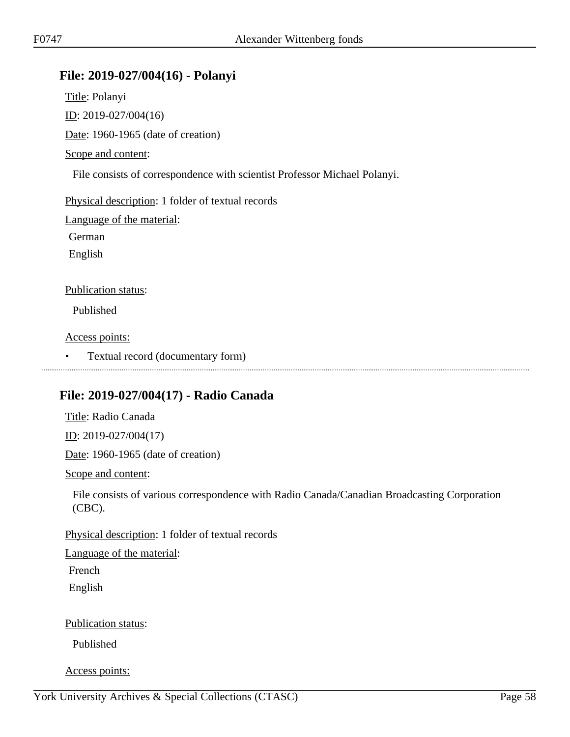### **File: 2019-027/004(16) - Polanyi**

Title: Polanyi ID: 2019-027/004(16) Date: 1960-1965 (date of creation) Scope and content: File consists of correspondence with scientist Professor Michael Polanyi. Physical description: 1 folder of textual records Language of the material: German English Publication status: Published Access points: • Textual record (documentary form) 

# **File: 2019-027/004(17) - Radio Canada**

Title: Radio Canada

ID: 2019-027/004(17)

Date: 1960-1965 (date of creation)

Scope and content:

File consists of various correspondence with Radio Canada/Canadian Broadcasting Corporation (CBC).

Physical description: 1 folder of textual records

Language of the material:

French English

Publication status:

Published

Access points: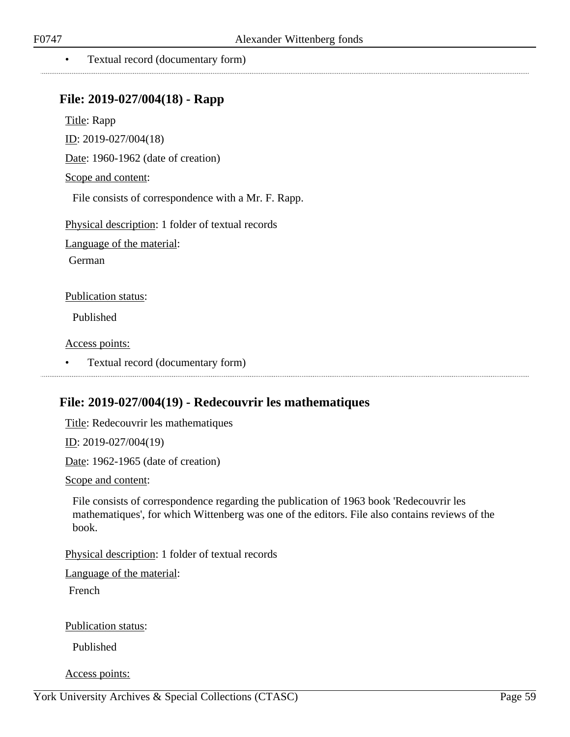#### • Textual record (documentary form)

### **File: 2019-027/004(18) - Rapp**

Title: Rapp

ID: 2019-027/004(18)

Date: 1960-1962 (date of creation)

Scope and content:

File consists of correspondence with a Mr. F. Rapp.

Physical description: 1 folder of textual records

Language of the material:

German

Publication status:

Published

Access points:

• Textual record (documentary form)

### **File: 2019-027/004(19) - Redecouvrir les mathematiques**

Title: Redecouvrir les mathematiques

ID: 2019-027/004(19)

Date: 1962-1965 (date of creation)

Scope and content:

File consists of correspondence regarding the publication of 1963 book 'Redecouvrir les mathematiques', for which Wittenberg was one of the editors. File also contains reviews of the book.

Physical description: 1 folder of textual records

Language of the material:

French

Publication status:

Published

Access points: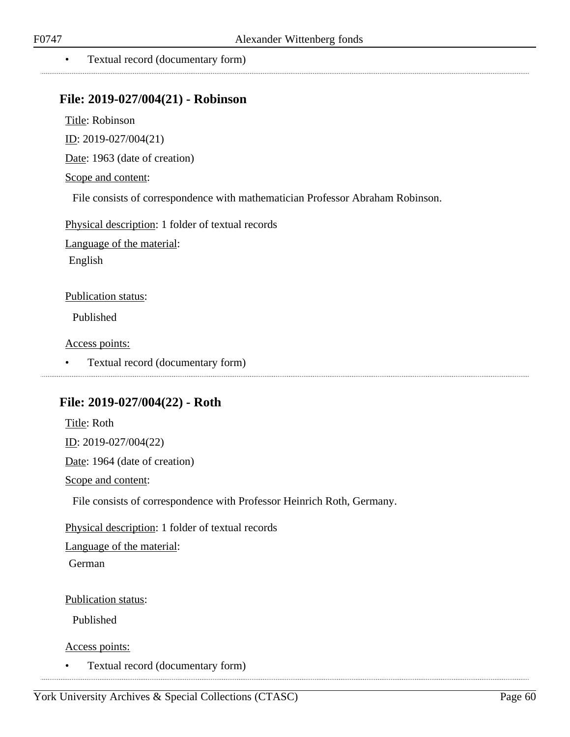• Textual record (documentary form)

### **File: 2019-027/004(21) - Robinson**

Title: Robinson

ID: 2019-027/004(21)

Date: 1963 (date of creation)

Scope and content:

File consists of correspondence with mathematician Professor Abraham Robinson.

Physical description: 1 folder of textual records Language of the material: English

Publication status:

Published

Access points:

• Textual record (documentary form)

### **File: 2019-027/004(22) - Roth**

Title: Roth ID: 2019-027/004(22) Date: 1964 (date of creation) Scope and content: File consists of correspondence with Professor Heinrich Roth, Germany.

Physical description: 1 folder of textual records Language of the material: German

Publication status:

Published

Access points:

• Textual record (documentary form)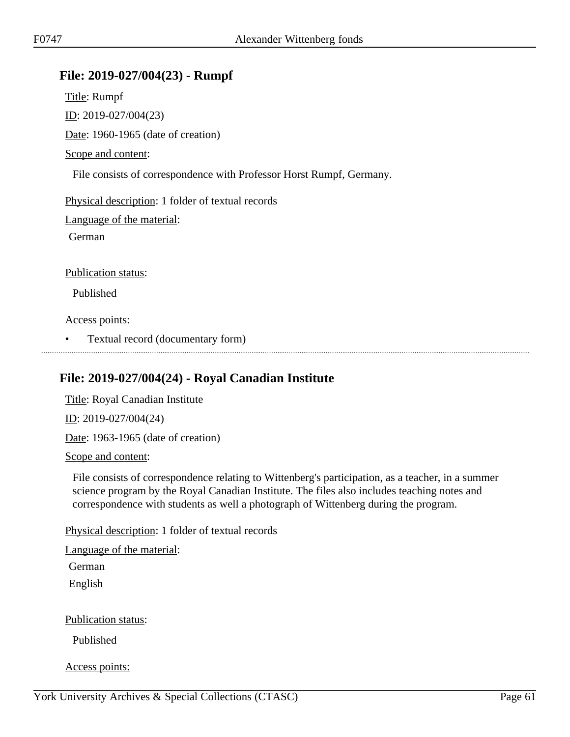### **File: 2019-027/004(23) - Rumpf**

Title: Rumpf ID: 2019-027/004(23) Date: 1960-1965 (date of creation) Scope and content: File consists of correspondence with Professor Horst Rumpf, Germany. Physical description: 1 folder of textual records Language of the material: German Publication status: Published Access points: • Textual record (documentary form)

### **File: 2019-027/004(24) - Royal Canadian Institute**

Title: Royal Canadian Institute ID: 2019-027/004(24)

Date: 1963-1965 (date of creation)

Scope and content:

File consists of correspondence relating to Wittenberg's participation, as a teacher, in a summer science program by the Royal Canadian Institute. The files also includes teaching notes and correspondence with students as well a photograph of Wittenberg during the program.

Physical description: 1 folder of textual records

Language of the material:

German

English

Publication status:

Published

Access points: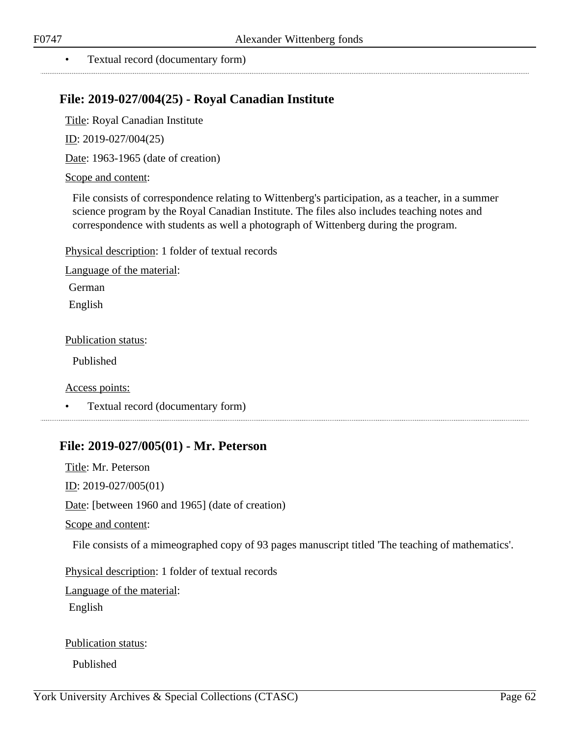#### • Textual record (documentary form)

## **File: 2019-027/004(25) - Royal Canadian Institute**

Title: Royal Canadian Institute

ID: 2019-027/004(25)

Date: 1963-1965 (date of creation)

#### Scope and content:

File consists of correspondence relating to Wittenberg's participation, as a teacher, in a summer science program by the Royal Canadian Institute. The files also includes teaching notes and correspondence with students as well a photograph of Wittenberg during the program.

Physical description: 1 folder of textual records

Language of the material:

German

English

Publication status:

Published

Access points:

• Textual record (documentary form)

### **File: 2019-027/005(01) - Mr. Peterson**

Title: Mr. Peterson ID: 2019-027/005(01) Date: [between 1960 and 1965] (date of creation) Scope and content: File consists of a mimeographed copy of 93 pages manuscript titled 'The teaching of mathematics'. Physical description: 1 folder of textual records Language of the material:

English

Publication status: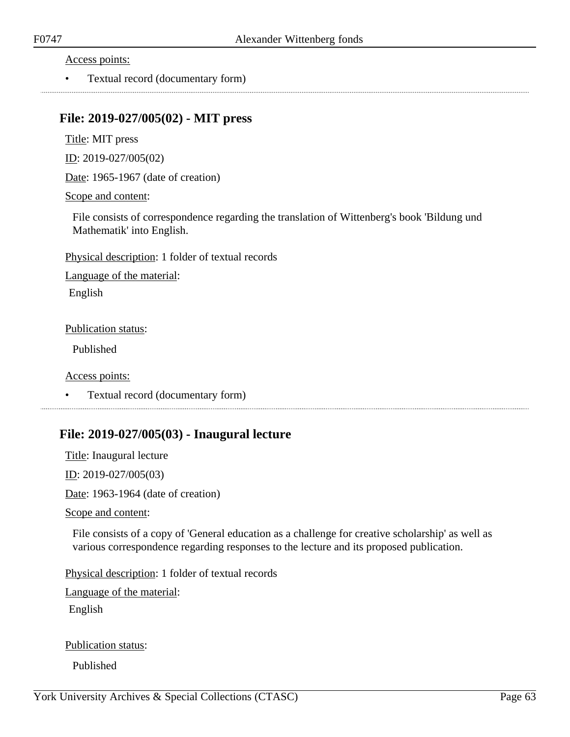• Textual record (documentary form)

### **File: 2019-027/005(02) - MIT press**

Title: MIT press

ID: 2019-027/005(02)

Date: 1965-1967 (date of creation)

#### Scope and content:

File consists of correspondence regarding the translation of Wittenberg's book 'Bildung und Mathematik' into English.

Physical description: 1 folder of textual records

Language of the material:

English

#### Publication status:

Published

#### Access points:

• Textual record (documentary form)

### **File: 2019-027/005(03) - Inaugural lecture**

Title: Inaugural lecture ID: 2019-027/005(03) Date: 1963-1964 (date of creation)

Scope and content:

File consists of a copy of 'General education as a challenge for creative scholarship' as well as various correspondence regarding responses to the lecture and its proposed publication.

Physical description: 1 folder of textual records

Language of the material:

English

Publication status: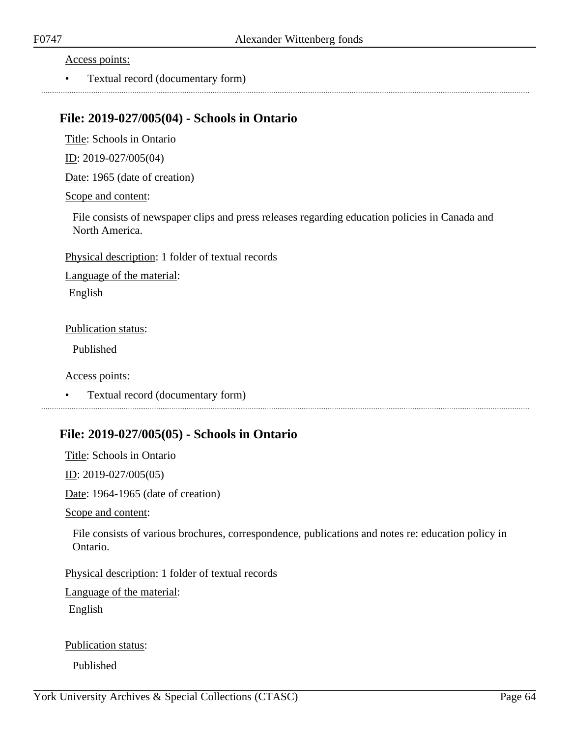• Textual record (documentary form)

### **File: 2019-027/005(04) - Schools in Ontario**

Title: Schools in Ontario

ID: 2019-027/005(04)

Date: 1965 (date of creation)

#### Scope and content:

File consists of newspaper clips and press releases regarding education policies in Canada and North America.

Physical description: 1 folder of textual records

Language of the material:

English

#### Publication status:

Published

#### Access points:

• Textual record (documentary form) 

### **File: 2019-027/005(05) - Schools in Ontario**

Title: Schools in Ontario

ID: 2019-027/005(05)

Date: 1964-1965 (date of creation)

Scope and content:

File consists of various brochures, correspondence, publications and notes re: education policy in Ontario.

Physical description: 1 folder of textual records

Language of the material:

English

Publication status: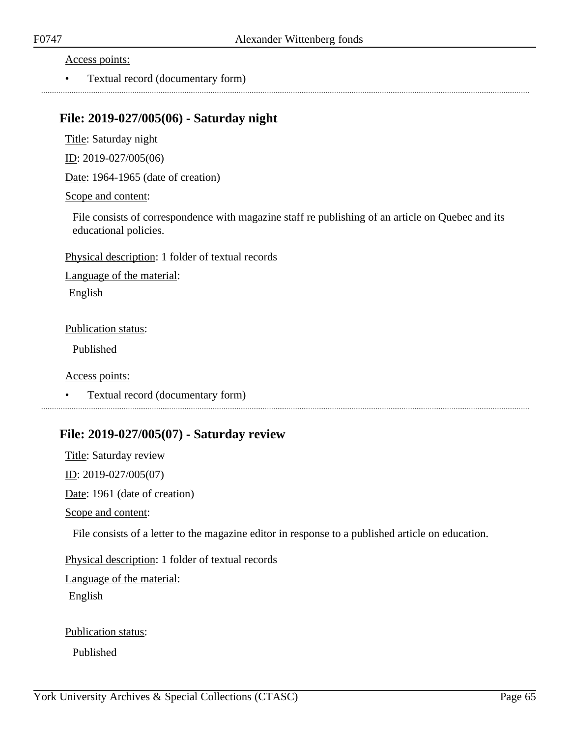• Textual record (documentary form)

### **File: 2019-027/005(06) - Saturday night**

Title: Saturday night

ID: 2019-027/005(06)

Date: 1964-1965 (date of creation)

#### Scope and content:

File consists of correspondence with magazine staff re publishing of an article on Quebec and its educational policies.

Physical description: 1 folder of textual records

Language of the material:

English

#### Publication status:

Published

Access points:

• Textual record (documentary form)

### **File: 2019-027/005(07) - Saturday review**

Title: Saturday review ID: 2019-027/005(07) Date: 1961 (date of creation) Scope and content:

File consists of a letter to the magazine editor in response to a published article on education.

Physical description: 1 folder of textual records

Language of the material:

English

Publication status: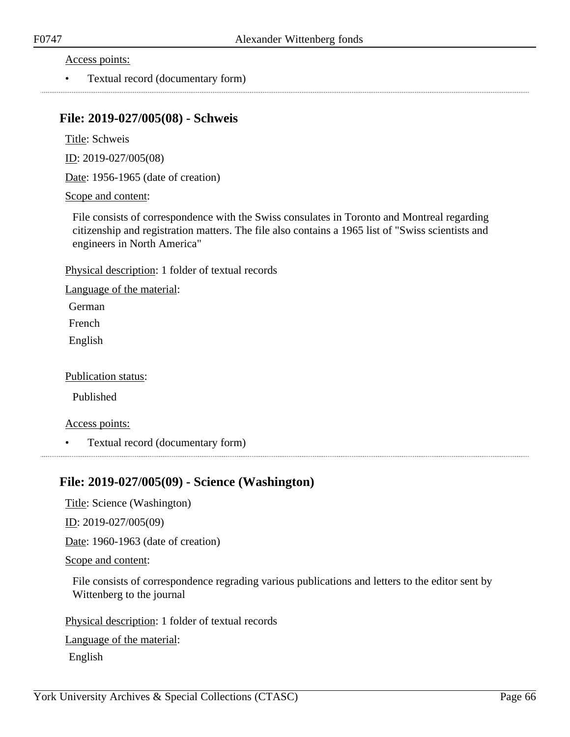• Textual record (documentary form)

### **File: 2019-027/005(08) - Schweis**

Title: Schweis

ID: 2019-027/005(08)

Date: 1956-1965 (date of creation)

#### Scope and content:

File consists of correspondence with the Swiss consulates in Toronto and Montreal regarding citizenship and registration matters. The file also contains a 1965 list of "Swiss scientists and engineers in North America"

Physical description: 1 folder of textual records

Language of the material:

German

French

English

Publication status:

Published

Access points:

• Textual record (documentary form)

### **File: 2019-027/005(09) - Science (Washington)**

Title: Science (Washington)

ID: 2019-027/005(09)

Date: 1960-1963 (date of creation)

Scope and content:

File consists of correspondence regrading various publications and letters to the editor sent by Wittenberg to the journal

Physical description: 1 folder of textual records

Language of the material:

English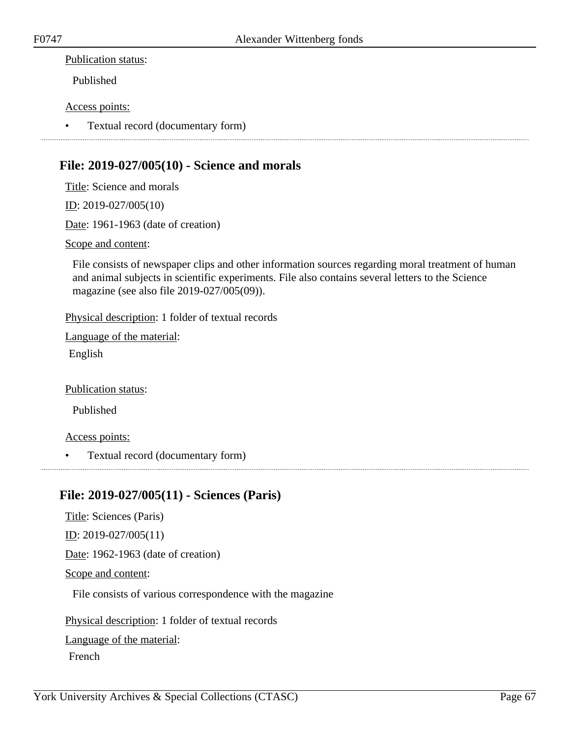#### Publication status:

Published

#### Access points:

• Textual record (documentary form)

# **File: 2019-027/005(10) - Science and morals**

Title: Science and morals

ID: 2019-027/005(10)

Date: 1961-1963 (date of creation)

Scope and content:

File consists of newspaper clips and other information sources regarding moral treatment of human and animal subjects in scientific experiments. File also contains several letters to the Science magazine (see also file 2019-027/005(09)).

Physical description: 1 folder of textual records

Language of the material:

English

Publication status:

Published

Access points:

• Textual record (documentary form)

# **File: 2019-027/005(11) - Sciences (Paris)**

Title: Sciences (Paris) ID: 2019-027/005(11) Date: 1962-1963 (date of creation) Scope and content: File consists of various correspondence with the magazine Physical description: 1 folder of textual records Language of the material:

French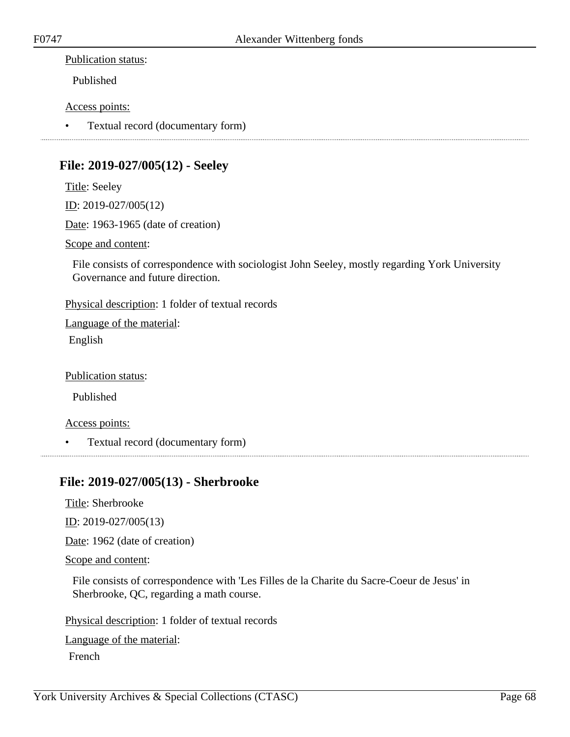#### Publication status:

Published

#### Access points:

• Textual record (documentary form)

# **File: 2019-027/005(12) - Seeley**

Title: Seeley ID: 2019-027/005(12) Date: 1963-1965 (date of creation)

Scope and content:

File consists of correspondence with sociologist John Seeley, mostly regarding York University Governance and future direction.

Physical description: 1 folder of textual records

Language of the material:

English

Publication status:

Published

Access points:

• Textual record (documentary form)

### **File: 2019-027/005(13) - Sherbrooke**

Title: Sherbrooke

ID: 2019-027/005(13)

Date: 1962 (date of creation)

Scope and content:

File consists of correspondence with 'Les Filles de la Charite du Sacre-Coeur de Jesus' in Sherbrooke, QC, regarding a math course.

Physical description: 1 folder of textual records

Language of the material:

French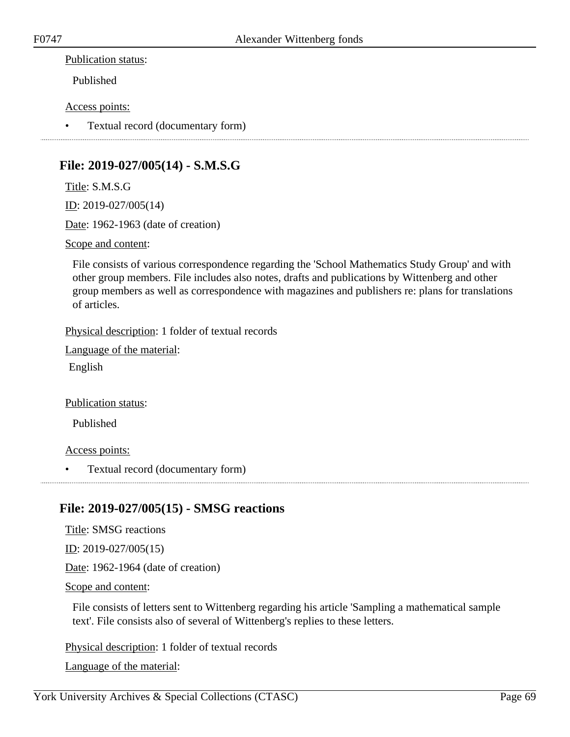#### Publication status:

Published

#### Access points:

• Textual record (documentary form)

# **File: 2019-027/005(14) - S.M.S.G**

Title: S.M.S.G

ID: 2019-027/005(14)

Date: 1962-1963 (date of creation)

Scope and content:

File consists of various correspondence regarding the 'School Mathematics Study Group' and with other group members. File includes also notes, drafts and publications by Wittenberg and other group members as well as correspondence with magazines and publishers re: plans for translations of articles.

Physical description: 1 folder of textual records

Language of the material:

English

Publication status:

Published

Access points:

• Textual record (documentary form)

# **File: 2019-027/005(15) - SMSG reactions**

Title: SMSG reactions ID: 2019-027/005(15)

Date: 1962-1964 (date of creation)

Scope and content:

File consists of letters sent to Wittenberg regarding his article 'Sampling a mathematical sample text'. File consists also of several of Wittenberg's replies to these letters.

Physical description: 1 folder of textual records

Language of the material: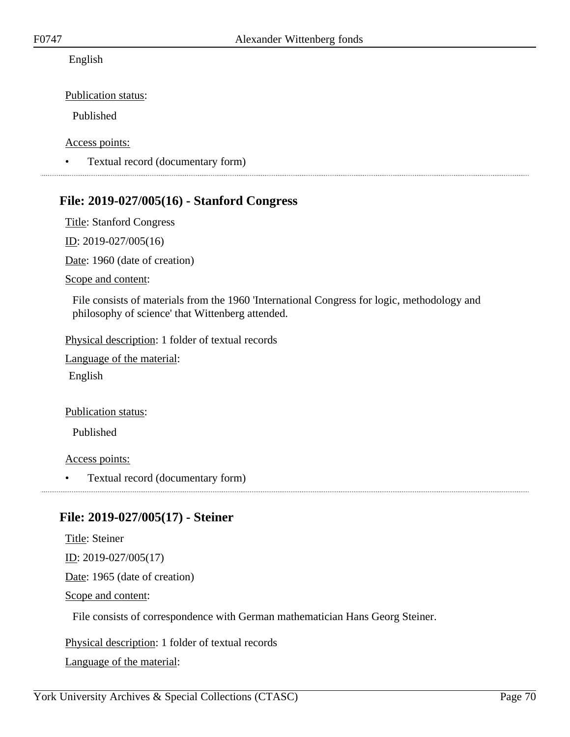English

Publication status:

Published

Access points:

• Textual record (documentary form)

# **File: 2019-027/005(16) - Stanford Congress**

Title: Stanford Congress

ID: 2019-027/005(16)

Date: 1960 (date of creation)

Scope and content:

File consists of materials from the 1960 'International Congress for logic, methodology and philosophy of science' that Wittenberg attended.

Physical description: 1 folder of textual records

Language of the material:

English

Publication status:

Published

Access points:

• Textual record (documentary form)

### **File: 2019-027/005(17) - Steiner**

Title: Steiner ID: 2019-027/005(17) Date: 1965 (date of creation) Scope and content: File consists of correspondence with German mathematician Hans Georg Steiner.

Physical description: 1 folder of textual records

Language of the material: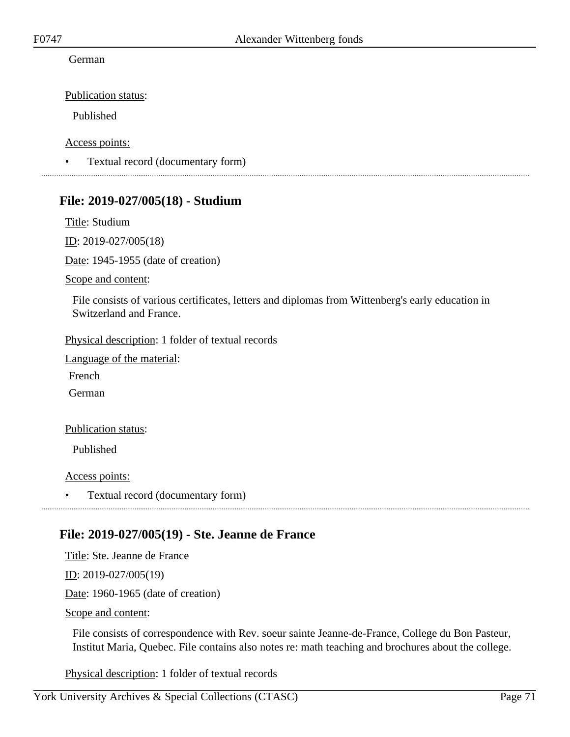#### German

Publication status:

Published

Access points:

• Textual record (documentary form)

### **File: 2019-027/005(18) - Studium**

Title: Studium

ID: 2019-027/005(18)

Date: 1945-1955 (date of creation)

Scope and content:

File consists of various certificates, letters and diplomas from Wittenberg's early education in Switzerland and France.

Physical description: 1 folder of textual records

Language of the material:

French

German

#### Publication status:

Published

Access points:

• Textual record (documentary form)

### **File: 2019-027/005(19) - Ste. Jeanne de France**

Title: Ste. Jeanne de France ID: 2019-027/005(19) Date: 1960-1965 (date of creation) Scope and content:

File consists of correspondence with Rev. soeur sainte Jeanne-de-France, College du Bon Pasteur, Institut Maria, Quebec. File contains also notes re: math teaching and brochures about the college.

Physical description: 1 folder of textual records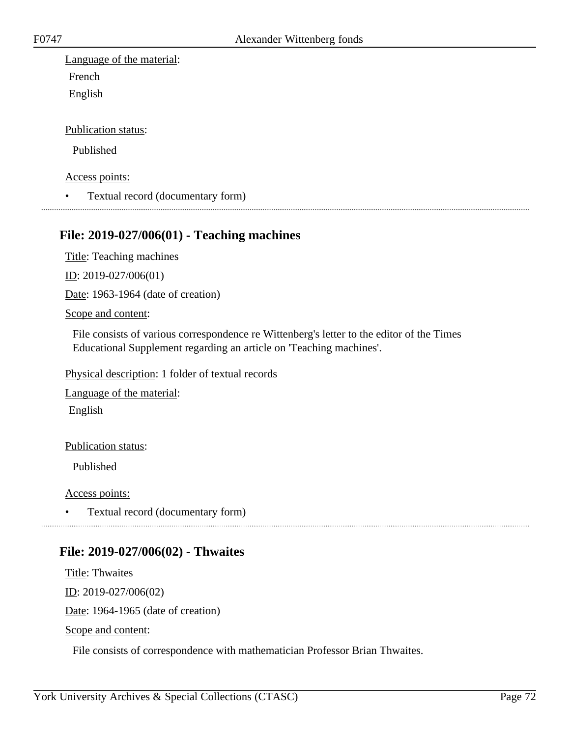Language of the material: French English

Publication status:

Published

Access points:

• Textual record (documentary form)

### **File: 2019-027/006(01) - Teaching machines**

Title: Teaching machines

ID: 2019-027/006(01)

Date: 1963-1964 (date of creation)

Scope and content:

File consists of various correspondence re Wittenberg's letter to the editor of the Times Educational Supplement regarding an article on 'Teaching machines'.

Physical description: 1 folder of textual records

Language of the material: English

Publication status:

Published

Access points:

• Textual record (documentary form)

### **File: 2019-027/006(02) - Thwaites**

Title: Thwaites ID: 2019-027/006(02) Date: 1964-1965 (date of creation) Scope and content:

File consists of correspondence with mathematician Professor Brian Thwaites.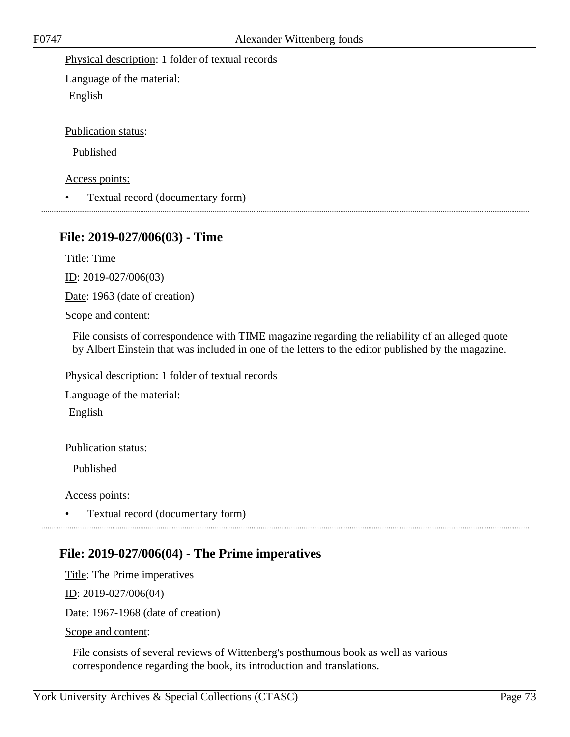Physical description: 1 folder of textual records

Language of the material: English

Publication status:

Published

Access points:

• Textual record (documentary form)

### **File: 2019-027/006(03) - Time**

Title: Time

ID: 2019-027/006(03)

Date: 1963 (date of creation)

Scope and content:

File consists of correspondence with TIME magazine regarding the reliability of an alleged quote by Albert Einstein that was included in one of the letters to the editor published by the magazine.

Physical description: 1 folder of textual records

Language of the material:

English

Publication status:

Published

Access points:

• Textual record (documentary form)

### **File: 2019-027/006(04) - The Prime imperatives**

Title: The Prime imperatives ID: 2019-027/006(04) Date: 1967-1968 (date of creation) Scope and content:

File consists of several reviews of Wittenberg's posthumous book as well as various correspondence regarding the book, its introduction and translations.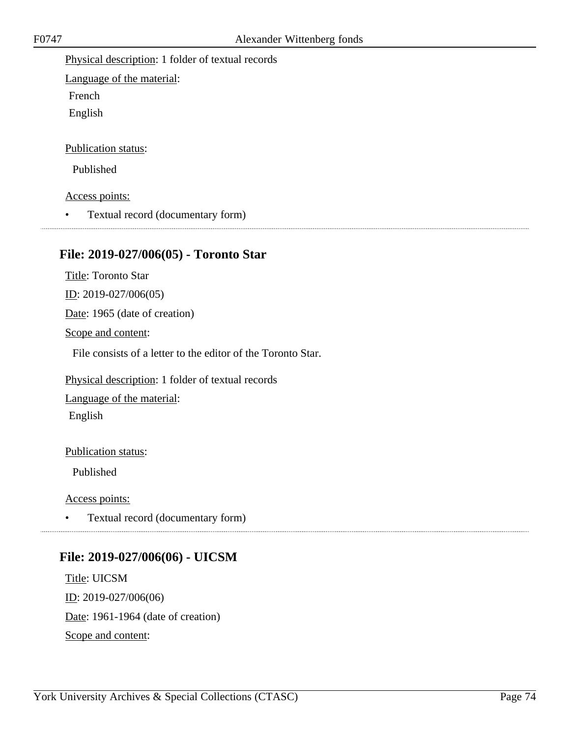#### Physical description: 1 folder of textual records

Language of the material:

French

English

#### Publication status:

Published

#### Access points:

• Textual record (documentary form)

# **File: 2019-027/006(05) - Toronto Star**

Title: Toronto Star

ID: 2019-027/006(05)

Date: 1965 (date of creation)

Scope and content:

File consists of a letter to the editor of the Toronto Star.

Physical description: 1 folder of textual records

Language of the material: English

#### Publication status:

Published

#### Access points:

• Textual record (documentary form)

# **File: 2019-027/006(06) - UICSM**

Title: UICSM ID: 2019-027/006(06) Date: 1961-1964 (date of creation) Scope and content: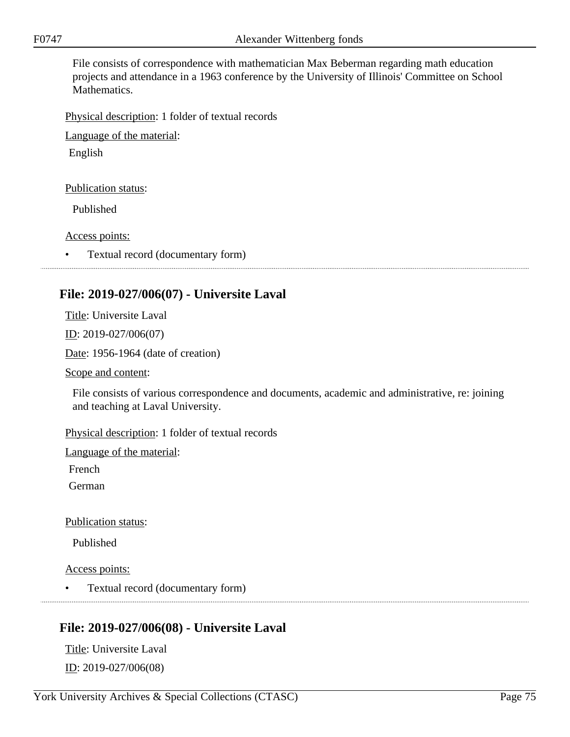File consists of correspondence with mathematician Max Beberman regarding math education projects and attendance in a 1963 conference by the University of Illinois' Committee on School Mathematics.

Physical description: 1 folder of textual records

Language of the material:

English

Publication status:

Published

Access points:

• Textual record (documentary form)

# **File: 2019-027/006(07) - Universite Laval**

Title: Universite Laval

ID: 2019-027/006(07)

Date: 1956-1964 (date of creation)

Scope and content:

File consists of various correspondence and documents, academic and administrative, re: joining and teaching at Laval University.

Physical description: 1 folder of textual records

Language of the material:

French

German

Publication status:

Published

Access points:

• Textual record (documentary form) 

### **File: 2019-027/006(08) - Universite Laval**

Title: Universite Laval ID: 2019-027/006(08)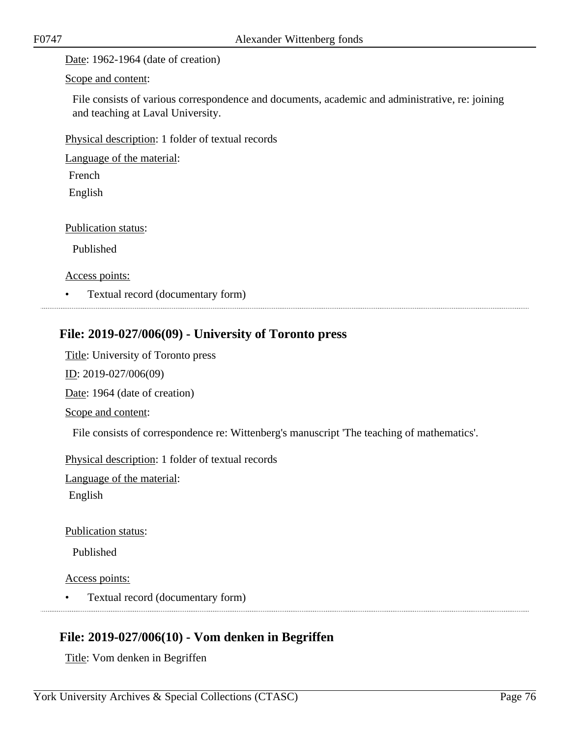Date: 1962-1964 (date of creation)

Scope and content:

File consists of various correspondence and documents, academic and administrative, re: joining and teaching at Laval University.

Physical description: 1 folder of textual records

Language of the material:

French

English

Publication status:

Published

Access points:

• Textual record (documentary form)

# **File: 2019-027/006(09) - University of Toronto press**

Title: University of Toronto press

ID: 2019-027/006(09)

Date: 1964 (date of creation)

Scope and content:

File consists of correspondence re: Wittenberg's manuscript 'The teaching of mathematics'.

Physical description: 1 folder of textual records

Language of the material:

English

### Publication status:

Published

Access points:

• Textual record (documentary form)

# **File: 2019-027/006(10) - Vom denken in Begriffen**

Title: Vom denken in Begriffen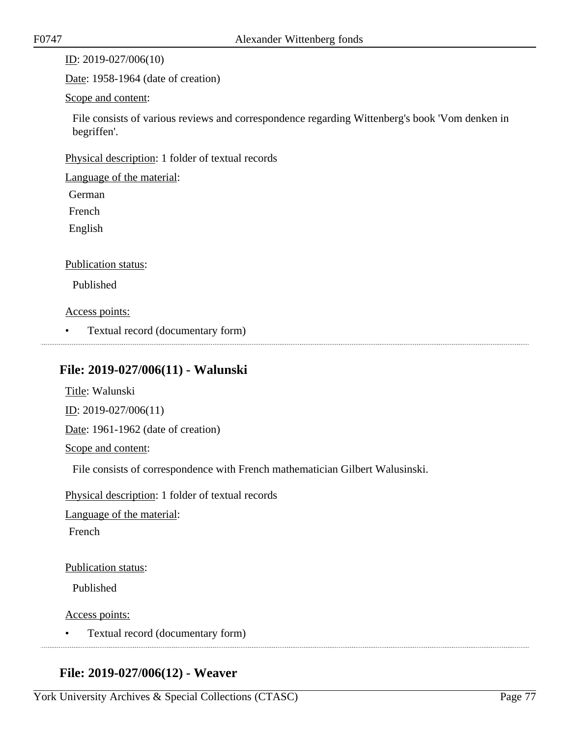ID: 2019-027/006(10)

Date: 1958-1964 (date of creation)

#### Scope and content:

File consists of various reviews and correspondence regarding Wittenberg's book 'Vom denken in begriffen'.

Physical description: 1 folder of textual records

Language of the material:

German

French

English

#### Publication status:

Published

#### Access points:

• Textual record (documentary form)

### **File: 2019-027/006(11) - Walunski**

Title: Walunski ID: 2019-027/006(11) Date: 1961-1962 (date of creation) Scope and content:

File consists of correspondence with French mathematician Gilbert Walusinski.

Physical description: 1 folder of textual records

Language of the material:

French

Publication status:

Published

Access points:

• Textual record (documentary form)

## **File: 2019-027/006(12) - Weaver**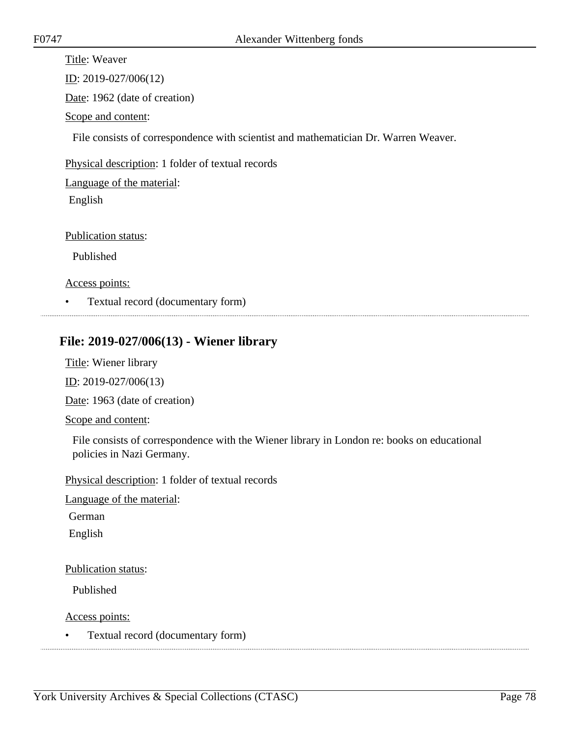Title: Weaver ID: 2019-027/006(12) Date: 1962 (date of creation) Scope and content: File consists of correspondence with scientist and mathematician Dr. Warren Weaver. Physical description: 1 folder of textual records Language of the material: English Publication status: Published Access points:

• Textual record (documentary form)

### **File: 2019-027/006(13) - Wiener library**

Title: Wiener library

ID: 2019-027/006(13)

Date: 1963 (date of creation)

Scope and content:

File consists of correspondence with the Wiener library in London re: books on educational policies in Nazi Germany.

Physical description: 1 folder of textual records

Language of the material:

German

English

Publication status:

Published

Access points:

• Textual record (documentary form)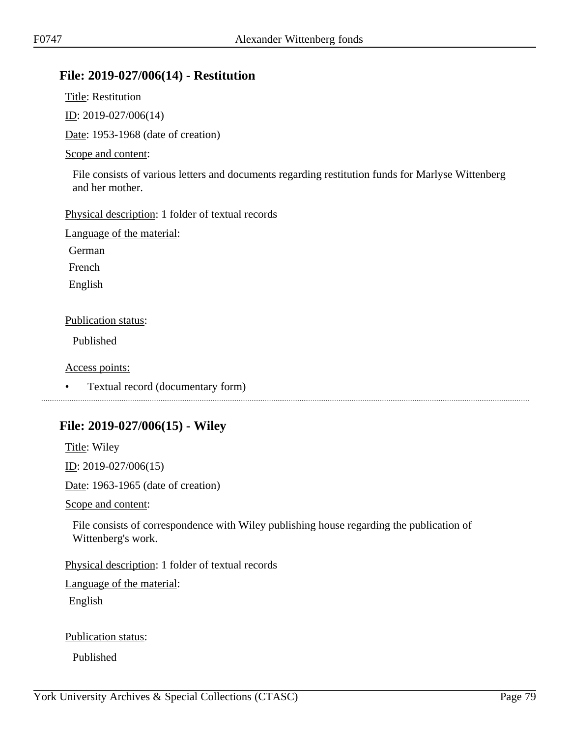### **File: 2019-027/006(14) - Restitution**

Title: Restitution

ID: 2019-027/006(14)

Date: 1953-1968 (date of creation)

### Scope and content:

File consists of various letters and documents regarding restitution funds for Marlyse Wittenberg and her mother.

Physical description: 1 folder of textual records

Language of the material:

German

French

English

### Publication status:

Published

Access points:

• Textual record (documentary form)

# **File: 2019-027/006(15) - Wiley**

Title: Wiley

ID: 2019-027/006(15)

Date: 1963-1965 (date of creation)

Scope and content:

File consists of correspondence with Wiley publishing house regarding the publication of Wittenberg's work.

Physical description: 1 folder of textual records

Language of the material:

English

Publication status:

Published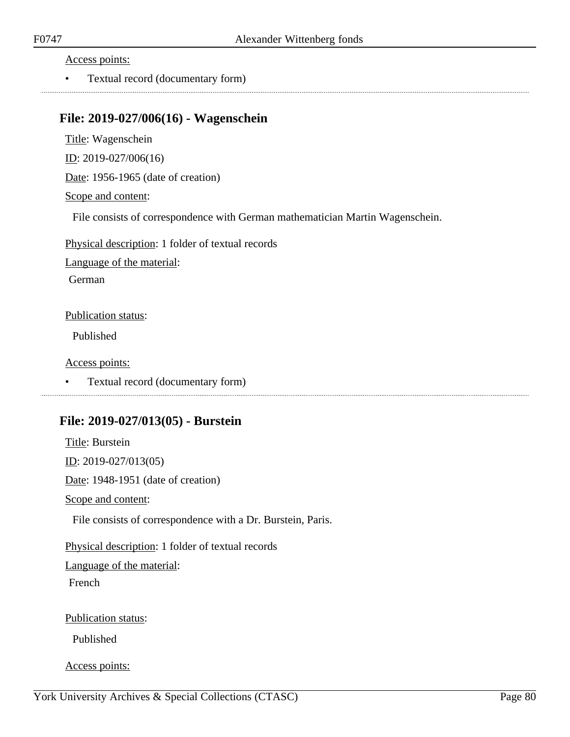Access points:

• Textual record (documentary form)

### **File: 2019-027/006(16) - Wagenschein**

Title: Wagenschein ID: 2019-027/006(16) Date: 1956-1965 (date of creation) Scope and content:

File consists of correspondence with German mathematician Martin Wagenschein.

Physical description: 1 folder of textual records

Language of the material:

German

Publication status:

Published

Access points:

• Textual record (documentary form)

### **File: 2019-027/013(05) - Burstein**

Title: Burstein ID: 2019-027/013(05) Date: 1948-1951 (date of creation) Scope and content: File consists of correspondence with a Dr. Burstein, Paris. Physical description: 1 folder of textual records Language of the material: French Publication status: Published

Access points: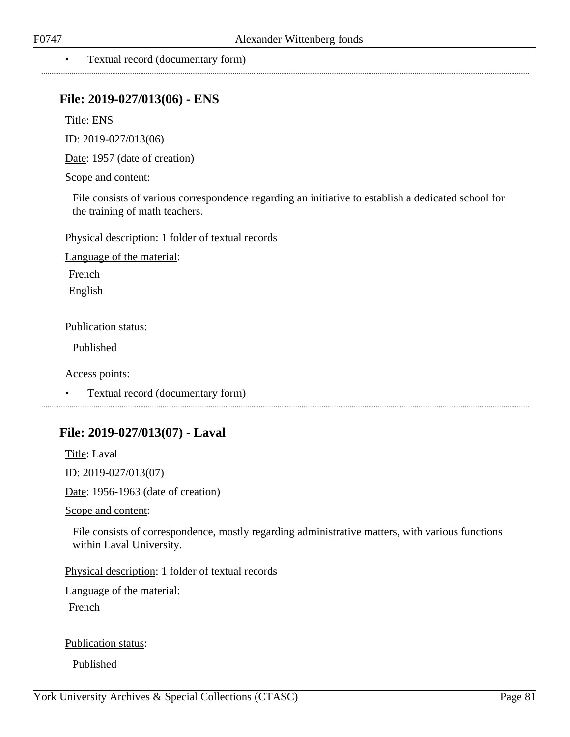#### • Textual record (documentary form)

### **File: 2019-027/013(06) - ENS**

Title: ENS

ID: 2019-027/013(06)

Date: 1957 (date of creation)

#### Scope and content:

File consists of various correspondence regarding an initiative to establish a dedicated school for the training of math teachers.

Physical description: 1 folder of textual records

Language of the material:

French

English

#### Publication status:

Published

Access points:

• Textual record (documentary form)

### **File: 2019-027/013(07) - Laval**

Title: Laval

. . . . . . . . . . . . . . . . . . . .

ID: 2019-027/013(07)

Date: 1956-1963 (date of creation)

Scope and content:

File consists of correspondence, mostly regarding administrative matters, with various functions within Laval University.

Physical description: 1 folder of textual records

Language of the material:

French

Publication status:

Published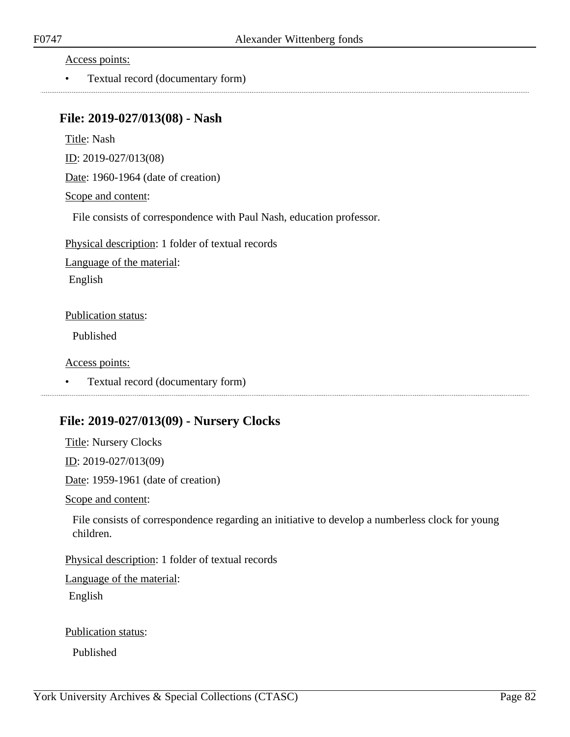Access points:

• Textual record (documentary form)

### **File: 2019-027/013(08) - Nash**

Title: Nash

ID: 2019-027/013(08)

Date: 1960-1964 (date of creation)

Scope and content:

File consists of correspondence with Paul Nash, education professor.

Physical description: 1 folder of textual records

Language of the material:

English

#### Publication status:

Published

Access points:

• Textual record (documentary form)

### **File: 2019-027/013(09) - Nursery Clocks**

Title: Nursery Clocks

ID: 2019-027/013(09)

Date: 1959-1961 (date of creation)

Scope and content:

File consists of correspondence regarding an initiative to develop a numberless clock for young children.

Physical description: 1 folder of textual records

Language of the material:

English

Publication status:

Published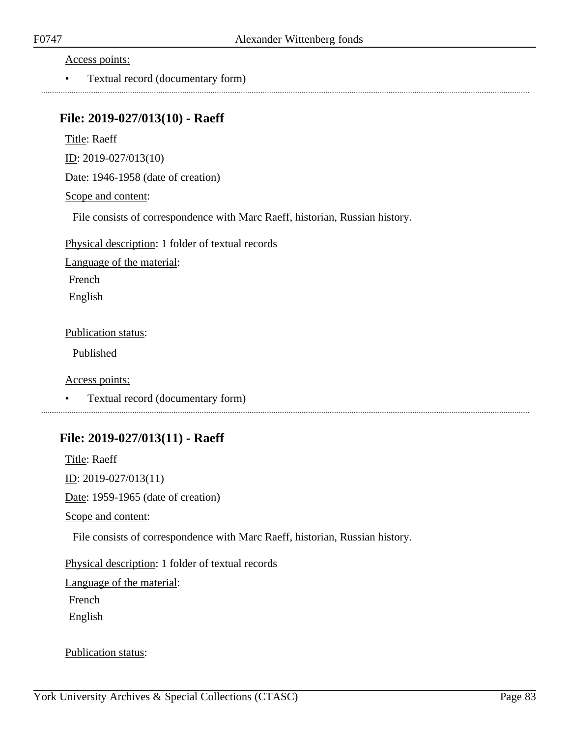Access points:

• Textual record (documentary form)

### **File: 2019-027/013(10) - Raeff**

Title: Raeff

ID: 2019-027/013(10)

Date: 1946-1958 (date of creation)

Scope and content:

File consists of correspondence with Marc Raeff, historian, Russian history.

Physical description: 1 folder of textual records

Language of the material:

French

English

Publication status:

Published

Access points:

• Textual record (documentary form)

### **File: 2019-027/013(11) - Raeff**

Title: Raeff <u>ID</u>: 2019-027/013(11) Date: 1959-1965 (date of creation) Scope and content: File consists of correspondence with Marc Raeff, historian, Russian history. Physical description: 1 folder of textual records Language of the material: French English

Publication status: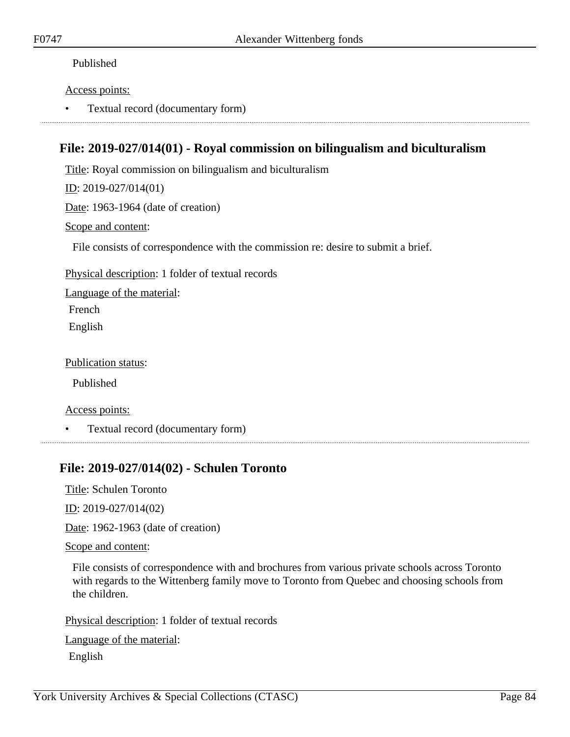#### Published

#### Access points:

• Textual record (documentary form)

### **File: 2019-027/014(01) - Royal commission on bilingualism and biculturalism**

Title: Royal commission on bilingualism and biculturalism

ID: 2019-027/014(01)

Date: 1963-1964 (date of creation)

#### Scope and content:

File consists of correspondence with the commission re: desire to submit a brief.

Physical description: 1 folder of textual records

Language of the material:

French

English

Publication status:

Published

Access points:

• Textual record (documentary form)

### **File: 2019-027/014(02) - Schulen Toronto**

Title: Schulen Toronto

ID: 2019-027/014(02)

Date: 1962-1963 (date of creation)

#### Scope and content:

File consists of correspondence with and brochures from various private schools across Toronto with regards to the Wittenberg family move to Toronto from Quebec and choosing schools from the children.

Physical description: 1 folder of textual records

Language of the material: English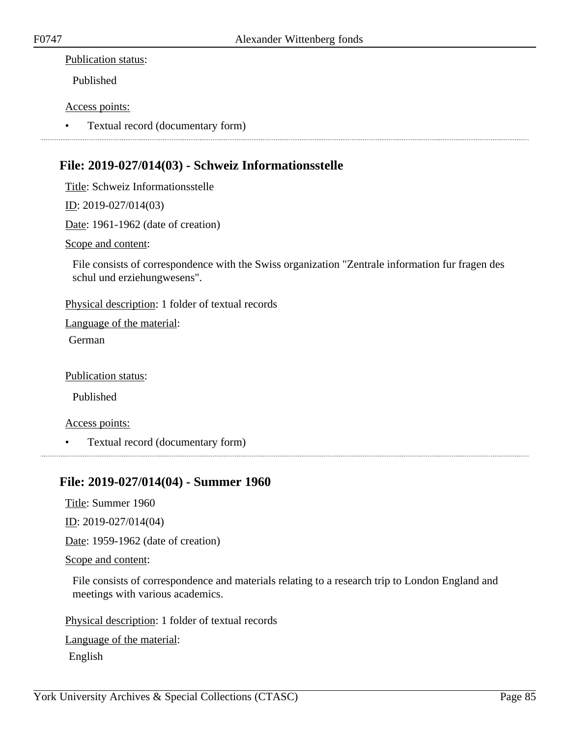#### Publication status:

Published

#### Access points:

• Textual record (documentary form)

### **File: 2019-027/014(03) - Schweiz Informationsstelle**

Title: Schweiz Informationsstelle

ID: 2019-027/014(03)

Date: 1961-1962 (date of creation)

Scope and content:

File consists of correspondence with the Swiss organization "Zentrale information fur fragen des schul und erziehungwesens".

Physical description: 1 folder of textual records

Language of the material:

German

Publication status:

Published

Access points:

• Textual record (documentary form)

### **File: 2019-027/014(04) - Summer 1960**

Title: Summer 1960

ID: 2019-027/014(04)

Date: 1959-1962 (date of creation)

Scope and content:

File consists of correspondence and materials relating to a research trip to London England and meetings with various academics.

Physical description: 1 folder of textual records

Language of the material: English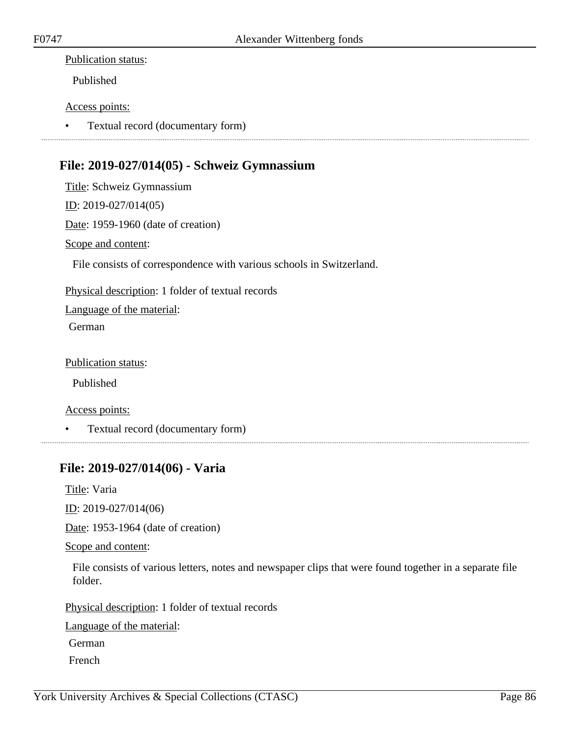#### Publication status:

Published

#### Access points:

• Textual record (documentary form)

### **File: 2019-027/014(05) - Schweiz Gymnassium**

Title: Schweiz Gymnassium ID: 2019-027/014(05) Date: 1959-1960 (date of creation) Scope and content:

File consists of correspondence with various schools in Switzerland.

Physical description: 1 folder of textual records

Language of the material:

German

Publication status:

Published

Access points:

• Textual record (documentary form)

### **File: 2019-027/014(06) - Varia**

Title: Varia

ID: 2019-027/014(06)

Date: 1953-1964 (date of creation)

Scope and content:

File consists of various letters, notes and newspaper clips that were found together in a separate file folder.

Physical description: 1 folder of textual records

Language of the material:

German

French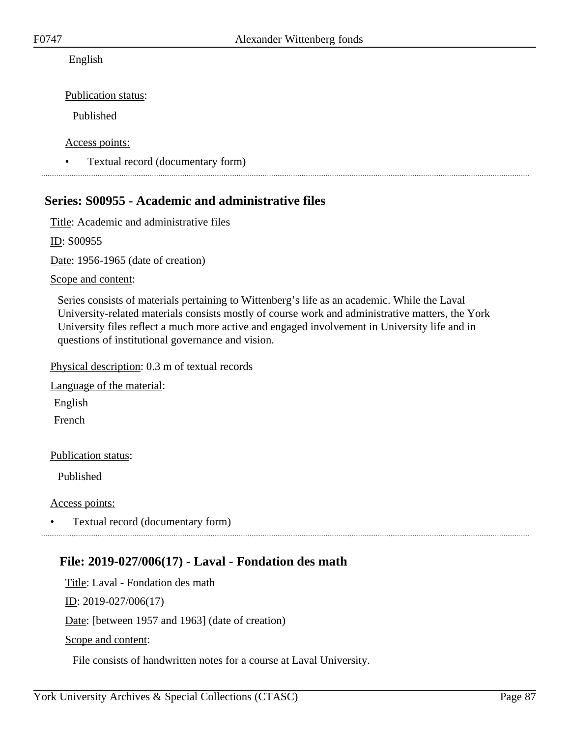### English

Publication status:

Published

Access points:

• Textual record (documentary form)

## **Series: S00955 - Academic and administrative files**

Title: Academic and administrative files

ID: S00955

Date: 1956-1965 (date of creation)

Scope and content:

Series consists of materials pertaining to Wittenberg's life as an academic. While the Laval University-related materials consists mostly of course work and administrative matters, the York University files reflect a much more active and engaged involvement in University life and in questions of institutional governance and vision.

Physical description: 0.3 m of textual records

Language of the material: English

French

Publication status:

Published

Access points:

• Textual record (documentary form)

## **File: 2019-027/006(17) - Laval - Fondation des math**

Title: Laval - Fondation des math ID: 2019-027/006(17) Date: [between 1957 and 1963] (date of creation)

Scope and content:

File consists of handwritten notes for a course at Laval University.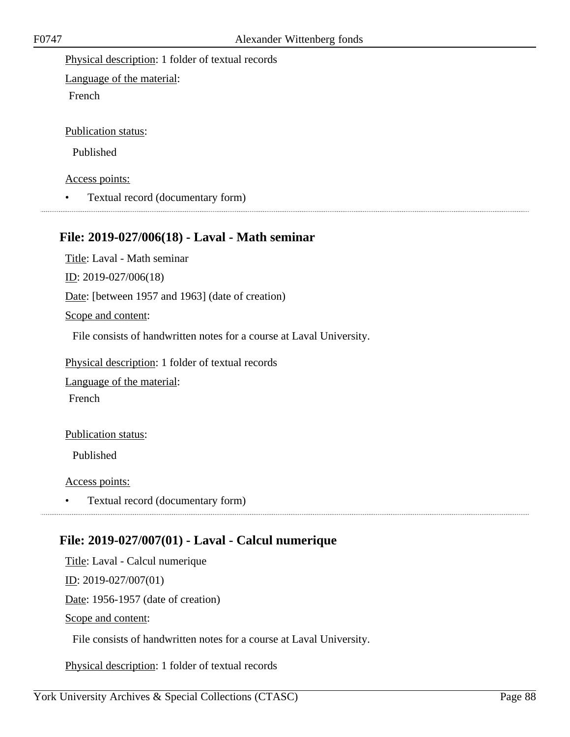Physical description: 1 folder of textual records

Language of the material: French

Publication status:

Published

Access points:

• Textual record (documentary form)

### **File: 2019-027/006(18) - Laval - Math seminar**

Title: Laval - Math seminar ID: 2019-027/006(18) Date: [between 1957 and 1963] (date of creation)

Scope and content:

File consists of handwritten notes for a course at Laval University.

Physical description: 1 folder of textual records

Language of the material:

French

Publication status:

Published

Access points:

• Textual record (documentary form)

## **File: 2019-027/007(01) - Laval - Calcul numerique**

Title: Laval - Calcul numerique

ID: 2019-027/007(01)

Date: 1956-1957 (date of creation)

Scope and content:

File consists of handwritten notes for a course at Laval University.

Physical description: 1 folder of textual records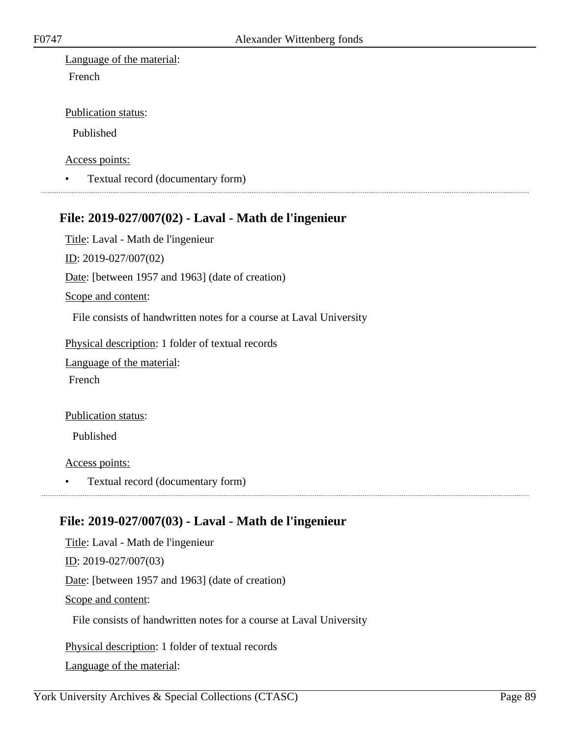Language of the material: French

#### Publication status:

Published

Access points:

• Textual record (documentary form)

### **File: 2019-027/007(02) - Laval - Math de l'ingenieur**

Title: Laval - Math de l'ingenieur

ID: 2019-027/007(02)

Date: [between 1957 and 1963] (date of creation)

Scope and content:

File consists of handwritten notes for a course at Laval University

Physical description: 1 folder of textual records

Language of the material:

French

#### Publication status:

Published

Access points:

• Textual record (documentary form)

## **File: 2019-027/007(03) - Laval - Math de l'ingenieur**

Title: Laval - Math de l'ingenieur ID: 2019-027/007(03) Date: [between 1957 and 1963] (date of creation) Scope and content: File consists of handwritten notes for a course at Laval University

Physical description: 1 folder of textual records Language of the material: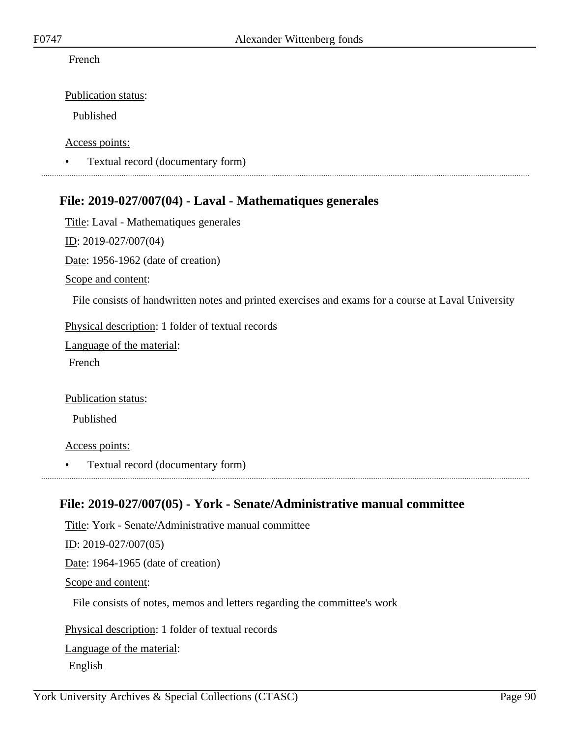#### French

Publication status:

Published

Access points:

• Textual record (documentary form)

### **File: 2019-027/007(04) - Laval - Mathematiques generales**

Title: Laval - Mathematiques generales ID: 2019-027/007(04) Date: 1956-1962 (date of creation) Scope and content: File consists of handwritten notes and printed exercises and exams for a course at Laval University

Physical description: 1 folder of textual records

Language of the material:

French

Publication status:

Published

Access points:

• Textual record (documentary form)

### **File: 2019-027/007(05) - York - Senate/Administrative manual committee**

Title: York - Senate/Administrative manual committee ID: 2019-027/007(05) Date: 1964-1965 (date of creation) Scope and content: File consists of notes, memos and letters regarding the committee's work Physical description: 1 folder of textual records Language of the material:

English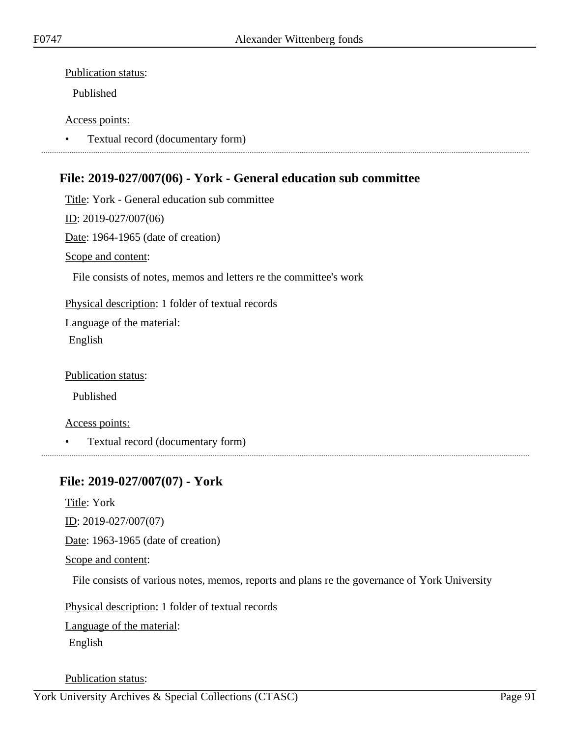Publication status:

Published

#### Access points:

• Textual record (documentary form)

# **File: 2019-027/007(06) - York - General education sub committee**

Title: York - General education sub committee ID: 2019-027/007(06) Date: 1964-1965 (date of creation) Scope and content: File consists of notes, memos and letters re the committee's work Physical description: 1 folder of textual records Language of the material:

English

Publication status:

Published

Access points:

• Textual record (documentary form)

### **File: 2019-027/007(07) - York**

Title: York ID: 2019-027/007(07) Date: 1963-1965 (date of creation) Scope and content:

File consists of various notes, memos, reports and plans re the governance of York University

Physical description: 1 folder of textual records

Language of the material:

English

Publication status: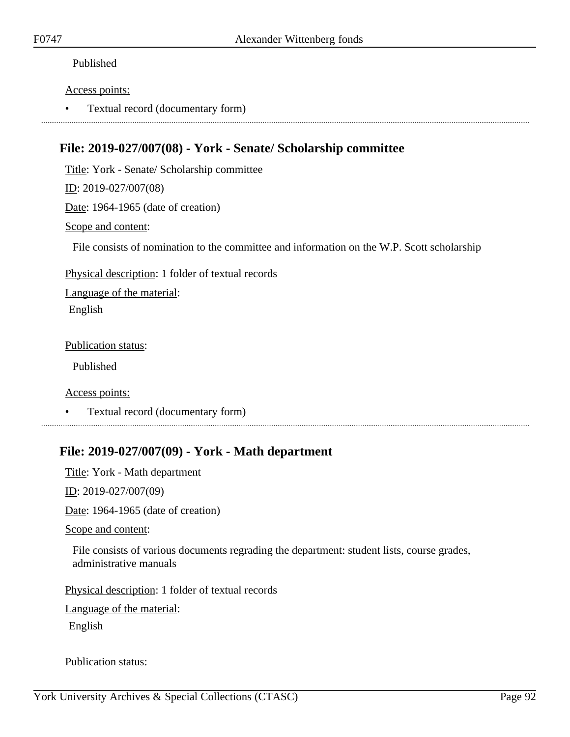### Published

#### Access points:

• Textual record (documentary form)

### **File: 2019-027/007(08) - York - Senate/ Scholarship committee**

Title: York - Senate/ Scholarship committee

ID: 2019-027/007(08)

Date: 1964-1965 (date of creation)

#### Scope and content:

File consists of nomination to the committee and information on the W.P. Scott scholarship

Physical description: 1 folder of textual records

Language of the material: English

Publication status:

Published

Access points:

• Textual record (documentary form)

## **File: 2019-027/007(09) - York - Math department**

Title: York - Math department ID: 2019-027/007(09) Date: 1964-1965 (date of creation) Scope and content:

File consists of various documents regrading the department: student lists, course grades, administrative manuals

Physical description: 1 folder of textual records

Language of the material:

English

Publication status: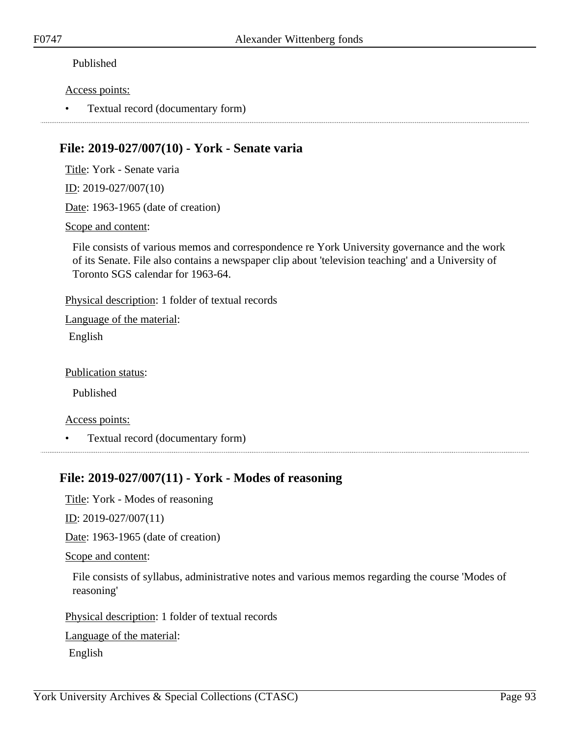### Published

#### Access points:

• Textual record (documentary form)

### **File: 2019-027/007(10) - York - Senate varia**

Title: York - Senate varia

ID: 2019-027/007(10)

Date: 1963-1965 (date of creation)

Scope and content:

File consists of various memos and correspondence re York University governance and the work of its Senate. File also contains a newspaper clip about 'television teaching' and a University of Toronto SGS calendar for 1963-64.

Physical description: 1 folder of textual records

Language of the material: English

Publication status:

Published

Access points:

• Textual record (documentary form)

## **File: 2019-027/007(11) - York - Modes of reasoning**

Title: York - Modes of reasoning

<u>ID</u>: 2019-027/007(11)

Date: 1963-1965 (date of creation)

Scope and content:

File consists of syllabus, administrative notes and various memos regarding the course 'Modes of reasoning'

Physical description: 1 folder of textual records

Language of the material:

English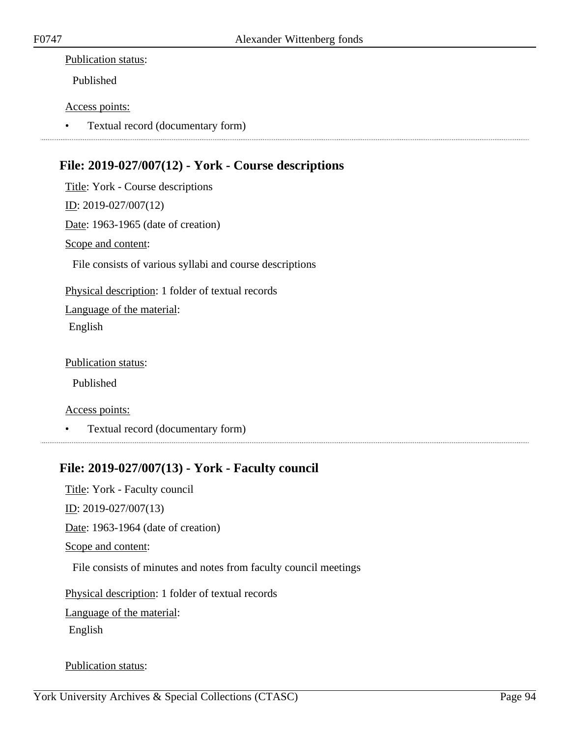#### Publication status:

Published

#### Access points:

• Textual record (documentary form)

### **File: 2019-027/007(12) - York - Course descriptions**

Title: York - Course descriptions ID: 2019-027/007(12) Date: 1963-1965 (date of creation) Scope and content: File consists of various syllabi and course descriptions Physical description: 1 folder of textual records Language of the material: English

Publication status:

Published

Access points:

• Textual record (documentary form)

### **File: 2019-027/007(13) - York - Faculty council**

Title: York - Faculty council  $ID: 2019-027/007(13)$ Date: 1963-1964 (date of creation) Scope and content: File consists of minutes and notes from faculty council meetings Physical description: 1 folder of textual records

Language of the material:

English

Publication status: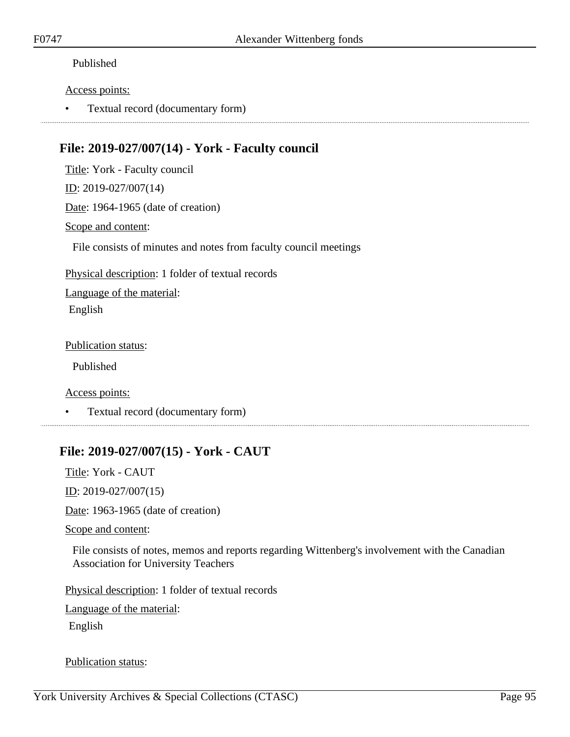#### Published

#### Access points:

• Textual record (documentary form)

### **File: 2019-027/007(14) - York - Faculty council**

Title: York - Faculty council

ID: 2019-027/007(14)

Date: 1964-1965 (date of creation)

#### Scope and content:

File consists of minutes and notes from faculty council meetings

Physical description: 1 folder of textual records

Language of the material: English

Publication status:

Published

Access points:

• Textual record (documentary form)

# **File: 2019-027/007(15) - York - CAUT**

Title: York - CAUT

ID: 2019-027/007(15)

Date: 1963-1965 (date of creation)

Scope and content:

File consists of notes, memos and reports regarding Wittenberg's involvement with the Canadian Association for University Teachers

Physical description: 1 folder of textual records

Language of the material:

English

Publication status: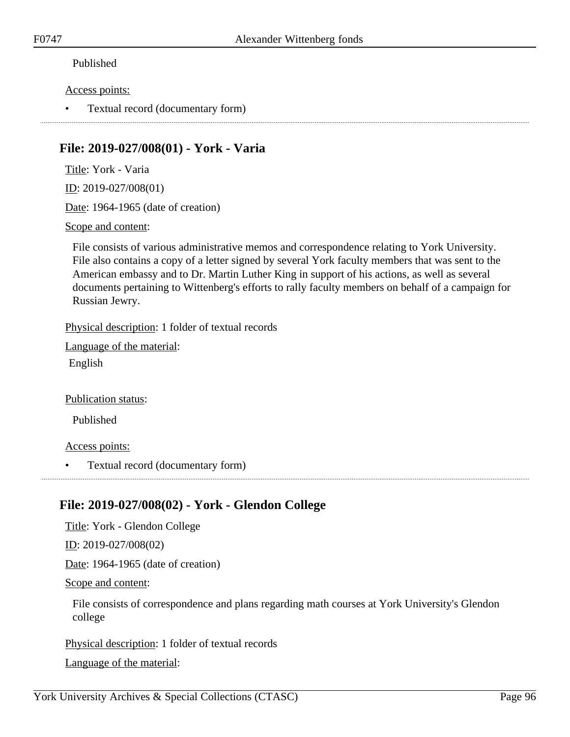### Published

#### Access points:

• Textual record (documentary form)

### **File: 2019-027/008(01) - York - Varia**

Title: York - Varia

ID: 2019-027/008(01)

Date: 1964-1965 (date of creation)

Scope and content:

File consists of various administrative memos and correspondence relating to York University. File also contains a copy of a letter signed by several York faculty members that was sent to the American embassy and to Dr. Martin Luther King in support of his actions, as well as several documents pertaining to Wittenberg's efforts to rally faculty members on behalf of a campaign for Russian Jewry.

Physical description: 1 folder of textual records

Language of the material:

English

Publication status:

Published

Access points:

• Textual record (documentary form)

## **File: 2019-027/008(02) - York - Glendon College**

Title: York - Glendon College

ID: 2019-027/008(02)

Date: 1964-1965 (date of creation)

Scope and content:

File consists of correspondence and plans regarding math courses at York University's Glendon college

Physical description: 1 folder of textual records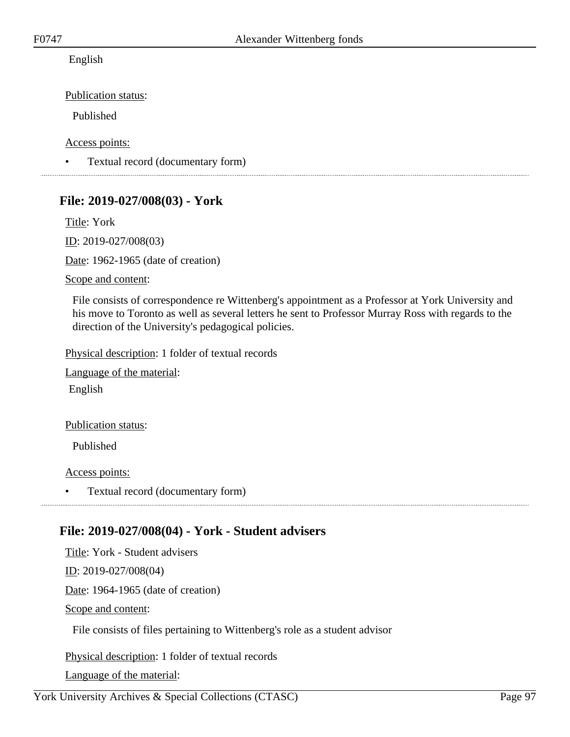English

Publication status:

Published

Access points:

• Textual record (documentary form)

### **File: 2019-027/008(03) - York**

Title: York ID: 2019-027/008(03) Date: 1962-1965 (date of creation) Scope and content:

File consists of correspondence re Wittenberg's appointment as a Professor at York University and his move to Toronto as well as several letters he sent to Professor Murray Ross with regards to the direction of the University's pedagogical policies.

Physical description: 1 folder of textual records

Language of the material: English

Publication status:

Published

Access points:

• Textual record (documentary form)

## **File: 2019-027/008(04) - York - Student advisers**

Title: York - Student advisers ID: 2019-027/008(04) Date: 1964-1965 (date of creation) Scope and content: File consists of files pertaining to Wittenberg's role as a student advisor

Physical description: 1 folder of textual records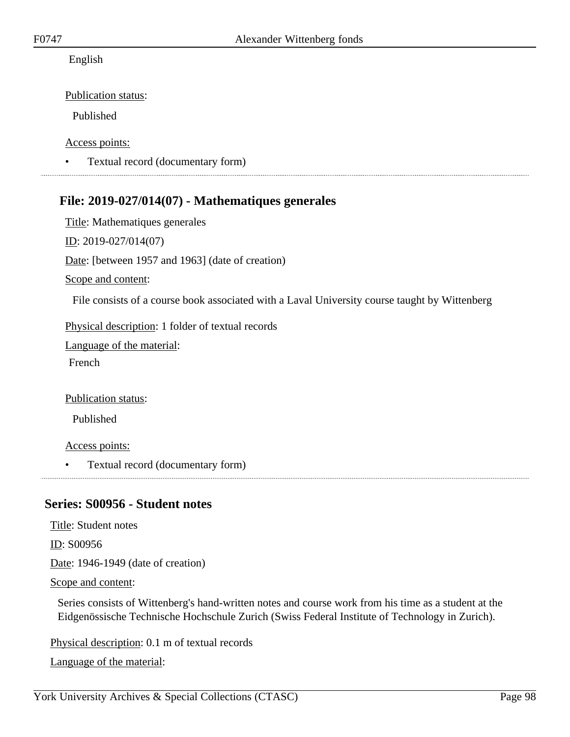English

Publication status:

Published

Access points:

• Textual record (documentary form)

### **File: 2019-027/014(07) - Mathematiques generales**

Title: Mathematiques generales ID: 2019-027/014(07) Date: [between 1957 and 1963] (date of creation) Scope and content:

File consists of a course book associated with a Laval University course taught by Wittenberg

Physical description: 1 folder of textual records

Language of the material:

French

Publication status:

Published

Access points:

• Textual record (documentary form)

### **Series: S00956 - Student notes**

Title: Student notes

ID: S00956

Date: 1946-1949 (date of creation)

Scope and content:

Series consists of Wittenberg's hand-written notes and course work from his time as a student at the Eidgenössische Technische Hochschule Zurich (Swiss Federal Institute of Technology in Zurich).

Physical description: 0.1 m of textual records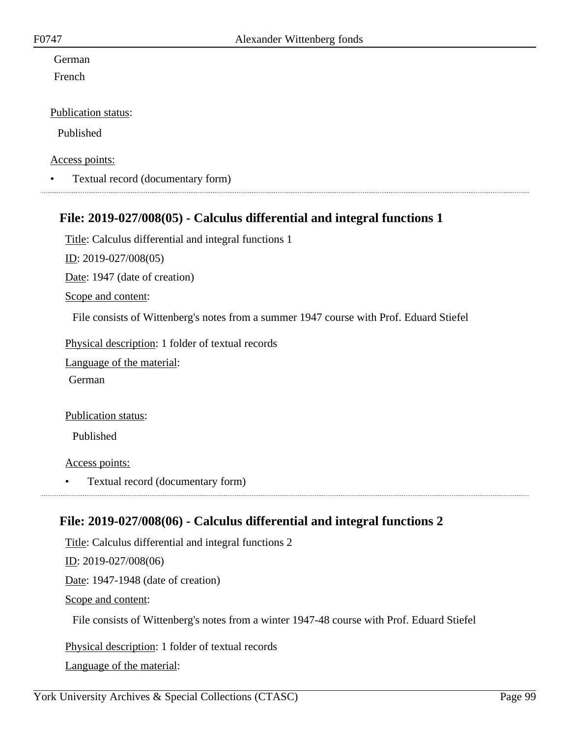# German

French

### Publication status:

Published

### Access points:

• Textual record (documentary form) 

### **File: 2019-027/008(05) - Calculus differential and integral functions 1**

Title: Calculus differential and integral functions 1

ID: 2019-027/008(05)

Date: 1947 (date of creation)

Scope and content:

File consists of Wittenberg's notes from a summer 1947 course with Prof. Eduard Stiefel

Physical description: 1 folder of textual records

Language of the material:

German

#### Publication status:

Published

Access points:

• Textual record (documentary form)

## **File: 2019-027/008(06) - Calculus differential and integral functions 2**

Title: Calculus differential and integral functions 2 <u>ID</u>: 2019-027/008(06) Date: 1947-1948 (date of creation) Scope and content: File consists of Wittenberg's notes from a winter 1947-48 course with Prof. Eduard Stiefel

Physical description: 1 folder of textual records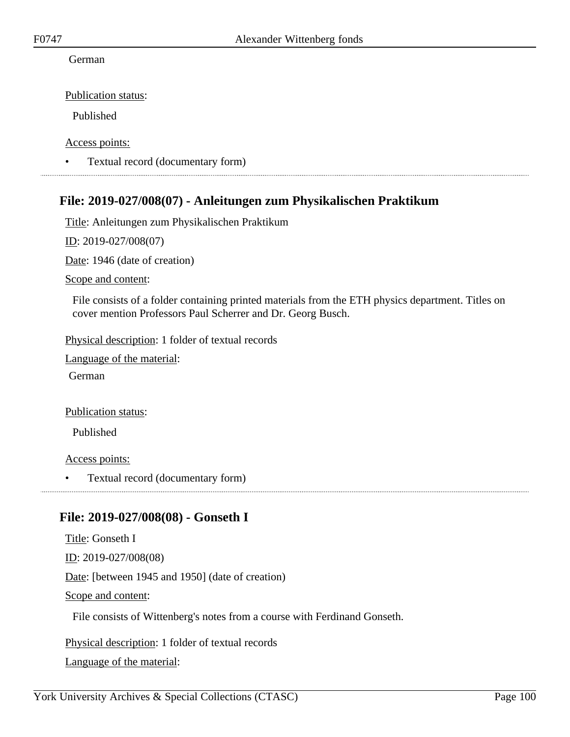#### German

Publication status:

Published

Access points:

• Textual record (documentary form)

### **File: 2019-027/008(07) - Anleitungen zum Physikalischen Praktikum**

Title: Anleitungen zum Physikalischen Praktikum

ID: 2019-027/008(07)

Date: 1946 (date of creation)

Scope and content:

File consists of a folder containing printed materials from the ETH physics department. Titles on cover mention Professors Paul Scherrer and Dr. Georg Busch.

Physical description: 1 folder of textual records

Language of the material:

German

Publication status:

Published

Access points:

• Textual record (documentary form)

### **File: 2019-027/008(08) - Gonseth I**

Title: Gonseth I ID: 2019-027/008(08) Date: [between 1945 and 1950] (date of creation) Scope and content: File consists of Wittenberg's notes from a course with Ferdinand Gonseth.

Physical description: 1 folder of textual records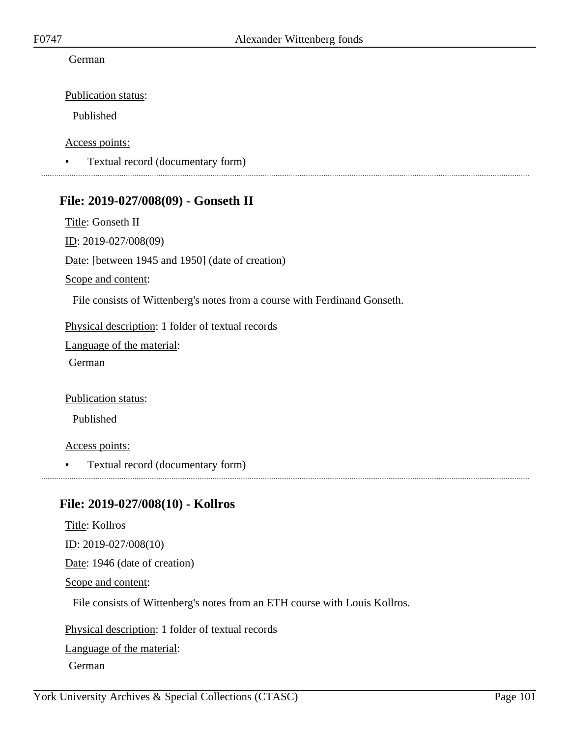#### German

Publication status:

Published

Access points:

• Textual record (documentary form)

### **File: 2019-027/008(09) - Gonseth II**

Title: Gonseth II ID: 2019-027/008(09) Date: [between 1945 and 1950] (date of creation) Scope and content:

File consists of Wittenberg's notes from a course with Ferdinand Gonseth.

Physical description: 1 folder of textual records

Language of the material:

German

Publication status:

Published

Access points:

• Textual record (documentary form)

## **File: 2019-027/008(10) - Kollros**

Title: Kollros ID: 2019-027/008(10) Date: 1946 (date of creation) Scope and content: File consists of Wittenberg's notes from an ETH course with Louis Kollros. Physical description: 1 folder of textual records Language of the material: German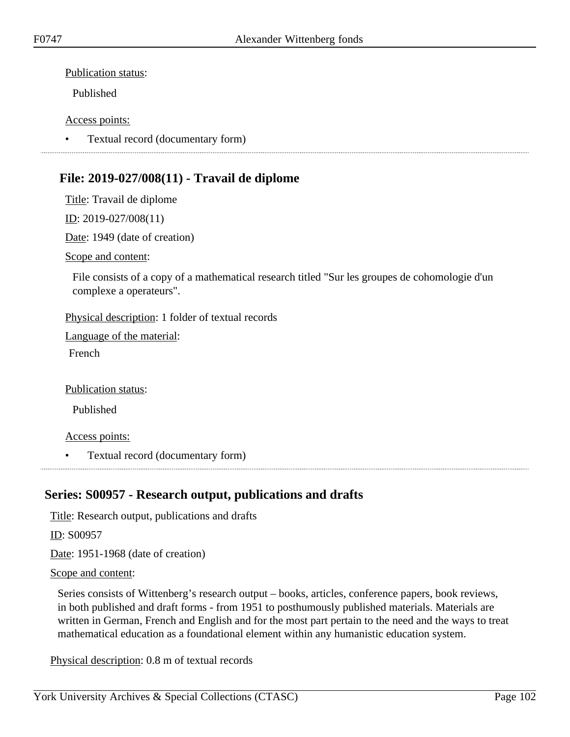Publication status:

Published

#### Access points:

• Textual record (documentary form)

# **File: 2019-027/008(11) - Travail de diplome**

Title: Travail de diplome

ID: 2019-027/008(11)

Date: 1949 (date of creation)

Scope and content:

File consists of a copy of a mathematical research titled "Sur les groupes de cohomologie d'un complexe a operateurs".

Physical description: 1 folder of textual records

Language of the material: French

Publication status:

Published

Access points:

• Textual record (documentary form)

# **Series: S00957 - Research output, publications and drafts**

Title: Research output, publications and drafts

ID: S00957

Date: 1951-1968 (date of creation)

Scope and content:

Series consists of Wittenberg's research output – books, articles, conference papers, book reviews, in both published and draft forms - from 1951 to posthumously published materials. Materials are written in German, French and English and for the most part pertain to the need and the ways to treat mathematical education as a foundational element within any humanistic education system.

Physical description: 0.8 m of textual records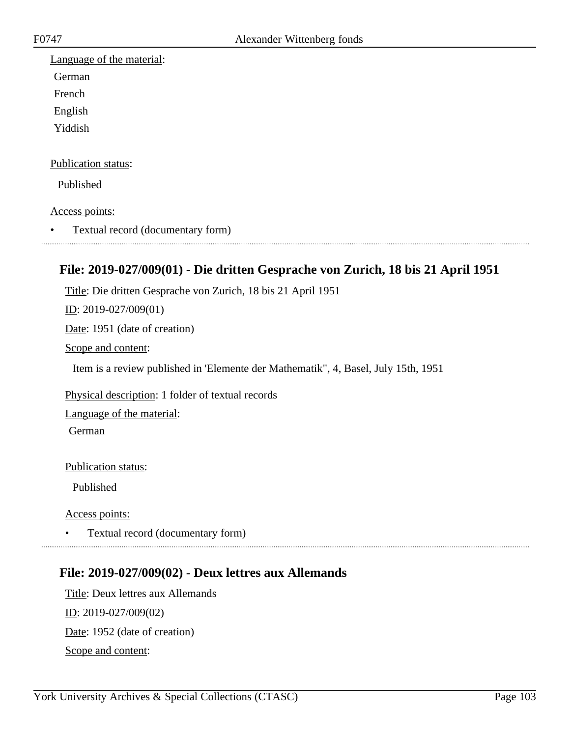Language of the material: German French English Yiddish Publication status: Published Access points: • Textual record (documentary form) 

## **File: 2019-027/009(01) - Die dritten Gesprache von Zurich, 18 bis 21 April 1951**

Title: Die dritten Gesprache von Zurich, 18 bis 21 April 1951

ID: 2019-027/009(01)

Date: 1951 (date of creation)

Scope and content:

Item is a review published in 'Elemente der Mathematik", 4, Basel, July 15th, 1951

Physical description: 1 folder of textual records

Language of the material:

German

Publication status:

Published

Access points:

• Textual record (documentary form)

### **File: 2019-027/009(02) - Deux lettres aux Allemands**

Title: Deux lettres aux Allemands ID: 2019-027/009(02) Date: 1952 (date of creation) Scope and content: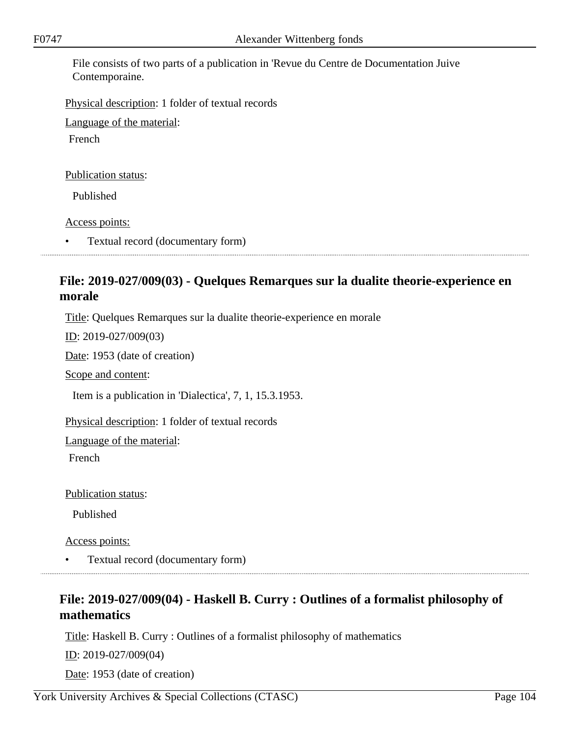File consists of two parts of a publication in 'Revue du Centre de Documentation Juive Contemporaine.

Physical description: 1 folder of textual records

Language of the material:

French

Publication status:

Published

Access points:

• Textual record (documentary form)

# **File: 2019-027/009(03) - Quelques Remarques sur la dualite theorie-experience en morale**

Title: Quelques Remarques sur la dualite theorie-experience en morale

ID: 2019-027/009(03)

Date: 1953 (date of creation)

Scope and content:

Item is a publication in 'Dialectica', 7, 1, 15.3.1953.

Physical description: 1 folder of textual records

Language of the material:

French

Publication status:

Published

Access points:

• Textual record (documentary form)

# **File: 2019-027/009(04) - Haskell B. Curry : Outlines of a formalist philosophy of mathematics**

Title: Haskell B. Curry : Outlines of a formalist philosophy of mathematics

ID: 2019-027/009(04)

Date: 1953 (date of creation)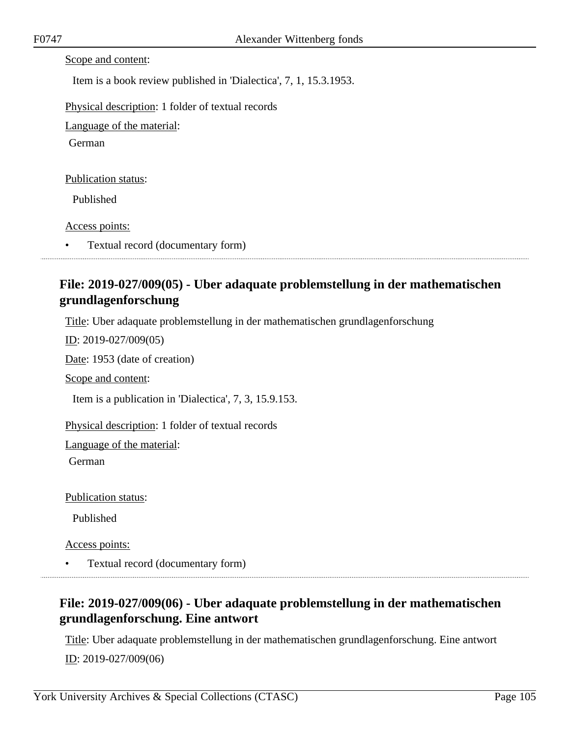|  | Scope and content: |  |
|--|--------------------|--|
|  |                    |  |

Item is a book review published in 'Dialectica', 7, 1, 15.3.1953.

Physical description: 1 folder of textual records

Language of the material:

German

Publication status:

Published

Access points:

• Textual record (documentary form)

# **File: 2019-027/009(05) - Uber adaquate problemstellung in der mathematischen grundlagenforschung**

Title: Uber adaquate problemstellung in der mathematischen grundlagenforschung

ID: 2019-027/009(05)

Date: 1953 (date of creation)

Scope and content:

Item is a publication in 'Dialectica', 7, 3, 15.9.153.

Physical description: 1 folder of textual records

Language of the material:

German

Publication status:

Published

Access points:

• Textual record (documentary form)

# **File: 2019-027/009(06) - Uber adaquate problemstellung in der mathematischen grundlagenforschung. Eine antwort**

Title: Uber adaquate problemstellung in der mathematischen grundlagenforschung. Eine antwort ID: 2019-027/009(06)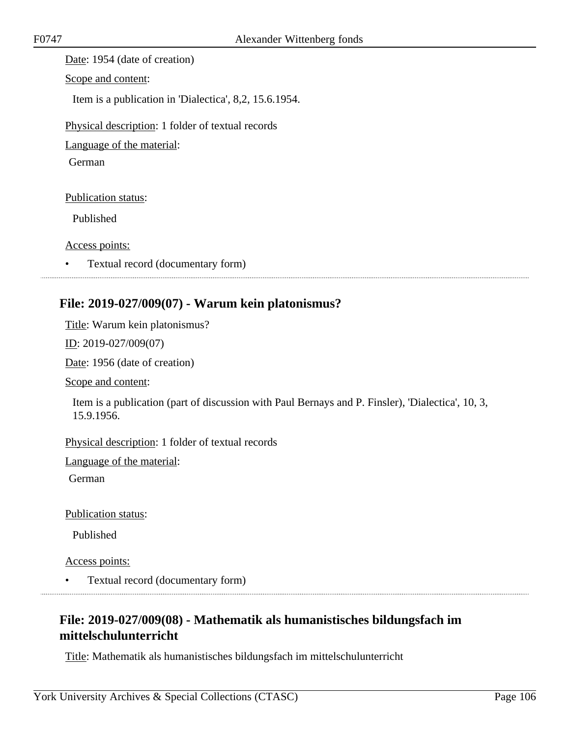Date: 1954 (date of creation)

Scope and content:

Item is a publication in 'Dialectica', 8,2, 15.6.1954.

Physical description: 1 folder of textual records

Language of the material:

German

Publication status:

Published

Access points:

• Textual record (documentary form)

## **File: 2019-027/009(07) - Warum kein platonismus?**

Title: Warum kein platonismus?

ID: 2019-027/009(07)

Date: 1956 (date of creation)

Scope and content:

Item is a publication (part of discussion with Paul Bernays and P. Finsler), 'Dialectica', 10, 3, 15.9.1956.

Physical description: 1 folder of textual records

Language of the material:

German

Publication status:

Published

Access points:

• Textual record (documentary form)

# **File: 2019-027/009(08) - Mathematik als humanistisches bildungsfach im mittelschulunterricht**

Title: Mathematik als humanistisches bildungsfach im mittelschulunterricht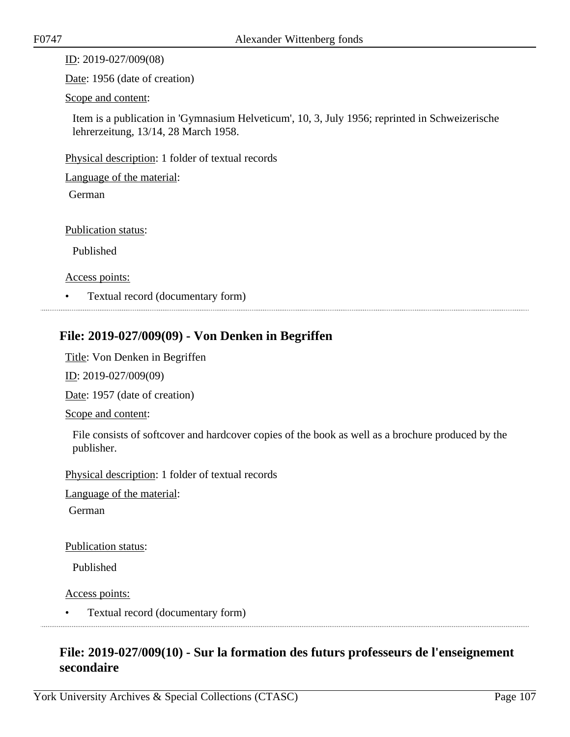ID: 2019-027/009(08)

Date: 1956 (date of creation)

#### Scope and content:

Item is a publication in 'Gymnasium Helveticum', 10, 3, July 1956; reprinted in Schweizerische lehrerzeitung, 13/14, 28 March 1958.

Physical description: 1 folder of textual records

Language of the material:

German

Publication status:

Published

Access points:

• Textual record (documentary form)

### **File: 2019-027/009(09) - Von Denken in Begriffen**

Title: Von Denken in Begriffen

ID: 2019-027/009(09)

Date: 1957 (date of creation)

Scope and content:

File consists of softcover and hardcover copies of the book as well as a brochure produced by the publisher.

Physical description: 1 folder of textual records

Language of the material:

German

Publication status:

Published

Access points:

• Textual record (documentary form)

## **File: 2019-027/009(10) - Sur la formation des futurs professeurs de l'enseignement secondaire**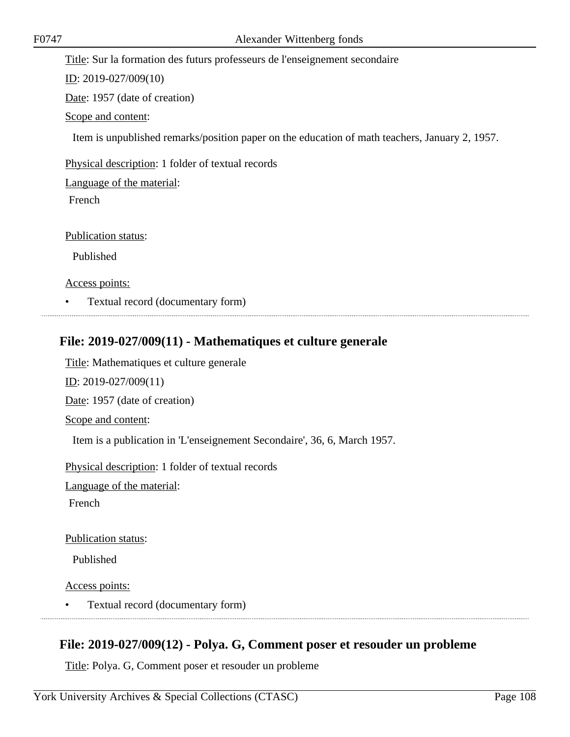Title: Sur la formation des futurs professeurs de l'enseignement secondaire

ID: 2019-027/009(10)

Date: 1957 (date of creation)

Scope and content:

Item is unpublished remarks/position paper on the education of math teachers, January 2, 1957.

Physical description: 1 folder of textual records

Language of the material:

French

Publication status:

Published

Access points:

• Textual record (documentary form)

## **File: 2019-027/009(11) - Mathematiques et culture generale**

Title: Mathematiques et culture generale ID: 2019-027/009(11) Date: 1957 (date of creation) Scope and content: Item is a publication in 'L'enseignement Secondaire', 36, 6, March 1957. Physical description: 1 folder of textual records Language of the material:

French

Publication status:

Published

Access points:

• Textual record (documentary form)

## **File: 2019-027/009(12) - Polya. G, Comment poser et resouder un probleme**

Title: Polya. G, Comment poser et resouder un probleme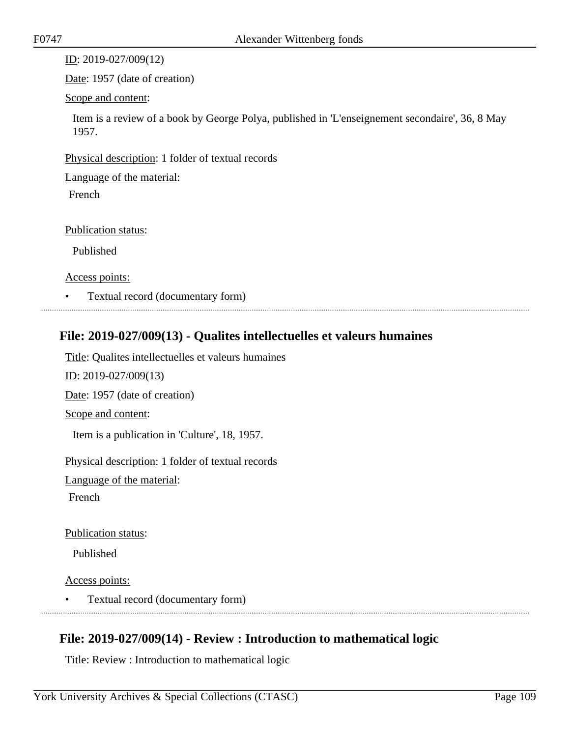ID: 2019-027/009(12)

Date: 1957 (date of creation)

Scope and content:

Item is a review of a book by George Polya, published in 'L'enseignement secondaire', 36, 8 May 1957.

Physical description: 1 folder of textual records

Language of the material:

French

Publication status:

Published

Access points:

• Textual record (documentary form)

### **File: 2019-027/009(13) - Qualites intellectuelles et valeurs humaines**

Title: Qualites intellectuelles et valeurs humaines

ID: 2019-027/009(13)

Date: 1957 (date of creation)

Scope and content:

Item is a publication in 'Culture', 18, 1957.

Physical description: 1 folder of textual records

Language of the material:

French

Publication status:

Published

Access points:

• Textual record (documentary form)

# **File: 2019-027/009(14) - Review : Introduction to mathematical logic**

Title: Review : Introduction to mathematical logic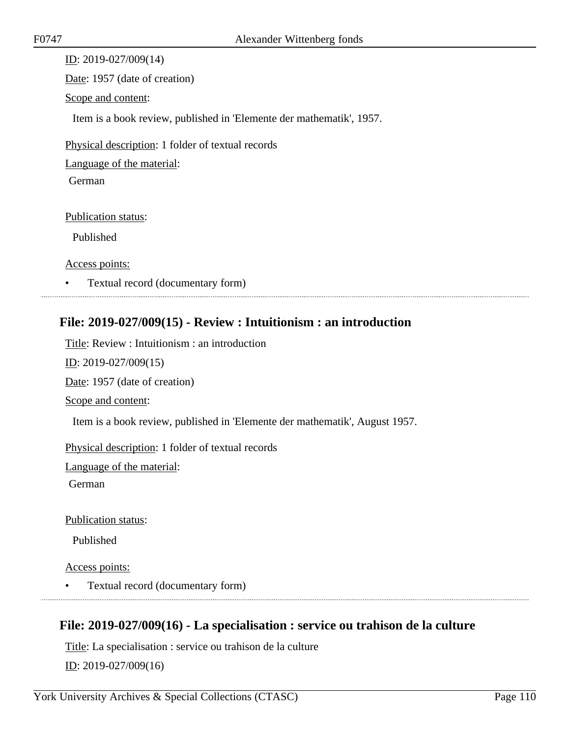ID: 2019-027/009(14) Date: 1957 (date of creation) Scope and content: Item is a book review, published in 'Elemente der mathematik', 1957. Physical description: 1 folder of textual records Language of the material: German Publication status: Published

Access points:

• Textual record (documentary form)

### **File: 2019-027/009(15) - Review : Intuitionism : an introduction**

Title: Review : Intuitionism : an introduction ID: 2019-027/009(15) Date: 1957 (date of creation) Scope and content: Item is a book review, published in 'Elemente der mathematik', August 1957. Physical description: 1 folder of textual records Language of the material: German

Publication status:

Published

Access points:

• Textual record (documentary form)

# **File: 2019-027/009(16) - La specialisation : service ou trahison de la culture**

Title: La specialisation : service ou trahison de la culture ID: 2019-027/009(16)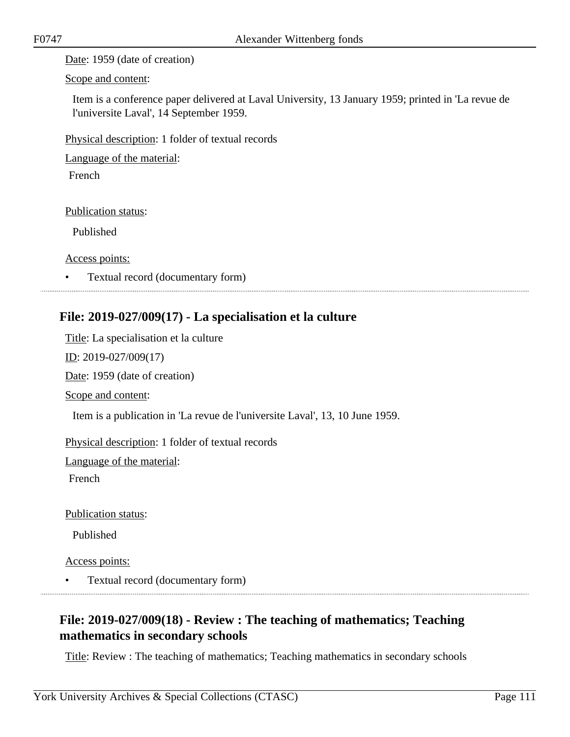Date: 1959 (date of creation)

Scope and content:

Item is a conference paper delivered at Laval University, 13 January 1959; printed in 'La revue de l'universite Laval', 14 September 1959.

Physical description: 1 folder of textual records

Language of the material:

French

Publication status:

Published

Access points:

• Textual record (documentary form)

### **File: 2019-027/009(17) - La specialisation et la culture**

Title: La specialisation et la culture ID: 2019-027/009(17) Date: 1959 (date of creation) Scope and content:

Item is a publication in 'La revue de l'universite Laval', 13, 10 June 1959.

Physical description: 1 folder of textual records

Language of the material:

French

Publication status:

Published

Access points:

• Textual record (documentary form)

# **File: 2019-027/009(18) - Review : The teaching of mathematics; Teaching mathematics in secondary schools**

Title: Review : The teaching of mathematics; Teaching mathematics in secondary schools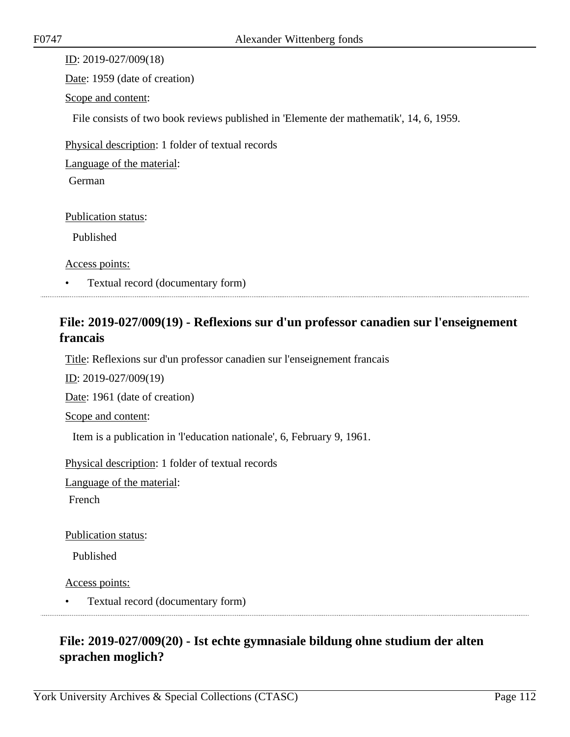ID: 2019-027/009(18) Date: 1959 (date of creation) Scope and content: File consists of two book reviews published in 'Elemente der mathematik', 14, 6, 1959. Physical description: 1 folder of textual records Language of the material: German Publication status: Published

Access points:

• Textual record (documentary form)

### **File: 2019-027/009(19) - Reflexions sur d'un professor canadien sur l'enseignement francais**

Title: Reflexions sur d'un professor canadien sur l'enseignement francais

ID: 2019-027/009(19)

Date: 1961 (date of creation)

Scope and content:

Item is a publication in 'l'education nationale', 6, February 9, 1961.

Physical description: 1 folder of textual records

Language of the material:

French

Publication status:

Published

Access points:

• Textual record (documentary form)

# **File: 2019-027/009(20) - Ist echte gymnasiale bildung ohne studium der alten sprachen moglich?**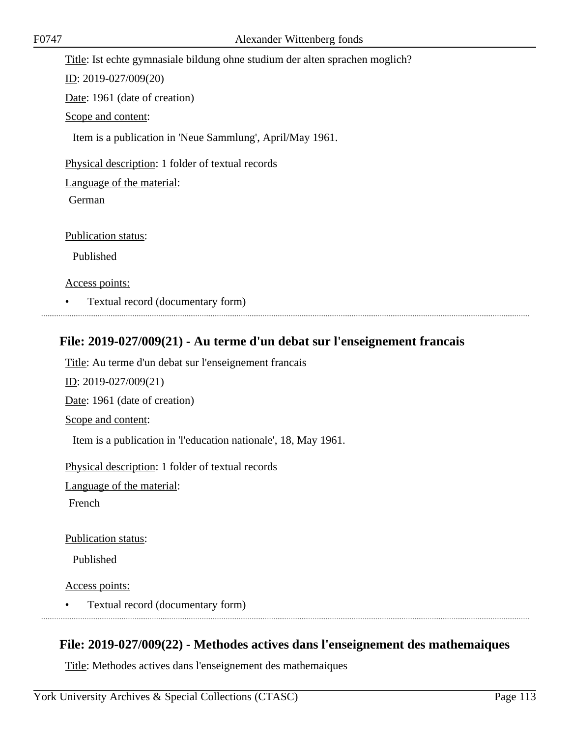| F0747 | Alexander Wittenberg fonds                                                   |
|-------|------------------------------------------------------------------------------|
|       | Title: Ist echte gymnasiale bildung ohne studium der alten sprachen moglich? |
|       | ID: $2019 - 027/009(20)$                                                     |
|       | Date: 1961 (date of creation)                                                |
|       | Scope and content:                                                           |
|       | Item is a publication in 'Neue Sammlung', April/May 1961.                    |
|       | Physical description: 1 folder of textual records                            |
|       | Language of the material:                                                    |
|       | German                                                                       |
|       |                                                                              |
|       | <b>Publication status:</b>                                                   |
|       | Published                                                                    |
|       | Access points:                                                               |

• Textual record (documentary form)

# **File: 2019-027/009(21) - Au terme d'un debat sur l'enseignement francais**

Title: Au terme d'un debat sur l'enseignement francais ID: 2019-027/009(21) Date: 1961 (date of creation) Scope and content: Item is a publication in 'l'education nationale', 18, May 1961. Physical description: 1 folder of textual records Language of the material:

French

Publication status:

Published

Access points:

• Textual record (documentary form)

### **File: 2019-027/009(22) - Methodes actives dans l'enseignement des mathemaiques**

Title: Methodes actives dans l'enseignement des mathemaiques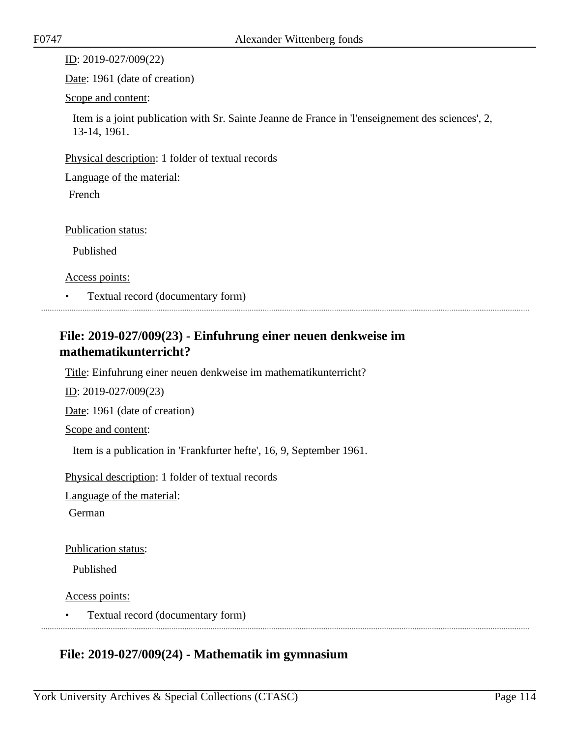ID: 2019-027/009(22)

Date: 1961 (date of creation)

Scope and content:

Item is a joint publication with Sr. Sainte Jeanne de France in 'l'enseignement des sciences', 2, 13-14, 1961.

Physical description: 1 folder of textual records

Language of the material:

French

Publication status:

Published

Access points:

• Textual record (documentary form)

# **File: 2019-027/009(23) - Einfuhrung einer neuen denkweise im mathematikunterricht?**

Title: Einfuhrung einer neuen denkweise im mathematikunterricht?

ID: 2019-027/009(23)

Date: 1961 (date of creation)

Scope and content:

Item is a publication in 'Frankfurter hefte', 16, 9, September 1961.

Physical description: 1 folder of textual records

Language of the material:

German

Publication status:

Published

Access points:

• Textual record (documentary form)

# **File: 2019-027/009(24) - Mathematik im gymnasium**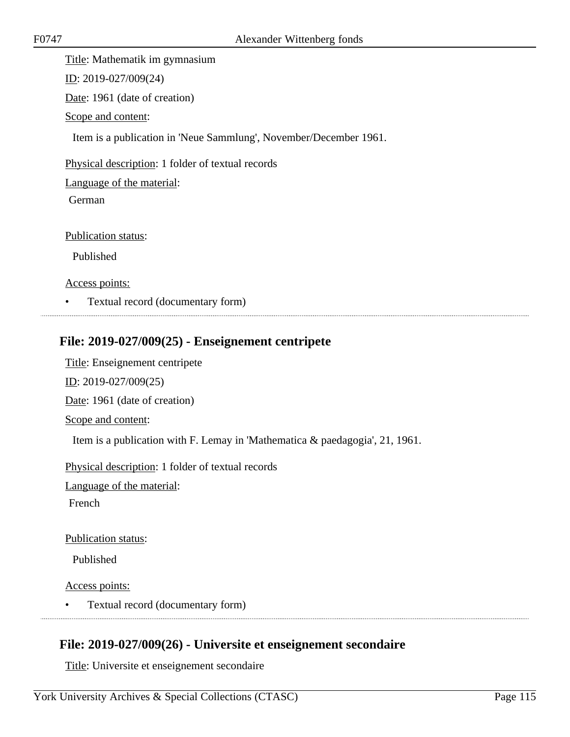Title: Mathematik im gymnasium

ID: 2019-027/009(24)

Date: 1961 (date of creation)

Scope and content:

Item is a publication in 'Neue Sammlung', November/December 1961.

Physical description: 1 folder of textual records

Language of the material:

German

Publication status:

Published

Access points:

• Textual record (documentary form)

### **File: 2019-027/009(25) - Enseignement centripete**

Title: Enseignement centripete ID: 2019-027/009(25) Date: 1961 (date of creation) Scope and content: Item is a publication with F. Lemay in 'Mathematica & paedagogia', 21, 1961. Physical description: 1 folder of textual records

Language of the material:

French

Publication status:

Published

Access points:

• Textual record (documentary form)

# **File: 2019-027/009(26) - Universite et enseignement secondaire**

Title: Universite et enseignement secondaire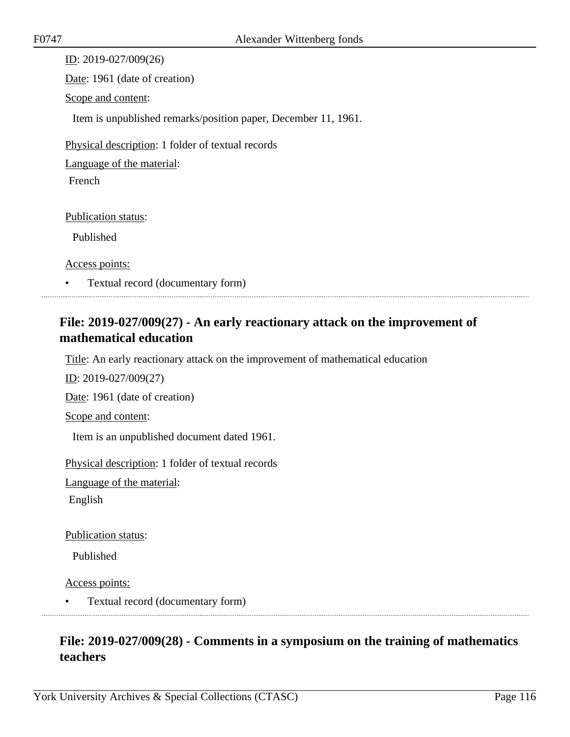| ID: 2019-027/009(26)                                           |  |
|----------------------------------------------------------------|--|
| Date: 1961 (date of creation)                                  |  |
| Scope and content:                                             |  |
| Item is unpublished remarks/position paper, December 11, 1961. |  |
| Physical description: 1 folder of textual records              |  |
| Language of the material:                                      |  |
| <b>French</b>                                                  |  |
|                                                                |  |
| <b>Publication status:</b>                                     |  |
| Published                                                      |  |
| Access points:                                                 |  |

• Textual record (documentary form)

# **File: 2019-027/009(27) - An early reactionary attack on the improvement of mathematical education**

Title: An early reactionary attack on the improvement of mathematical education

ID: 2019-027/009(27)

Date: 1961 (date of creation)

Scope and content:

Item is an unpublished document dated 1961.

Physical description: 1 folder of textual records

Language of the material:

English

Publication status:

Published

Access points:

• Textual record (documentary form)

# **File: 2019-027/009(28) - Comments in a symposium on the training of mathematics teachers**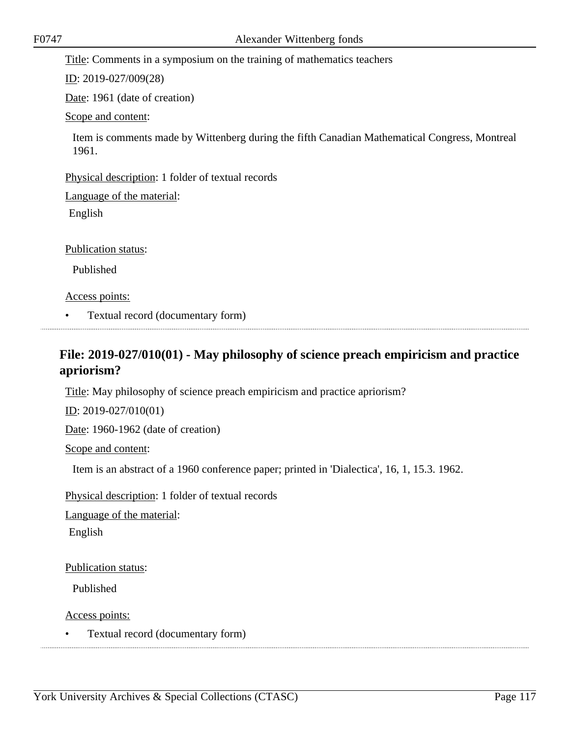Title: Comments in a symposium on the training of mathematics teachers

ID: 2019-027/009(28)

Date: 1961 (date of creation)

Scope and content:

Item is comments made by Wittenberg during the fifth Canadian Mathematical Congress, Montreal 1961.

Physical description: 1 folder of textual records

Language of the material:

English

Publication status:

Published

Access points:

• Textual record (documentary form)

# **File: 2019-027/010(01) - May philosophy of science preach empiricism and practice apriorism?**

Title: May philosophy of science preach empiricism and practice apriorism?

ID: 2019-027/010(01)

Date: 1960-1962 (date of creation)

Scope and content:

Item is an abstract of a 1960 conference paper; printed in 'Dialectica', 16, 1, 15.3. 1962.

Physical description: 1 folder of textual records

Language of the material:

English

Publication status:

Published

Access points: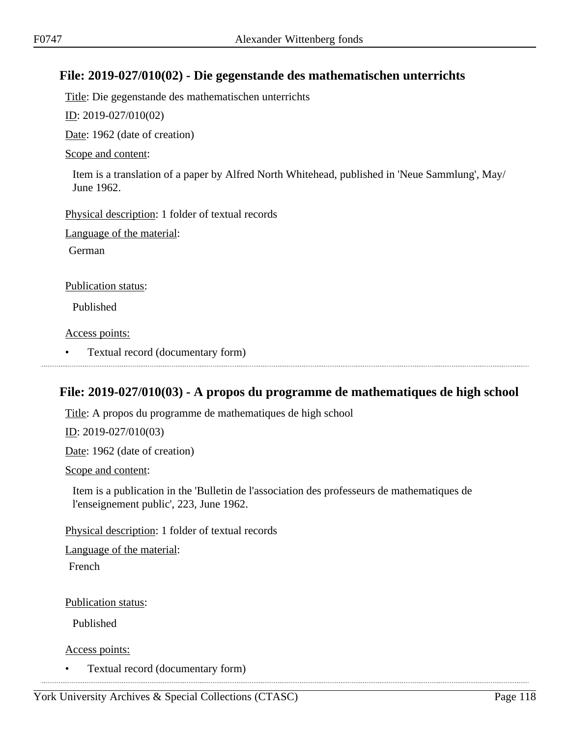# **File: 2019-027/010(02) - Die gegenstande des mathematischen unterrichts**

Title: Die gegenstande des mathematischen unterrichts

ID: 2019-027/010(02)

Date: 1962 (date of creation)

#### Scope and content:

Item is a translation of a paper by Alfred North Whitehead, published in 'Neue Sammlung', May/ June 1962.

Physical description: 1 folder of textual records

Language of the material:

German

Publication status:

Published

Access points:

• Textual record (documentary form)

### **File: 2019-027/010(03) - A propos du programme de mathematiques de high school**

Title: A propos du programme de mathematiques de high school

ID: 2019-027/010(03)

Date: 1962 (date of creation)

Scope and content:

Item is a publication in the 'Bulletin de l'association des professeurs de mathematiques de l'enseignement public', 223, June 1962.

Physical description: 1 folder of textual records

Language of the material:

French

Publication status:

Published

Access points:

• Textual record (documentary form)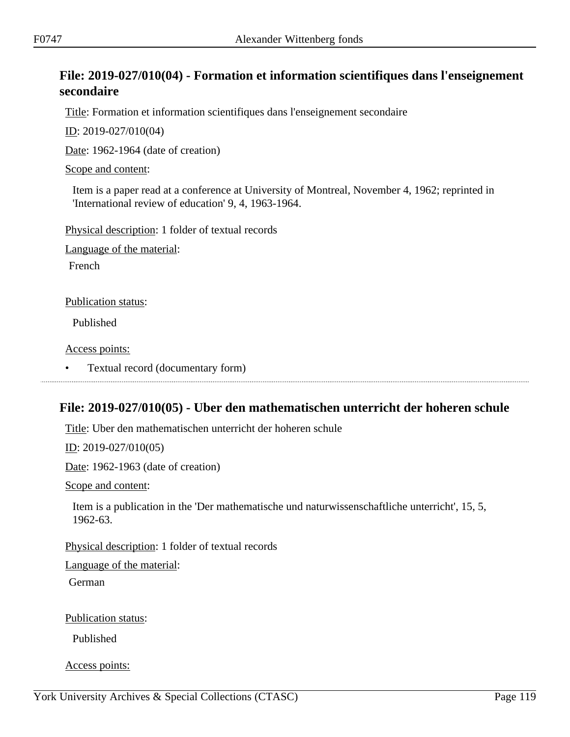# **File: 2019-027/010(04) - Formation et information scientifiques dans l'enseignement secondaire**

Title: Formation et information scientifiques dans l'enseignement secondaire

ID: 2019-027/010(04)

Date: 1962-1964 (date of creation)

Scope and content:

Item is a paper read at a conference at University of Montreal, November 4, 1962; reprinted in 'International review of education' 9, 4, 1963-1964.

Physical description: 1 folder of textual records

Language of the material:

French

Publication status:

Published

Access points:

• Textual record (documentary form)

### **File: 2019-027/010(05) - Uber den mathematischen unterricht der hoheren schule**

Title: Uber den mathematischen unterricht der hoheren schule

ID: 2019-027/010(05)

Date: 1962-1963 (date of creation)

Scope and content:

Item is a publication in the 'Der mathematische und naturwissenschaftliche unterricht', 15, 5, 1962-63.

Physical description: 1 folder of textual records

Language of the material:

German

Publication status:

Published

Access points: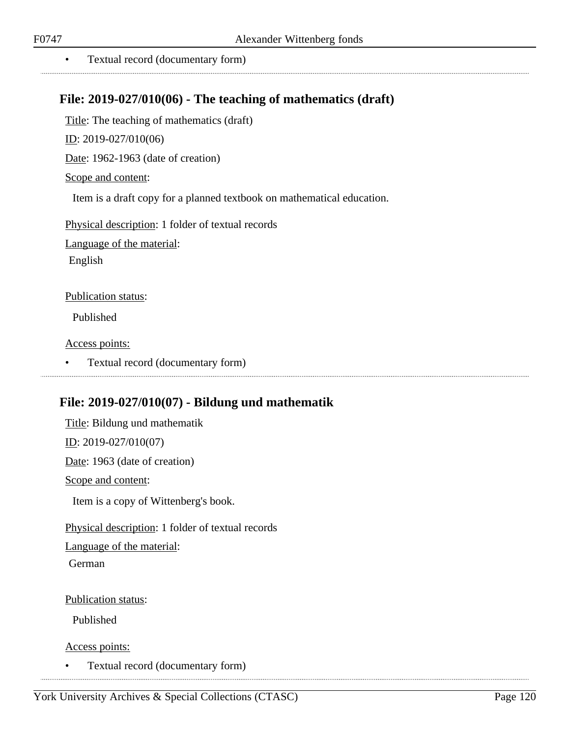. . . . . . . . . . . . . . . . . . . .

• Textual record (documentary form)

### **File: 2019-027/010(06) - The teaching of mathematics (draft)**

Title: The teaching of mathematics (draft)

ID: 2019-027/010(06)

Date: 1962-1963 (date of creation)

Scope and content:

Item is a draft copy for a planned textbook on mathematical education.

Physical description: 1 folder of textual records

Language of the material:

English

#### Publication status:

Published

Access points:

• Textual record (documentary form)

### **File: 2019-027/010(07) - Bildung und mathematik**

Title: Bildung und mathematik ID: 2019-027/010(07) Date: 1963 (date of creation) Scope and content: Item is a copy of Wittenberg's book. Physical description: 1 folder of textual records Language of the material: German

Publication status:

Published

Access points:

• Textual record (documentary form)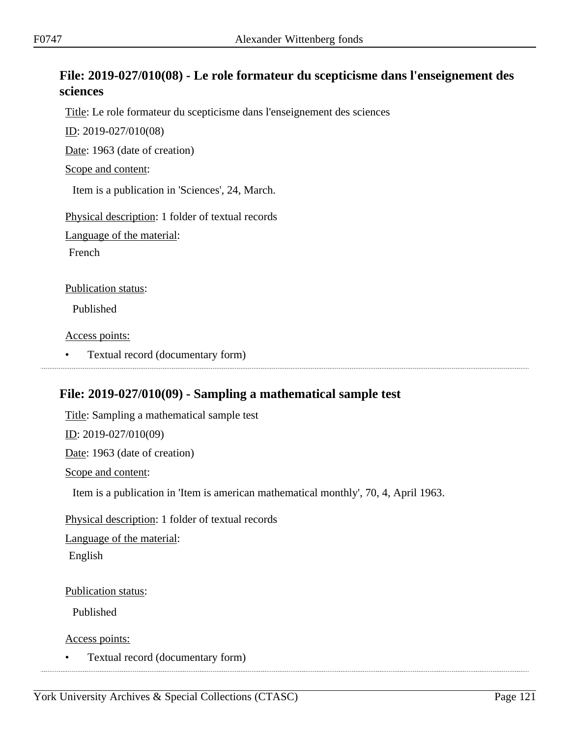# **File: 2019-027/010(08) - Le role formateur du scepticisme dans l'enseignement des sciences**

Title: Le role formateur du scepticisme dans l'enseignement des sciences

ID: 2019-027/010(08)

Date: 1963 (date of creation)

Scope and content:

Item is a publication in 'Sciences', 24, March.

Physical description: 1 folder of textual records

Language of the material:

French

Publication status:

Published

Access points:

• Textual record (documentary form)

### **File: 2019-027/010(09) - Sampling a mathematical sample test**

Title: Sampling a mathematical sample test ID: 2019-027/010(09) Date: 1963 (date of creation) Scope and content: Item is a publication in 'Item is american mathematical monthly', 70, 4, April 1963. Physical description: 1 folder of textual records Language of the material: English

Publication status:

Published

Access points: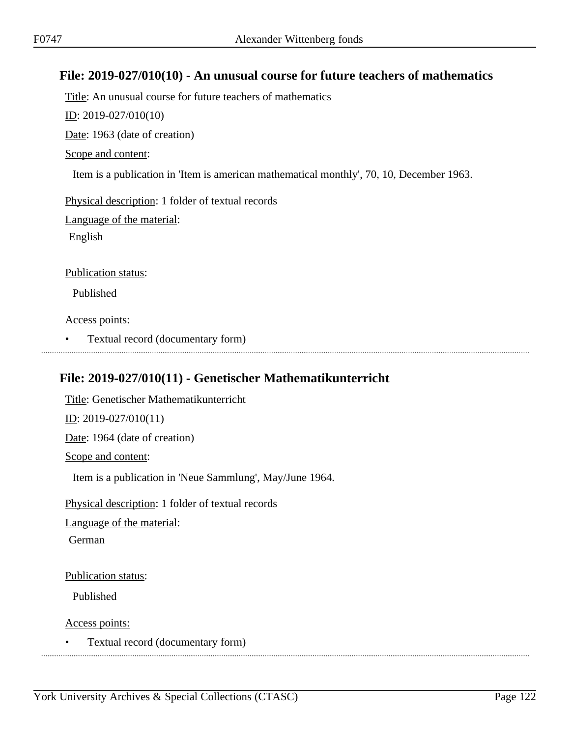### **File: 2019-027/010(10) - An unusual course for future teachers of mathematics**

Title: An unusual course for future teachers of mathematics ID: 2019-027/010(10) Date: 1963 (date of creation) Scope and content: Item is a publication in 'Item is american mathematical monthly', 70, 10, December 1963.

Physical description: 1 folder of textual records

Language of the material:

English

Publication status:

Published

Access points:

• Textual record (documentary form)

# **File: 2019-027/010(11) - Genetischer Mathematikunterricht**

Title: Genetischer Mathematikunterricht  $ID: 2019-027/010(11)$ Date: 1964 (date of creation) Scope and content: Item is a publication in 'Neue Sammlung', May/June 1964. Physical description: 1 folder of textual records

Language of the material:

German

Publication status:

Published

Access points: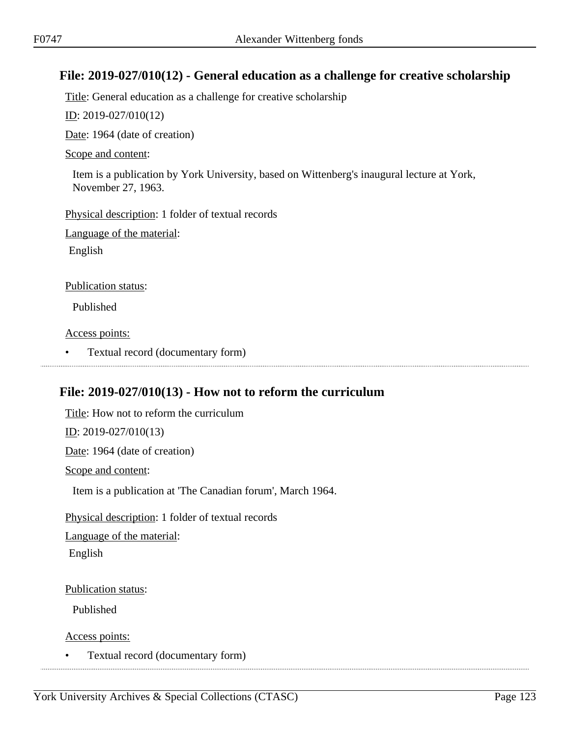### **File: 2019-027/010(12) - General education as a challenge for creative scholarship**

Title: General education as a challenge for creative scholarship

ID: 2019-027/010(12)

Date: 1964 (date of creation)

#### Scope and content:

Item is a publication by York University, based on Wittenberg's inaugural lecture at York, November 27, 1963.

Physical description: 1 folder of textual records

Language of the material:

English

#### Publication status:

Published

Access points:

• Textual record (documentary form)

### **File: 2019-027/010(13) - How not to reform the curriculum**

Title: How not to reform the curriculum ID: 2019-027/010(13) Date: 1964 (date of creation) Scope and content: Item is a publication at 'The Canadian forum', March 1964. Physical description: 1 folder of textual records Language of the material: English Publication status:

Published

Access points: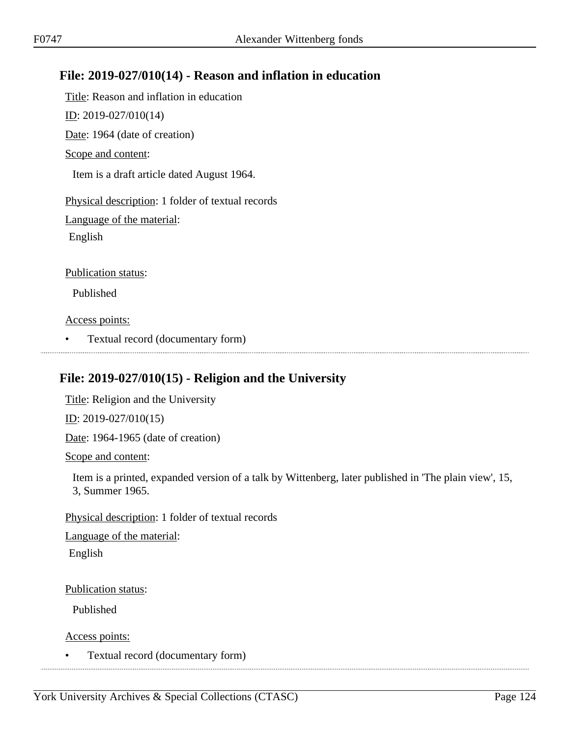# **File: 2019-027/010(14) - Reason and inflation in education**

Title: Reason and inflation in education

ID: 2019-027/010(14)

Date: 1964 (date of creation)

Scope and content:

Item is a draft article dated August 1964.

Physical description: 1 folder of textual records

Language of the material:

English

Publication status:

Published

Access points:

• Textual record (documentary form)

# **File: 2019-027/010(15) - Religion and the University**

Title: Religion and the University  $ID: 2019-027/010(15)$ 

Date: 1964-1965 (date of creation)

Scope and content:

Item is a printed, expanded version of a talk by Wittenberg, later published in 'The plain view', 15, 3, Summer 1965.

Physical description: 1 folder of textual records

Language of the material: English

Publication status:

Published

Access points: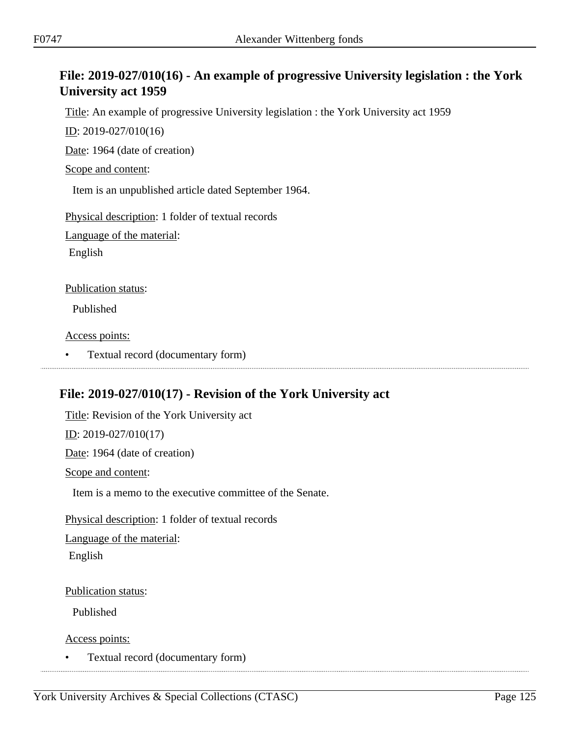# **File: 2019-027/010(16) - An example of progressive University legislation : the York University act 1959**

Title: An example of progressive University legislation : the York University act 1959

ID: 2019-027/010(16)

Date: 1964 (date of creation)

Scope and content:

Item is an unpublished article dated September 1964.

Physical description: 1 folder of textual records

Language of the material:

English

Publication status:

Published

Access points:

• Textual record (documentary form)

# **File: 2019-027/010(17) - Revision of the York University act**

Title: Revision of the York University act ID: 2019-027/010(17) Date: 1964 (date of creation) Scope and content: Item is a memo to the executive committee of the Senate. Physical description: 1 folder of textual records Language of the material: English

Publication status:

Published

Access points: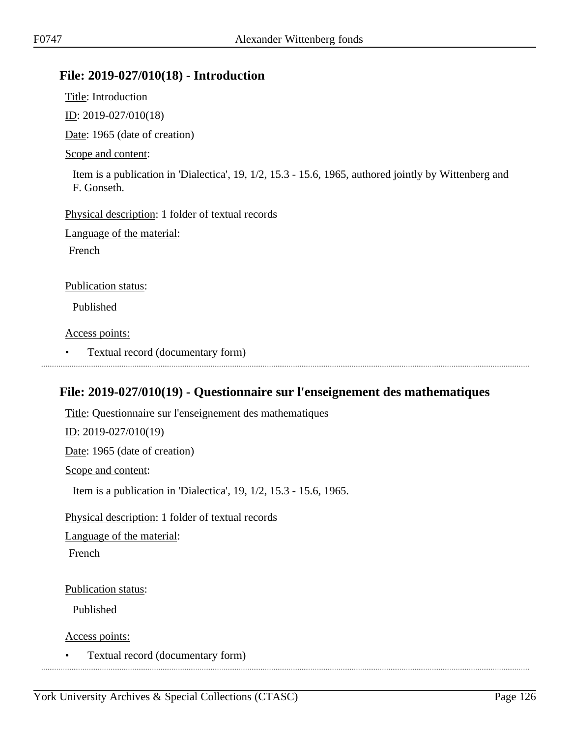### **File: 2019-027/010(18) - Introduction**

Title: Introduction

ID: 2019-027/010(18)

Date: 1965 (date of creation)

#### Scope and content:

Item is a publication in 'Dialectica', 19, 1/2, 15.3 - 15.6, 1965, authored jointly by Wittenberg and F. Gonseth.

Physical description: 1 folder of textual records

Language of the material:

French

Publication status:

Published

Access points:

• Textual record (documentary form)

# **File: 2019-027/010(19) - Questionnaire sur l'enseignement des mathematiques**

Title: Questionnaire sur l'enseignement des mathematiques ID: 2019-027/010(19) Date: 1965 (date of creation) Scope and content: Item is a publication in 'Dialectica', 19, 1/2, 15.3 - 15.6, 1965. Physical description: 1 folder of textual records Language of the material: French Publication status: Published

Access points: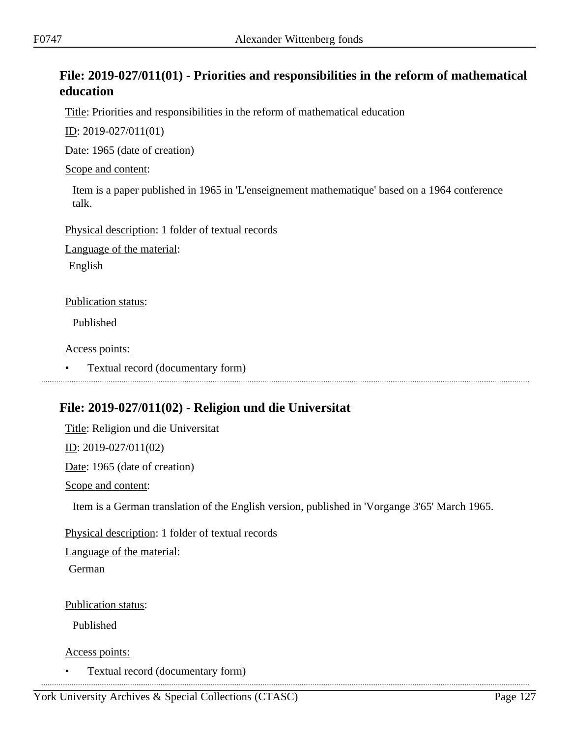# **File: 2019-027/011(01) - Priorities and responsibilities in the reform of mathematical education**

Title: Priorities and responsibilities in the reform of mathematical education

ID: 2019-027/011(01)

Date: 1965 (date of creation)

Scope and content:

Item is a paper published in 1965 in 'L'enseignement mathematique' based on a 1964 conference talk.

Physical description: 1 folder of textual records

Language of the material:

English

Publication status:

Published

Access points:

• Textual record (documentary form)

# **File: 2019-027/011(02) - Religion und die Universitat**

Title: Religion und die Universitat

ID: 2019-027/011(02)

Date: 1965 (date of creation)

Scope and content:

Item is a German translation of the English version, published in 'Vorgange 3'65' March 1965.

Physical description: 1 folder of textual records

Language of the material:

German

Publication status:

Published

Access points: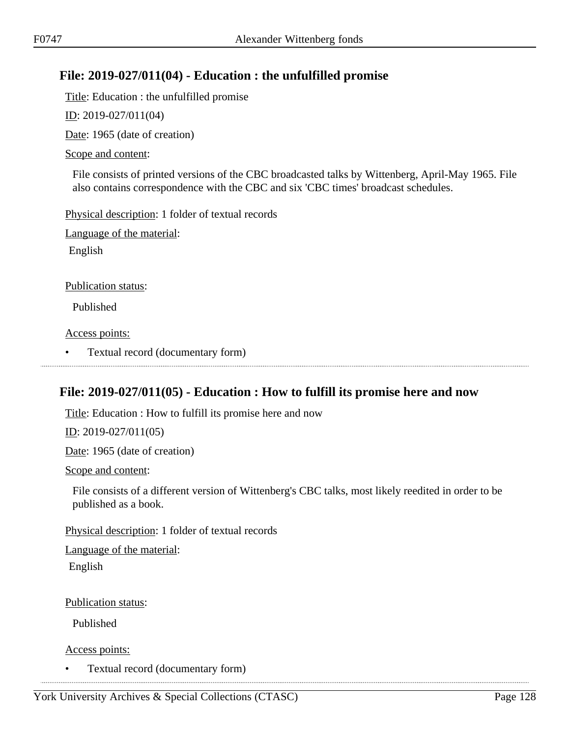# **File: 2019-027/011(04) - Education : the unfulfilled promise**

Title: Education : the unfulfilled promise

ID: 2019-027/011(04)

Date: 1965 (date of creation)

#### Scope and content:

File consists of printed versions of the CBC broadcasted talks by Wittenberg, April-May 1965. File also contains correspondence with the CBC and six 'CBC times' broadcast schedules.

Physical description: 1 folder of textual records

Language of the material:

English

#### Publication status:

Published

Access points:

• Textual record (documentary form)

# **File: 2019-027/011(05) - Education : How to fulfill its promise here and now**

Title: Education : How to fulfill its promise here and now

ID: 2019-027/011(05)

Date: 1965 (date of creation)

Scope and content:

File consists of a different version of Wittenberg's CBC talks, most likely reedited in order to be published as a book.

Physical description: 1 folder of textual records

Language of the material:

English

Publication status:

Published

Access points: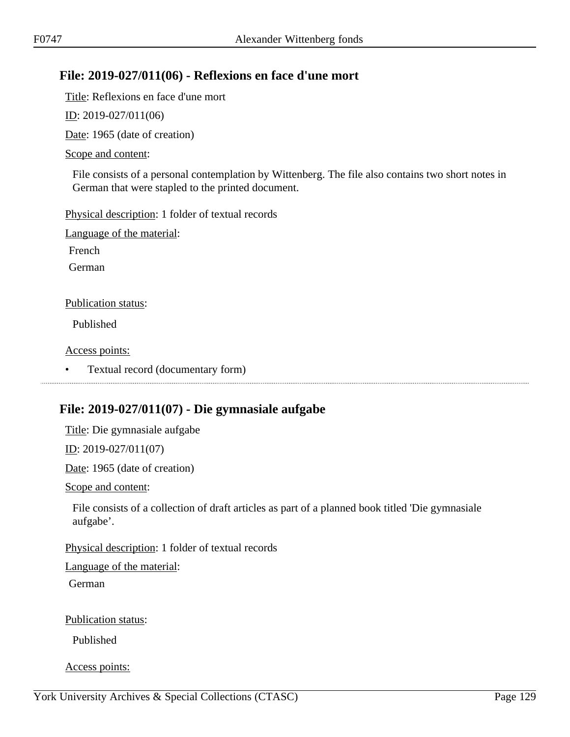# **File: 2019-027/011(06) - Reflexions en face d'une mort**

Title: Reflexions en face d'une mort

ID: 2019-027/011(06)

Date: 1965 (date of creation)

#### Scope and content:

File consists of a personal contemplation by Wittenberg. The file also contains two short notes in German that were stapled to the printed document.

Physical description: 1 folder of textual records

Language of the material:

French

German

#### Publication status:

Published

Access points:

• Textual record (documentary form)

# **File: 2019-027/011(07) - Die gymnasiale aufgabe**

Title: Die gymnasiale aufgabe

ID: 2019-027/011(07)

Date: 1965 (date of creation)

Scope and content:

File consists of a collection of draft articles as part of a planned book titled 'Die gymnasiale aufgabe'.

Physical description: 1 folder of textual records

Language of the material:

German

Publication status:

Published

Access points: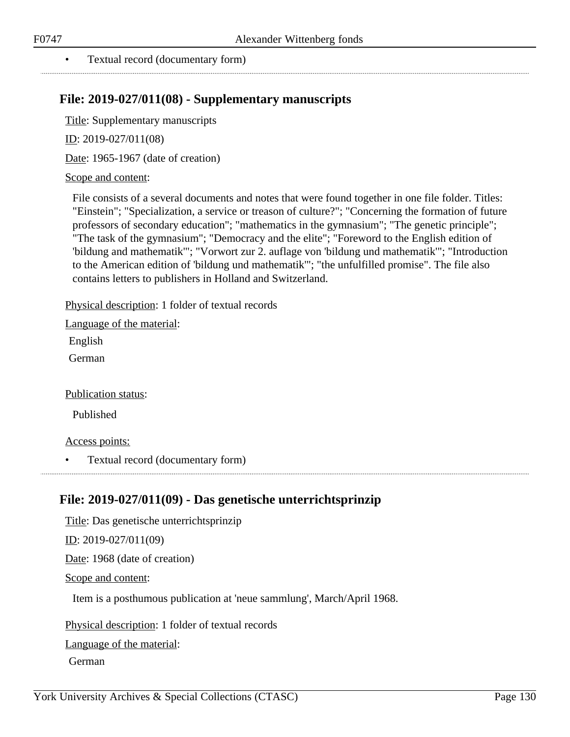#### • Textual record (documentary form)

### **File: 2019-027/011(08) - Supplementary manuscripts**

Title: Supplementary manuscripts

ID: 2019-027/011(08)

Date: 1965-1967 (date of creation)

#### Scope and content:

File consists of a several documents and notes that were found together in one file folder. Titles: "Einstein"; "Specialization, a service or treason of culture?"; "Concerning the formation of future professors of secondary education"; "mathematics in the gymnasium"; "The genetic principle"; "The task of the gymnasium"; "Democracy and the elite"; "Foreword to the English edition of 'bildung and mathematik'"; "Vorwort zur 2. auflage von 'bildung und mathematik'"; "Introduction to the American edition of 'bildung und mathematik'"; "the unfulfilled promise". The file also contains letters to publishers in Holland and Switzerland.

Physical description: 1 folder of textual records

Language of the material:

English

German

Publication status:

Published

Access points:

• Textual record (documentary form)

### **File: 2019-027/011(09) - Das genetische unterrichtsprinzip**

Title: Das genetische unterrichtsprinzip

ID: 2019-027/011(09)

Date: 1968 (date of creation)

Scope and content:

Item is a posthumous publication at 'neue sammlung', March/April 1968.

Physical description: 1 folder of textual records

Language of the material:

German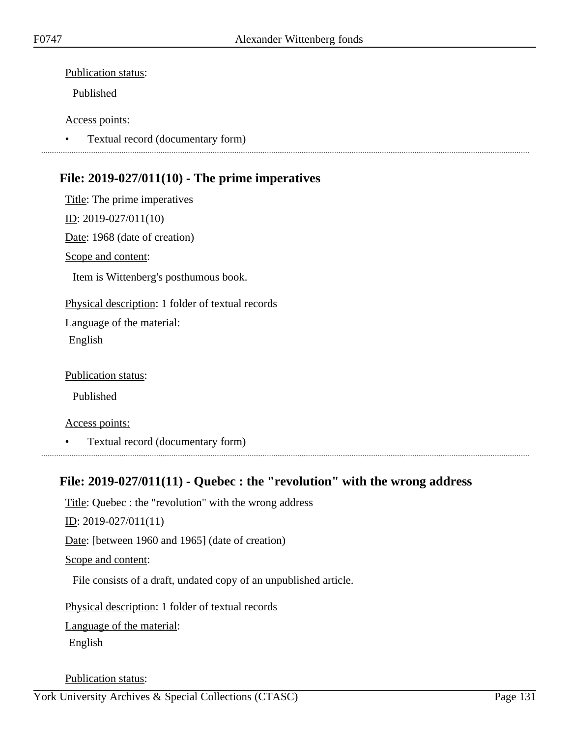Published

#### Access points:

• Textual record (documentary form)

# **File: 2019-027/011(10) - The prime imperatives**

Title: The prime imperatives ID: 2019-027/011(10) Date: 1968 (date of creation) Scope and content: Item is Wittenberg's posthumous book. Physical description: 1 folder of textual records Language of the material: English

Publication status:

Published

Access points:

• Textual record (documentary form)

# **File: 2019-027/011(11) - Quebec : the "revolution" with the wrong address**

Title: Quebec : the "revolution" with the wrong address ID: 2019-027/011(11) Date: [between 1960 and 1965] (date of creation) Scope and content: File consists of a draft, undated copy of an unpublished article. Physical description: 1 folder of textual records

Language of the material:

English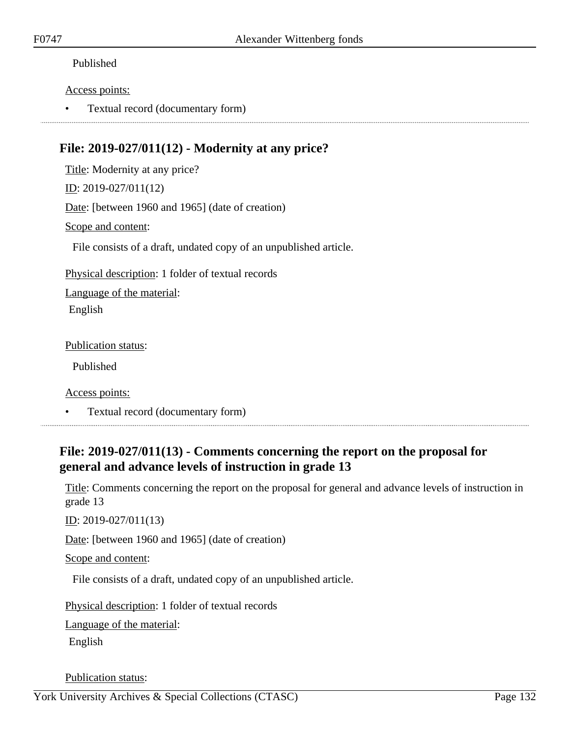#### Access points:

• Textual record (documentary form)

# **File: 2019-027/011(12) - Modernity at any price?**

Title: Modernity at any price? ID: 2019-027/011(12) Date: [between 1960 and 1965] (date of creation) Scope and content: File consists of a draft, undated copy of an unpublished article. Physical description: 1 folder of textual records Language of the material: English

Publication status:

Published

Access points:

• Textual record (documentary form)

# **File: 2019-027/011(13) - Comments concerning the report on the proposal for general and advance levels of instruction in grade 13**

Title: Comments concerning the report on the proposal for general and advance levels of instruction in grade 13

ID: 2019-027/011(13)

Date: [between 1960 and 1965] (date of creation)

Scope and content:

File consists of a draft, undated copy of an unpublished article.

Physical description: 1 folder of textual records

Language of the material:

English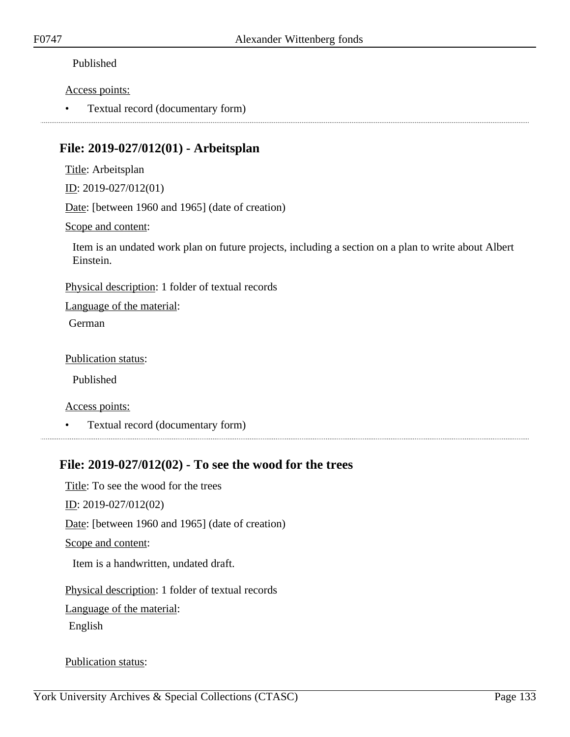#### Access points:

• Textual record (documentary form)

### **File: 2019-027/012(01) - Arbeitsplan**

Title: Arbeitsplan

ID: 2019-027/012(01)

Date: [between 1960 and 1965] (date of creation)

Scope and content:

Item is an undated work plan on future projects, including a section on a plan to write about Albert Einstein.

Physical description: 1 folder of textual records

Language of the material:

German

Publication status:

Published

Access points:

• Textual record (documentary form)

# **File: 2019-027/012(02) - To see the wood for the trees**

Title: To see the wood for the trees ID: 2019-027/012(02) Date: [between 1960 and 1965] (date of creation) Scope and content: Item is a handwritten, undated draft. Physical description: 1 folder of textual records

Language of the material:

English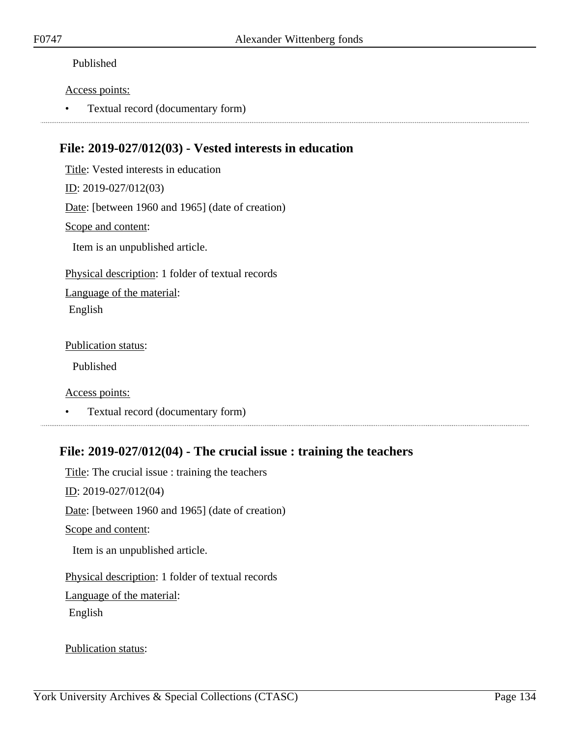#### Access points:

• Textual record (documentary form)

### **File: 2019-027/012(03) - Vested interests in education**

Title: Vested interests in education

ID: 2019-027/012(03)

Date: [between 1960 and 1965] (date of creation)

#### Scope and content:

Item is an unpublished article.

Physical description: 1 folder of textual records

Language of the material: English

Publication status:

Published

Access points:

• Textual record (documentary form)

# **File: 2019-027/012(04) - The crucial issue : training the teachers**

Title: The crucial issue : training the teachers ID: 2019-027/012(04) Date: [between 1960 and 1965] (date of creation) Scope and content: Item is an unpublished article. Physical description: 1 folder of textual records Language of the material: English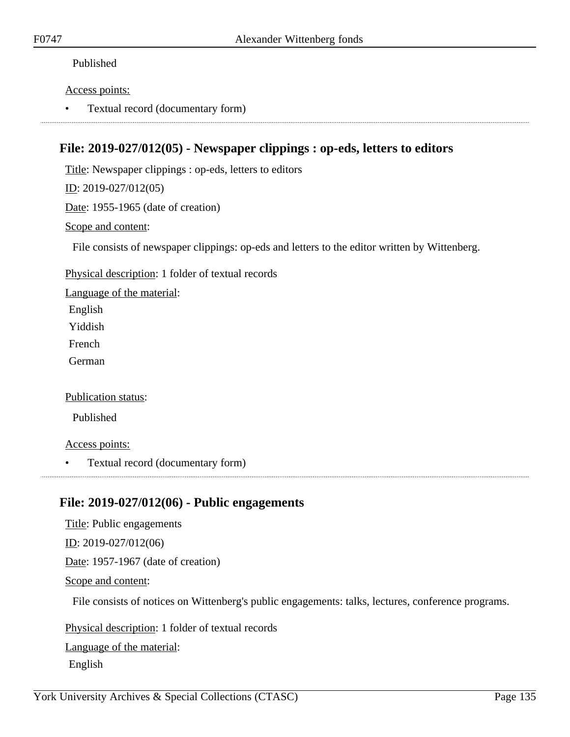#### Access points:

• Textual record (documentary form)

### **File: 2019-027/012(05) - Newspaper clippings : op-eds, letters to editors**

Title: Newspaper clippings : op-eds, letters to editors

ID: 2019-027/012(05)

Date: 1955-1965 (date of creation)

#### Scope and content:

File consists of newspaper clippings: op-eds and letters to the editor written by Wittenberg.

Physical description: 1 folder of textual records

Language of the material:

English

Yiddish

French

German

Publication status:

Published

Access points:

• Textual record (documentary form)

### **File: 2019-027/012(06) - Public engagements**

Title: Public engagements ID: 2019-027/012(06) Date: 1957-1967 (date of creation) Scope and content: File consists of notices on Wittenberg's public engagements: talks, lectures, conference programs.

Physical description: 1 folder of textual records Language of the material: English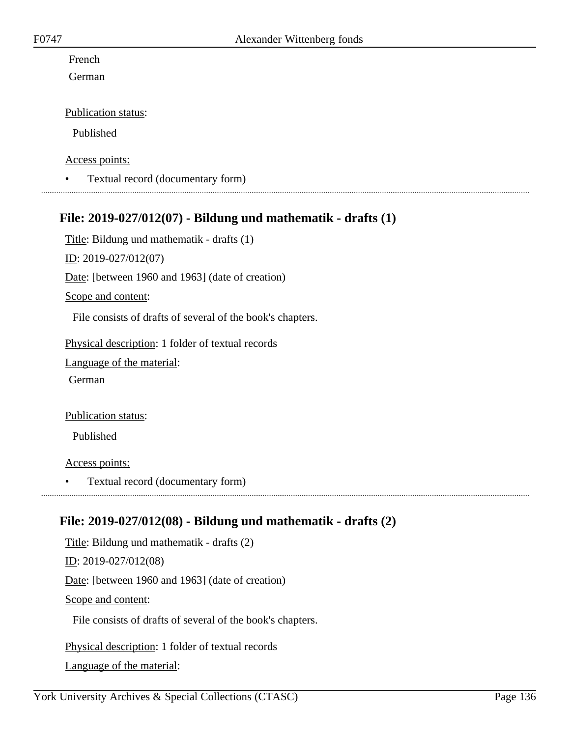### French

German

#### Publication status:

Published

#### Access points:

• Textual record (documentary form)

### **File: 2019-027/012(07) - Bildung und mathematik - drafts (1)**

Title: Bildung und mathematik - drafts (1)

ID: 2019-027/012(07)

Date: [between 1960 and 1963] (date of creation)

#### Scope and content:

File consists of drafts of several of the book's chapters.

Physical description: 1 folder of textual records

Language of the material:

German

#### Publication status:

Published

Access points:

• Textual record (documentary form)

# **File: 2019-027/012(08) - Bildung und mathematik - drafts (2)**

Title: Bildung und mathematik - drafts (2) ID: 2019-027/012(08) Date: [between 1960 and 1963] (date of creation) Scope and content: File consists of drafts of several of the book's chapters.

Physical description: 1 folder of textual records Language of the material: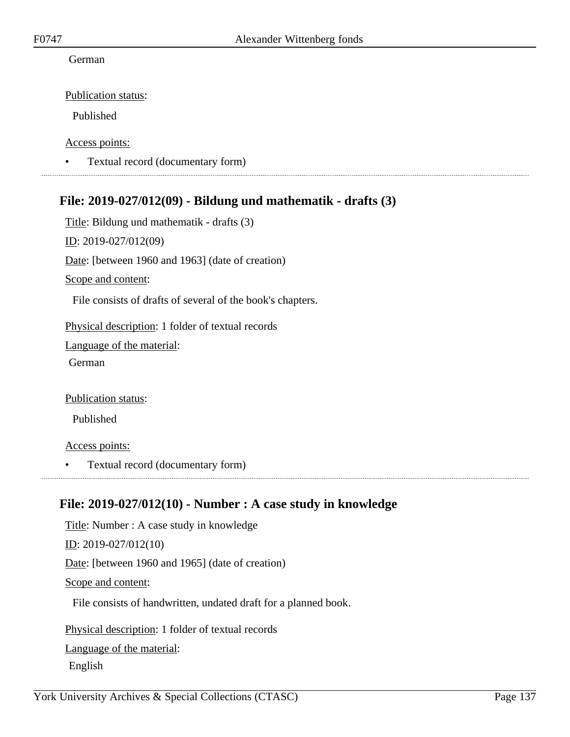#### German

Publication status:

Published

Access points:

• Textual record (documentary form)

### **File: 2019-027/012(09) - Bildung und mathematik - drafts (3)**

Title: Bildung und mathematik - drafts (3) ID: 2019-027/012(09) Date: [between 1960 and 1963] (date of creation) Scope and content: File consists of drafts of several of the book's chapters. Physical description: 1 folder of textual records Language of the material: German Publication status:

Published

Access points:

• Textual record (documentary form)

### **File: 2019-027/012(10) - Number : A case study in knowledge**

Title: Number : A case study in knowledge ID: 2019-027/012(10) Date: [between 1960 and 1965] (date of creation) Scope and content: File consists of handwritten, undated draft for a planned book. Physical description: 1 folder of textual records

Language of the material:

English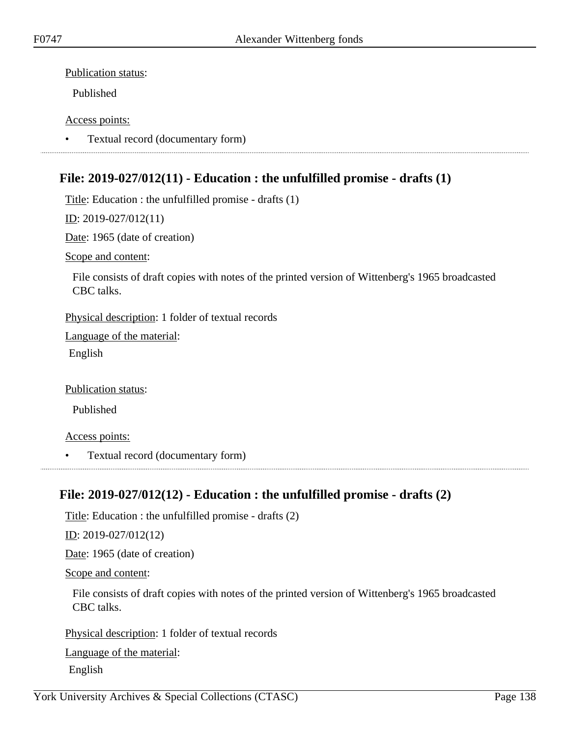Published

#### Access points:

• Textual record (documentary form)

# **File: 2019-027/012(11) - Education : the unfulfilled promise - drafts (1)**

Title: Education : the unfulfilled promise - drafts (1)

#### ID: 2019-027/012(11)

Date: 1965 (date of creation)

Scope and content:

File consists of draft copies with notes of the printed version of Wittenberg's 1965 broadcasted CBC talks.

Physical description: 1 folder of textual records

Language of the material: English

Publication status:

Published

Access points:

• Textual record (documentary form)

# **File: 2019-027/012(12) - Education : the unfulfilled promise - drafts (2)**

Title: Education : the unfulfilled promise - drafts (2)

<u>ID</u>: 2019-027/012(12)

Date: 1965 (date of creation)

Scope and content:

File consists of draft copies with notes of the printed version of Wittenberg's 1965 broadcasted CBC talks.

Physical description: 1 folder of textual records

Language of the material:

English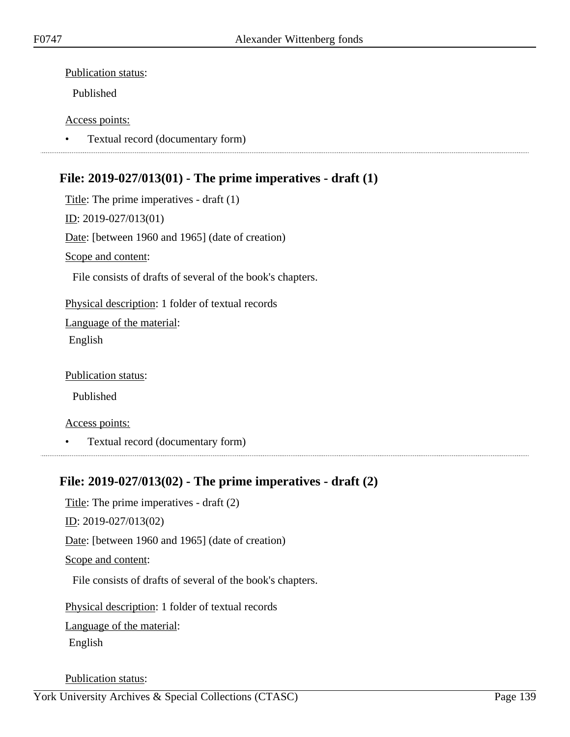Published

#### Access points:

• Textual record (documentary form)

### **File: 2019-027/013(01) - The prime imperatives - draft (1)**

Title: The prime imperatives - draft (1) ID: 2019-027/013(01) Date: [between 1960 and 1965] (date of creation) Scope and content: File consists of drafts of several of the book's chapters. Physical description: 1 folder of textual records Language of the material: English

Publication status:

Published

Access points:

• Textual record (documentary form)

### **File: 2019-027/013(02) - The prime imperatives - draft (2)**

Title: The prime imperatives - draft (2) ID: 2019-027/013(02) Date: [between 1960 and 1965] (date of creation) Scope and content: File consists of drafts of several of the book's chapters.

Physical description: 1 folder of textual records

Language of the material:

English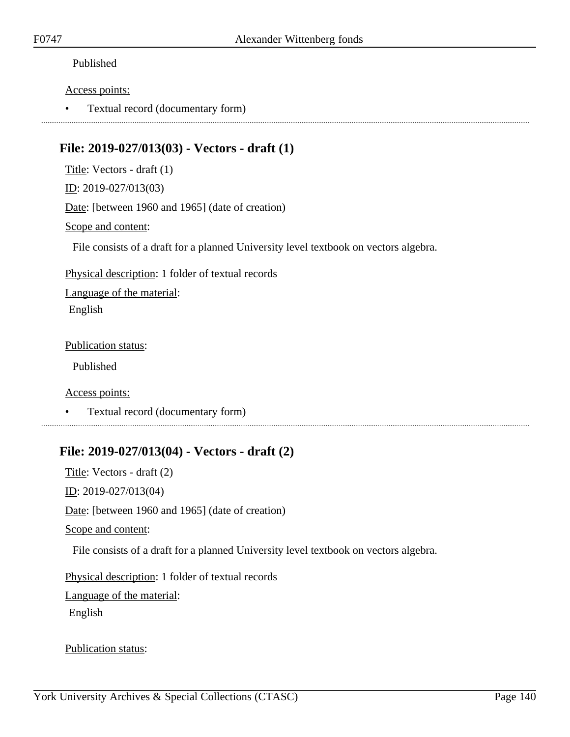#### Access points:

• Textual record (documentary form)

# **File: 2019-027/013(03) - Vectors - draft (1)**

Title: Vectors - draft (1) ID: 2019-027/013(03)

Date: [between 1960 and 1965] (date of creation)

Scope and content:

File consists of a draft for a planned University level textbook on vectors algebra.

Physical description: 1 folder of textual records

Language of the material: English

Publication status:

Published

Access points:

• Textual record (documentary form)

### **File: 2019-027/013(04) - Vectors - draft (2)**

Title: Vectors - draft (2) ID: 2019-027/013(04) Date: [between 1960 and 1965] (date of creation) Scope and content: File consists of a draft for a planned University level textbook on vectors algebra. Physical description: 1 folder of textual records Language of the material:

English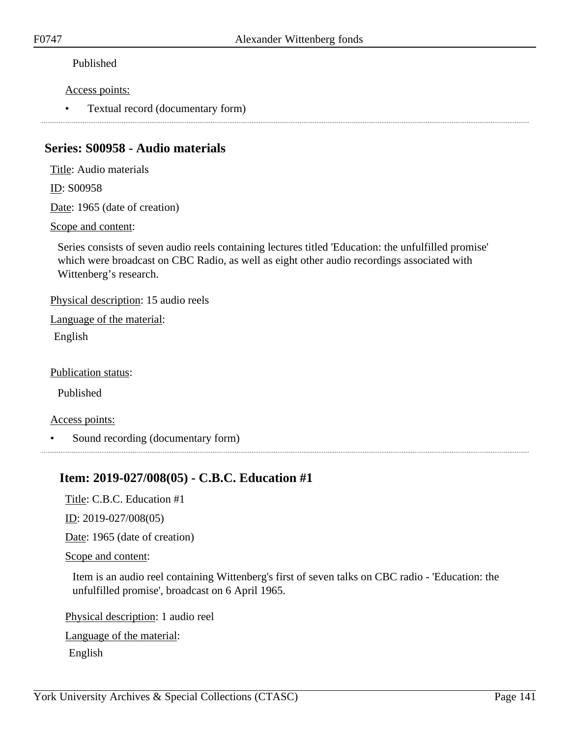#### Access points:

• Textual record (documentary form)

### **Series: S00958 - Audio materials**

Title: Audio materials

ID: S00958

Date: 1965 (date of creation)

Scope and content:

Series consists of seven audio reels containing lectures titled 'Education: the unfulfilled promise' which were broadcast on CBC Radio, as well as eight other audio recordings associated with Wittenberg's research.

Physical description: 15 audio reels

Language of the material: English

Publication status:

Published

Access points:

• Sound recording (documentary form)

# **Item: 2019-027/008(05) - C.B.C. Education #1**

Title: C.B.C. Education #1

ID: 2019-027/008(05)

Date: 1965 (date of creation)

Scope and content:

Item is an audio reel containing Wittenberg's first of seven talks on CBC radio - 'Education: the unfulfilled promise', broadcast on 6 April 1965.

Physical description: 1 audio reel

Language of the material:

English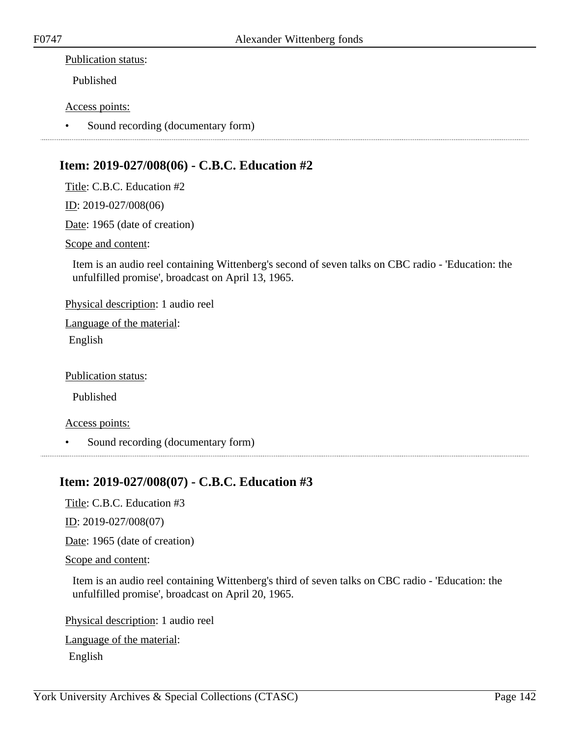Published

#### Access points:

• Sound recording (documentary form)

### **Item: 2019-027/008(06) - C.B.C. Education #2**

Title: C.B.C. Education #2

ID: 2019-027/008(06)

Date: 1965 (date of creation)

Scope and content:

Item is an audio reel containing Wittenberg's second of seven talks on CBC radio - 'Education: the unfulfilled promise', broadcast on April 13, 1965.

Physical description: 1 audio reel

Language of the material:

English

Publication status:

Published

Access points:

• Sound recording (documentary form)

### **Item: 2019-027/008(07) - C.B.C. Education #3**

Title: C.B.C. Education #3

ID: 2019-027/008(07)

Date: 1965 (date of creation)

#### Scope and content:

Item is an audio reel containing Wittenberg's third of seven talks on CBC radio - 'Education: the unfulfilled promise', broadcast on April 20, 1965.

Physical description: 1 audio reel

Language of the material: English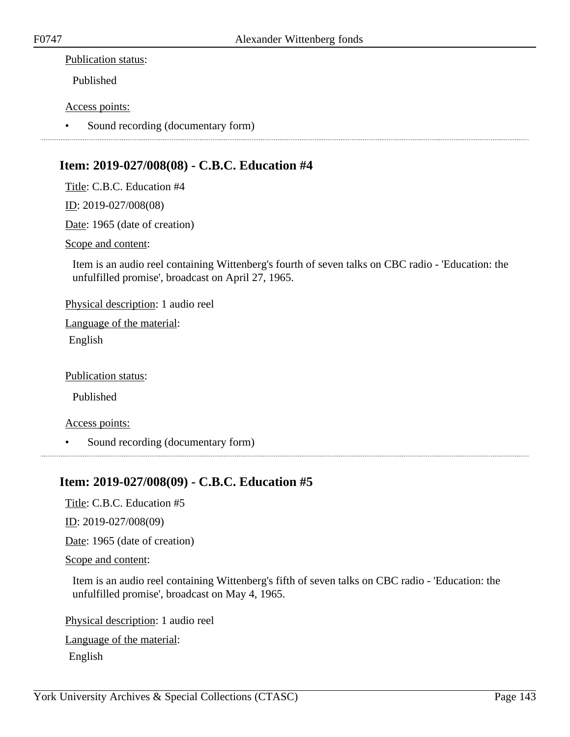Published

#### Access points:

• Sound recording (documentary form)

### **Item: 2019-027/008(08) - C.B.C. Education #4**

Title: C.B.C. Education #4

ID: 2019-027/008(08)

Date: 1965 (date of creation)

Scope and content:

Item is an audio reel containing Wittenberg's fourth of seven talks on CBC radio - 'Education: the unfulfilled promise', broadcast on April 27, 1965.

Physical description: 1 audio reel

Language of the material:

English

Publication status:

Published

Access points:

• Sound recording (documentary form)

### **Item: 2019-027/008(09) - C.B.C. Education #5**

Title: C.B.C. Education #5

ID: 2019-027/008(09)

Date: 1965 (date of creation)

#### Scope and content:

Item is an audio reel containing Wittenberg's fifth of seven talks on CBC radio - 'Education: the unfulfilled promise', broadcast on May 4, 1965.

Physical description: 1 audio reel

Language of the material: English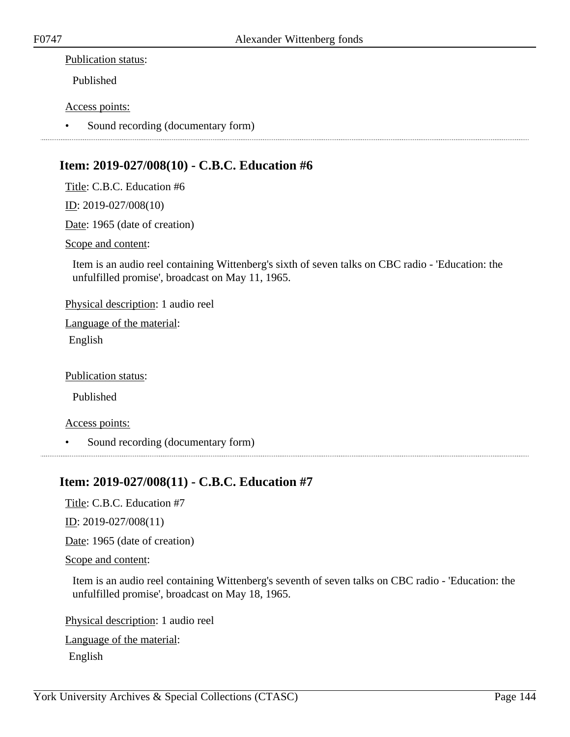Published

#### Access points:

• Sound recording (documentary form)

### **Item: 2019-027/008(10) - C.B.C. Education #6**

Title: C.B.C. Education #6

ID: 2019-027/008(10)

Date: 1965 (date of creation)

Scope and content:

Item is an audio reel containing Wittenberg's sixth of seven talks on CBC radio - 'Education: the unfulfilled promise', broadcast on May 11, 1965.

Physical description: 1 audio reel

Language of the material:

English

Publication status:

Published

Access points:

• Sound recording (documentary form)

### **Item: 2019-027/008(11) - C.B.C. Education #7**

Title: C.B.C. Education #7

ID: 2019-027/008(11)

Date: 1965 (date of creation)

#### Scope and content:

Item is an audio reel containing Wittenberg's seventh of seven talks on CBC radio - 'Education: the unfulfilled promise', broadcast on May 18, 1965.

Physical description: 1 audio reel

Language of the material: English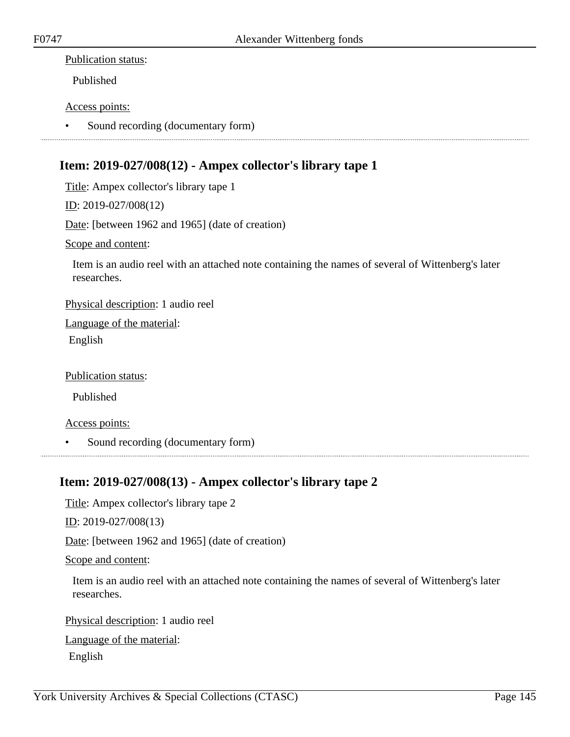### Publication status:

Published

### Access points:

• Sound recording (documentary form)

# **Item: 2019-027/008(12) - Ampex collector's library tape 1**

Title: Ampex collector's library tape 1

ID: 2019-027/008(12)

Date: [between 1962 and 1965] (date of creation)

Scope and content:

Item is an audio reel with an attached note containing the names of several of Wittenberg's later researches.

Physical description: 1 audio reel

Language of the material:

English

Publication status:

Published

Access points:

• Sound recording (documentary form)

## **Item: 2019-027/008(13) - Ampex collector's library tape 2**

Title: Ampex collector's library tape 2

ID: 2019-027/008(13)

Date: [between 1962 and 1965] (date of creation)

Scope and content:

Item is an audio reel with an attached note containing the names of several of Wittenberg's later researches.

Physical description: 1 audio reel

Language of the material: English